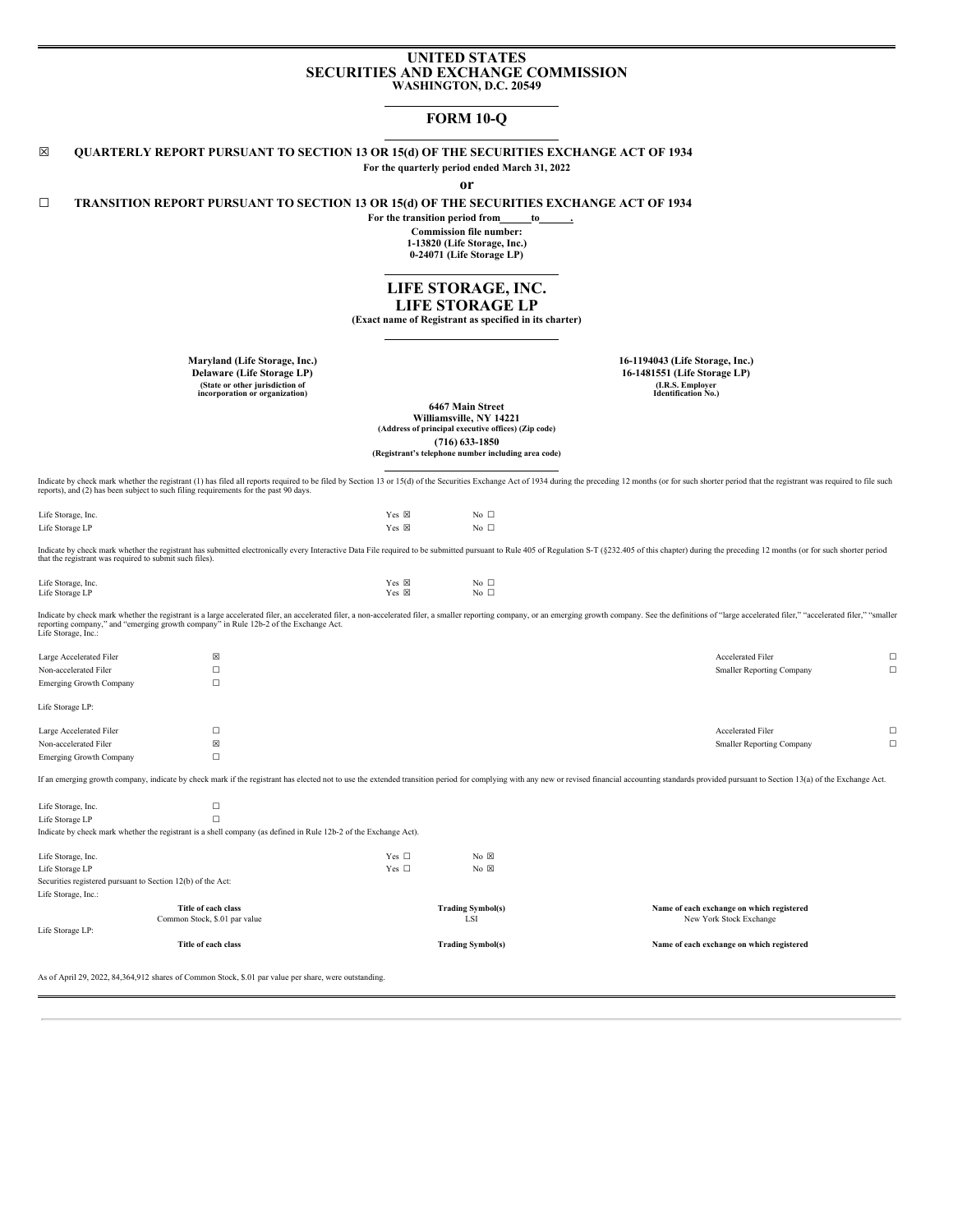#### **UNITED STATES SECURITIES AND EXCHANGE COMMISSION WASHINGTON, D.C. 20549**

#### **FORM 10-Q**

# ☒ **QUARTERLY REPORT PURSUANT TO SECTION 13 OR 15(d) OF THE SECURITIES EXCHANGE ACT OF 1934 For the quarterly period ended March 31, 2022**

**or**

**☐ TRANSITION REPORT PURSUANT TO SECTION 13 OR 15(d) OF THE SECURITIES EXCHANGE ACT OF 1934**

**For the transition period from to . Commission file number: 1-13820 (Life Storage, Inc.) 0-24071 (Life Storage LP)**

# **LIFE STORAGE, INC.**

**LIFE STORAGE LP**

**(Exact name of Registrant as specified in its charter)**

**(State or other jurisdiction of incorporation or organization)**

**Maryland (Life Storage, Inc.) 16-1194043 (Life Storage, Inc.) Delaware (Life Storage LP) 16-1481551 (Life Storage LP) (I.R.S. Employer Identification No.)**

> **6467 Main Street Williamsville, NY 14221 (Address of principal executive offices) (Zip code)**

**(716) 633-1850 (Registrant's telephone number including area code)**

Indicate by check mark whether the registrant (1) has filed all reports required to be filed by Section 13 or 15(d) of the Securities Exchange Act of 1934 during the preceding 12 months (or for such shorter period that the

| Life Storage, Inc. | Yes $\boxtimes$ | No $\square$ |
|--------------------|-----------------|--------------|
| Life Storage LP    | Yes $\boxtimes$ | No $\square$ |

Indicate by check mark whether the registrant has submitted electronically every Interactive Data File required to be submitted pursuant to Rule 405 of Regulation S-T (§232.405 of this chapter) during the preceding 12 mont

| Life Storage, Inc. | Yes ⊠           | No $\square$ |
|--------------------|-----------------|--------------|
| Life Storage LP    | Yes $\boxtimes$ | No $\square$ |

Indicate by check mark whether the registrant is a large accelerated filer, an accelerated filer, a non-accelerated filer, a smaller reporting company, or an emerging growth company. See the definitions of "large accelerat

| Large Accelerated Filer<br>Non-accelerated Filer<br><b>Emerging Growth Company</b> | 図<br>$\Box$<br>$\Box$ | <b>Accelerated Filer</b><br><b>Smaller Reporting Company</b> | $\Box$<br>$\Box$ |
|------------------------------------------------------------------------------------|-----------------------|--------------------------------------------------------------|------------------|
| Life Storage LP:                                                                   |                       |                                                              |                  |
| Large Accelerated Filer                                                            | ப                     | Accelerated Filer                                            | $\Box$           |
| Non-accelerated Filer                                                              | $\boxtimes$           | <b>Smaller Reporting Company</b>                             | $\Box$           |
| Emerging Growth Company                                                            | ட                     |                                                              |                  |

If an emerging growth company, indicate by check mark if the registrant has elected not to use the extended transition period for complying with any new or revised financial accounting standards provided pursuant to Sectio

| Life Storage, Inc.                                          | L.                                                                                                               |               |                          |                                           |
|-------------------------------------------------------------|------------------------------------------------------------------------------------------------------------------|---------------|--------------------------|-------------------------------------------|
| Life Storage LP                                             | -<br>L.                                                                                                          |               |                          |                                           |
|                                                             | Indicate by check mark whether the registrant is a shell company (as defined in Rule 12b-2 of the Exchange Act). |               |                          |                                           |
|                                                             |                                                                                                                  |               |                          |                                           |
| Life Storage, Inc.                                          |                                                                                                                  | Yes $\square$ | $No \n  \boxtimes$       |                                           |
| Life Storage LP                                             |                                                                                                                  | Yes $\square$ | $No \n  \boxtimes$       |                                           |
| Securities registered pursuant to Section 12(b) of the Act: |                                                                                                                  |               |                          |                                           |
| Life Storage, Inc.:                                         |                                                                                                                  |               |                          |                                           |
|                                                             | Title of each class                                                                                              |               | <b>Trading Symbol(s)</b> | Name of each exchange on which registered |
|                                                             | Common Stock, \$.01 par value                                                                                    |               | LSI                      | New York Stock Exchange                   |
| Life Storage LP:                                            |                                                                                                                  |               |                          |                                           |
|                                                             | Title of each class                                                                                              |               | <b>Trading Symbol(s)</b> | Name of each exchange on which registered |

As of April 29, 2022, 84,364,912 shares of Common Stock, \$.01 par value per share, were outstanding.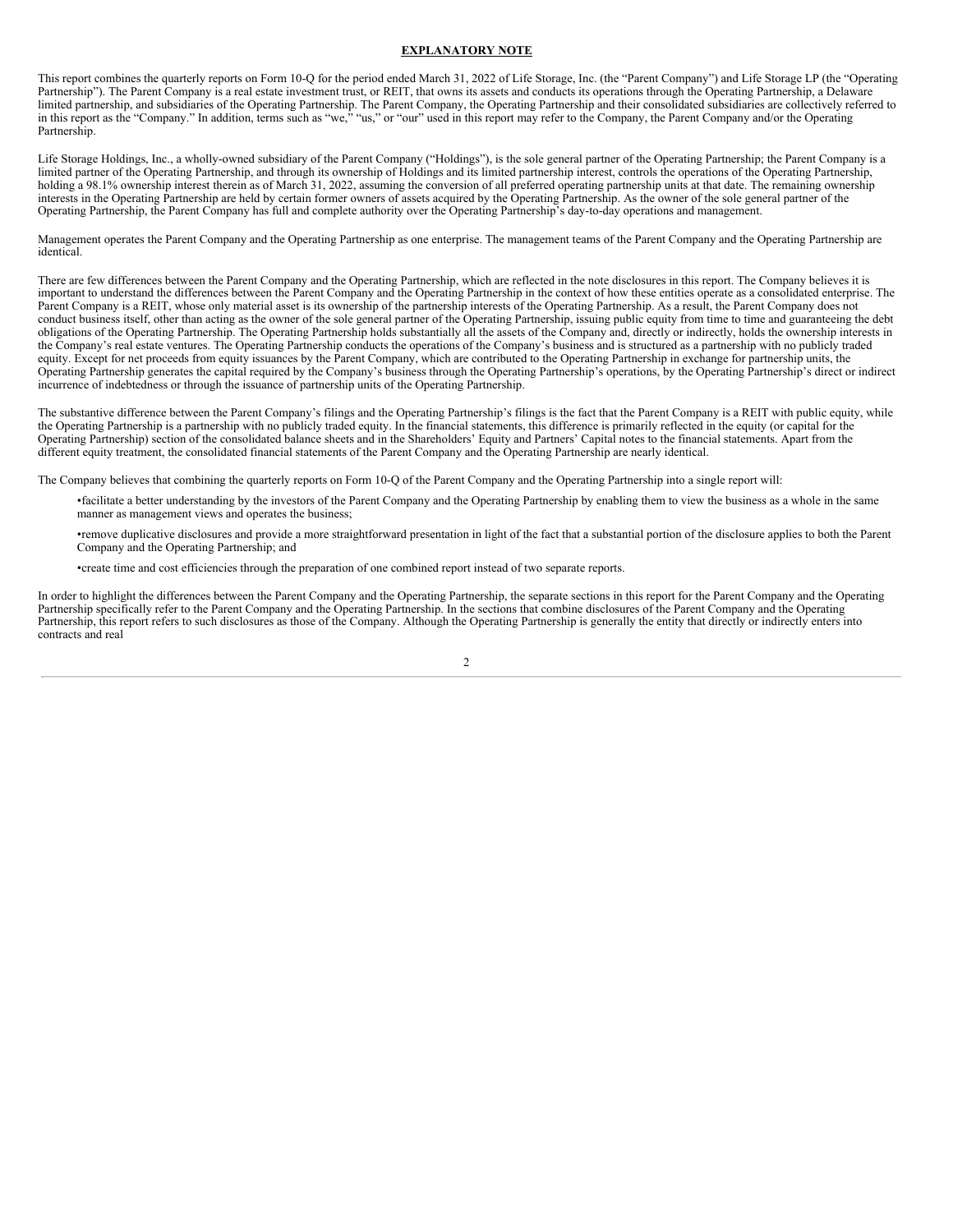# **EXPLANATORY NOTE**

This report combines the quarterly reports on Form 10-Q for the period ended March 31, 2022 of Life Storage, Inc. (the "Parent Company") and Life Storage LP (the "Operating Partnership"). The Parent Company is a real estate investment trust, or REIT, that owns its assets and conducts its operations through the Operating Partnership, a Delaware limited partnership, and subsidiaries of the Operating Partnership. The Parent Company, the Operating Partnership and their consolidated subsidiaries are collectively referred to in this report as the "Company." In addition, terms such as "we," "us," or "our" used in this report may refer to the Company, the Parent Company and/or the Operating Partnership.

Life Storage Holdings, Inc., a wholly-owned subsidiary of the Parent Company ("Holdings"), is the sole general partner of the Operating Partnership; the Parent Company is a limited partner of the Operating Partnership, and through its ownership of Holdings and its limited partnership interest, controls the operations of the Operating Partnership, holding a 98.1% ownership interest therein as of March 31, 2022, assuming the conversion of all preferred operating partnership units at that date. The remaining ownership interests in the Operating Partnership are held by certain former owners of assets acquired by the Operating Partnership. As the owner of the sole general partner of the Operating Partnership, the Parent Company has full and complete authority over the Operating Partnership's day-to-day operations and management.

Management operates the Parent Company and the Operating Partnership as one enterprise. The management teams of the Parent Company and the Operating Partnership are identical.

There are few differences between the Parent Company and the Operating Partnership, which are reflected in the note disclosures in this report. The Company believes it is important to understand the differences between the Parent Company and the Operating Partnership in the context of how these entities operate as a consolidated enterprise. The Parent Company is a REIT, whose only material asset is its ownership of the partnership interests of the Operating Partnership. As a result, the Parent Company does not conduct business itself, other than acting as the owner of the sole general partner of the Operating Partnership, issuing public equity from time to time and guaranteeing the debt obligations of the Operating Partnership. The Operating Partnership holds substantially all the assets of the Company and, directly or indirectly, holds the ownership interests in the Company's real estate ventures. The Operating Partnership conducts the operations of the Company's business and is structured as a partnership with no publicly traded equity. Except for net proceeds from equity issuances by the Parent Company, which are contributed to the Operating Partnership in exchange for partnership units, the Operating Partnership generates the capital required by the Company's business through the Operating Partnership's operations, by the Operating Partnership's direct or indirect incurrence of indebtedness or through the issuance of partnership units of the Operating Partnership.

The substantive difference between the Parent Company's filings and the Operating Partnership's filings is the fact that the Parent Company is a REIT with public equity, while the Operating Partnership is a partnership with no publicly traded equity. In the financial statements, this difference is primarily reflected in the equity (or capital for the Operating Partnership) section of the consolidated balance sheets and in the Shareholders' Equity and Partners' Capital notes to the financial statements. Apart from the different equity treatment, the consolidated financial statements of the Parent Company and the Operating Partnership are nearly identical.

The Company believes that combining the quarterly reports on Form 10-Q of the Parent Company and the Operating Partnership into a single report will:

- •facilitate a better understanding by the investors of the Parent Company and the Operating Partnership by enabling them to view the business as a whole in the same manner as management views and operates the business;
- •remove duplicative disclosures and provide a more straightforward presentation in light of the fact that a substantial portion of the disclosure applies to both the Parent Company and the Operating Partnership; and
- •create time and cost efficiencies through the preparation of one combined report instead of two separate reports.

In order to highlight the differences between the Parent Company and the Operating Partnership, the separate sections in this report for the Parent Company and the Operating Partnership specifically refer to the Parent Company and the Operating Partnership. In the sections that combine disclosures of the Parent Company and the Operating Partnership, this report refers to such disclosures as those of the Company. Although the Operating Partnership is generally the entity that directly or indirectly enters into contracts and real

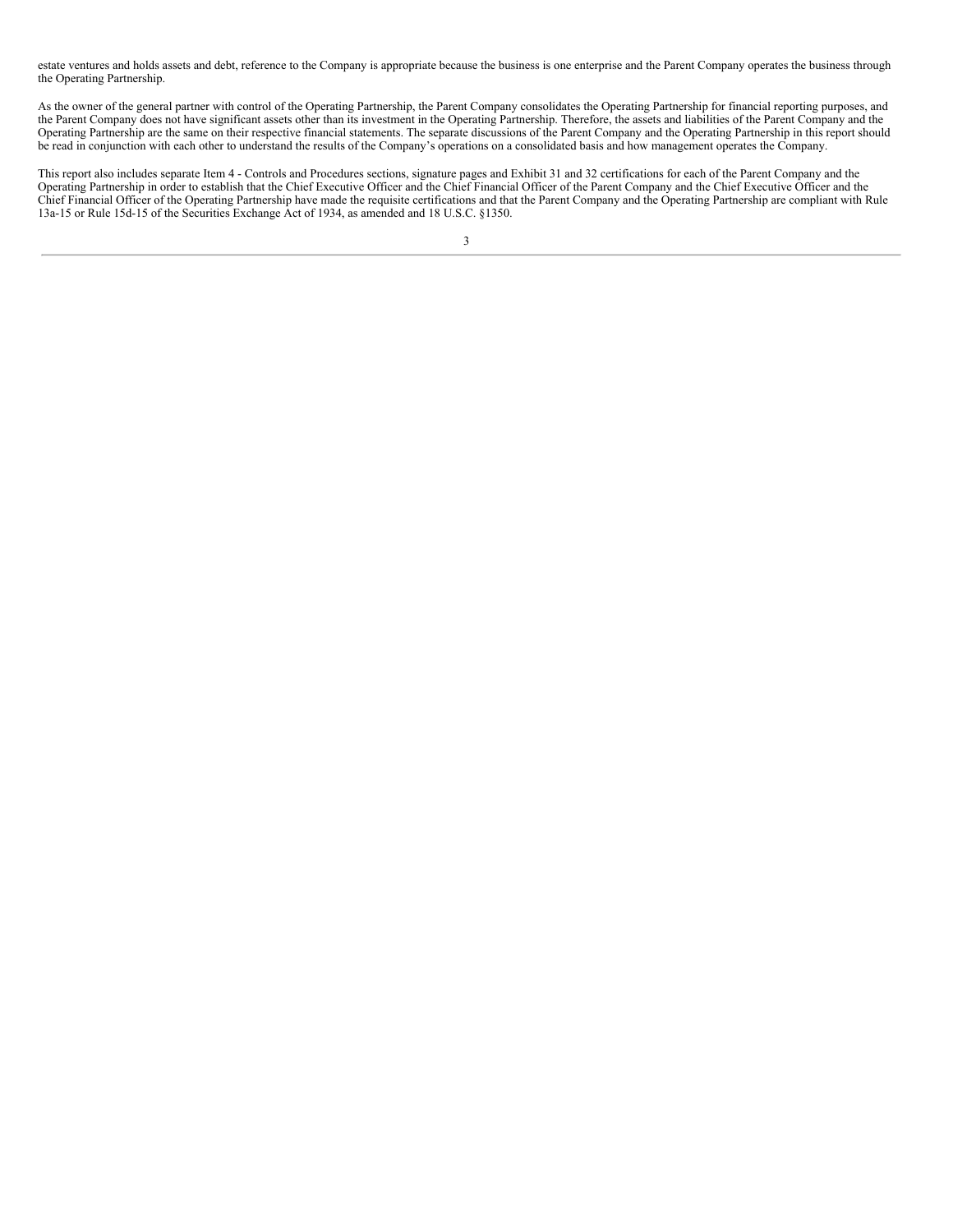estate ventures and holds assets and debt, reference to the Company is appropriate because the business is one enterprise and the Parent Company operates the business through the Operating Partnership.

As the owner of the general partner with control of the Operating Partnership, the Parent Company consolidates the Operating Partnership for financial reporting purposes, and the Parent Company does not have significant assets other than its investment in the Operating Partnership. Therefore, the assets and liabilities of the Parent Company and the Operating Partnership are the same on their respective financial statements. The separate discussions of the Parent Company and the Operating Partnership in this report should be read in conjunction with each other to understand the results of the Company's operations on a consolidated basis and how management operates the Company.

This report also includes separate Item 4 - Controls and Procedures sections, signature pages and Exhibit 31 and 32 certifications for each of the Parent Company and the Operating Partnership in order to establish that the Chief Executive Officer and the Chief Financial Officer of the Parent Company and the Chief Executive Officer and the Chief Financial Officer of the Operating Partnership have made the requisite certifications and that the Parent Company and the Operating Partnership are compliant with Rule 13a-15 or Rule 15d-15 of the Securities Exchange Act of 1934, as amended and 18 U.S.C. §1350.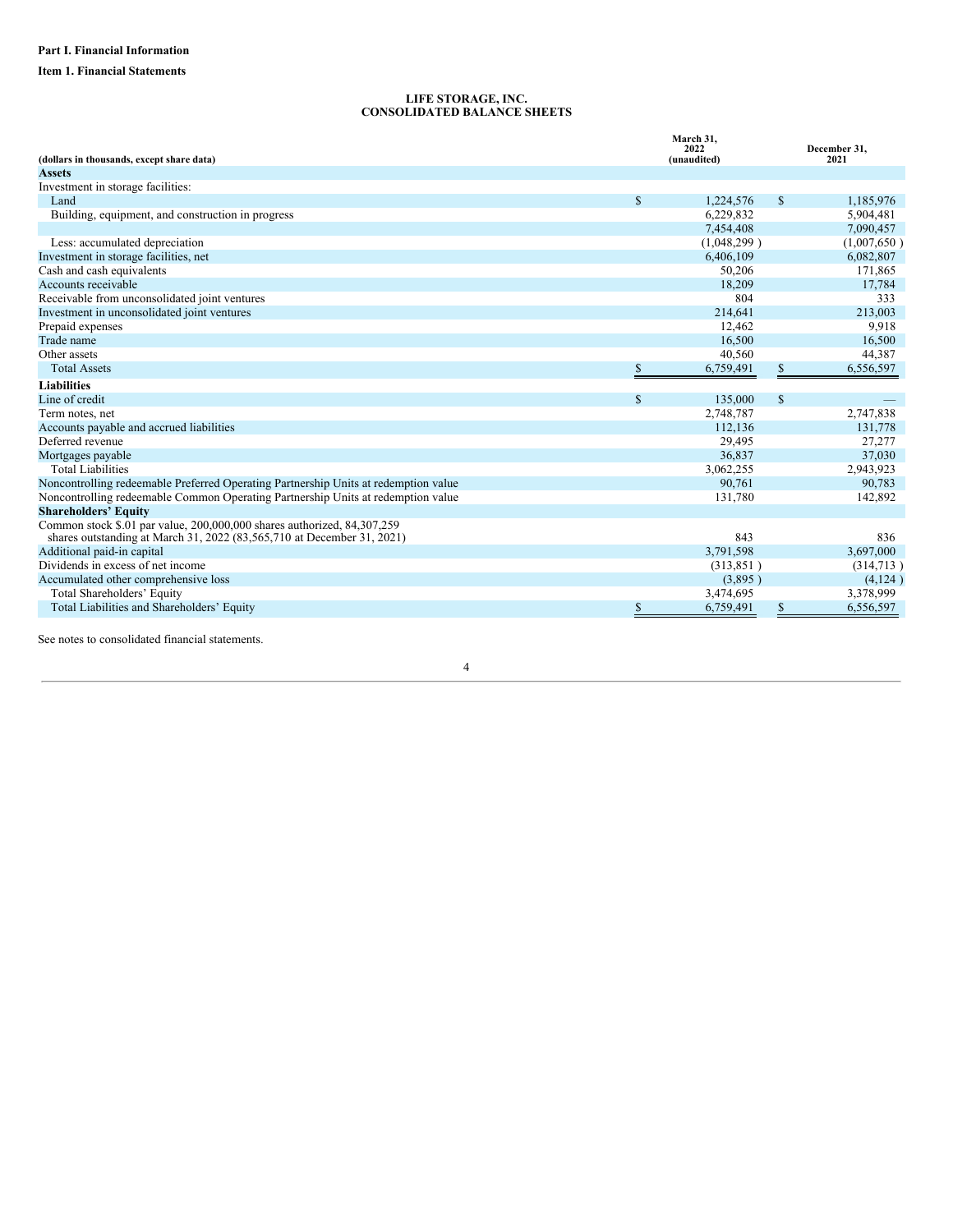**Item 1. Financial Statements**

# **LIFE STORAGE, INC. CONSOLIDATED BALANCE SHEETS**

| (dollars in thousands, except share data)                                                                                                         |               | March 31,<br>2022<br>(unaudited) | December 31.<br>2021 |
|---------------------------------------------------------------------------------------------------------------------------------------------------|---------------|----------------------------------|----------------------|
| <b>Assets</b>                                                                                                                                     |               |                                  |                      |
| Investment in storage facilities:                                                                                                                 |               |                                  |                      |
| Land                                                                                                                                              | <sup>\$</sup> | 1,224,576                        | \$<br>1,185,976      |
| Building, equipment, and construction in progress                                                                                                 |               | 6,229,832                        | 5,904,481            |
|                                                                                                                                                   |               | 7,454,408                        | 7,090,457            |
| Less: accumulated depreciation                                                                                                                    |               | (1,048,299)                      | (1,007,650)          |
| Investment in storage facilities, net                                                                                                             |               | 6,406,109                        | 6,082,807            |
| Cash and cash equivalents                                                                                                                         |               | 50,206                           | 171,865              |
| Accounts receivable                                                                                                                               |               | 18,209                           | 17,784               |
| Receivable from unconsolidated joint ventures                                                                                                     |               | 804                              | 333                  |
| Investment in unconsolidated joint ventures                                                                                                       |               | 214,641                          | 213,003              |
| Prepaid expenses                                                                                                                                  |               | 12,462                           | 9,918                |
| Trade name                                                                                                                                        |               | 16,500                           | 16,500               |
| Other assets                                                                                                                                      |               | 40,560                           | 44,387               |
| <b>Total Assets</b>                                                                                                                               | <sup>\$</sup> | 6,759,491                        | \$<br>6,556,597      |
| <b>Liabilities</b>                                                                                                                                |               |                                  |                      |
| Line of credit                                                                                                                                    | <sup>\$</sup> | 135,000                          | \$                   |
| Term notes, net                                                                                                                                   |               | 2,748,787                        | 2,747,838            |
| Accounts payable and accrued liabilities                                                                                                          |               | 112,136                          | 131,778              |
| Deferred revenue                                                                                                                                  |               | 29,495                           | 27,277               |
| Mortgages payable                                                                                                                                 |               | 36,837                           | 37,030               |
| <b>Total Liabilities</b>                                                                                                                          |               | 3,062,255                        | 2,943,923            |
| Noncontrolling redeemable Preferred Operating Partnership Units at redemption value                                                               |               | 90,761                           | 90,783               |
| Noncontrolling redeemable Common Operating Partnership Units at redemption value                                                                  |               | 131,780                          | 142,892              |
| <b>Shareholders' Equity</b>                                                                                                                       |               |                                  |                      |
| Common stock \$.01 par value, 200,000,000 shares authorized, 84,307,259<br>shares outstanding at March 31, 2022 (83,565,710 at December 31, 2021) |               | 843                              | 836                  |
| Additional paid-in capital                                                                                                                        |               | 3,791,598                        | 3,697,000            |
| Dividends in excess of net income                                                                                                                 |               | (313, 851)                       | (314,713)            |
| Accumulated other comprehensive loss                                                                                                              |               | (3,895)                          | (4,124)              |
| Total Shareholders' Equity                                                                                                                        |               | 3,474,695                        | 3,378,999            |
| Total Liabilities and Shareholders' Equity                                                                                                        | \$            | 6,759,491                        | \$<br>6,556,597      |

4

See notes to consolidated financial statements.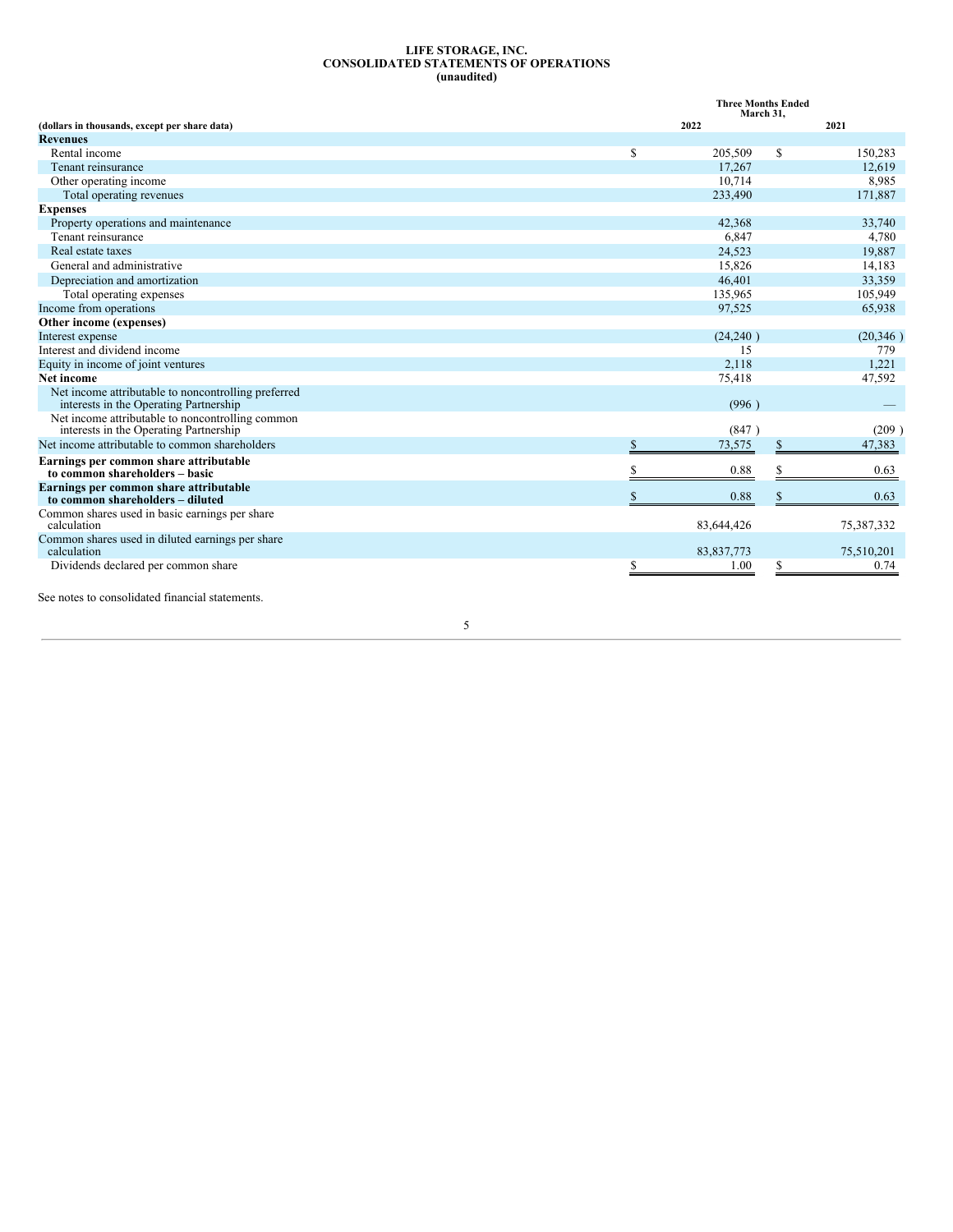#### **LIFE STORAGE, INC. CONSOLIDATED STATEMENTS OF OPERATIONS (unaudited)**

|                                                                                               | <b>Three Months Ended</b><br>March 31, |    |            |  |  |
|-----------------------------------------------------------------------------------------------|----------------------------------------|----|------------|--|--|
| (dollars in thousands, except per share data)                                                 | 2022                                   |    | 2021       |  |  |
| <b>Revenues</b>                                                                               |                                        |    |            |  |  |
| Rental income                                                                                 | \$<br>205,509                          | \$ | 150,283    |  |  |
| Tenant reinsurance                                                                            | 17.267                                 |    | 12,619     |  |  |
| Other operating income                                                                        | 10.714                                 |    | 8,985      |  |  |
| Total operating revenues                                                                      | 233,490                                |    | 171,887    |  |  |
| <b>Expenses</b>                                                                               |                                        |    |            |  |  |
| Property operations and maintenance                                                           | 42.368                                 |    | 33,740     |  |  |
| Tenant reinsurance                                                                            | 6,847                                  |    | 4,780      |  |  |
| Real estate taxes                                                                             | 24,523                                 |    | 19,887     |  |  |
| General and administrative                                                                    | 15,826                                 |    | 14,183     |  |  |
| Depreciation and amortization                                                                 | 46,401                                 |    | 33,359     |  |  |
| Total operating expenses                                                                      | 135,965                                |    | 105,949    |  |  |
| Income from operations                                                                        | 97,525                                 |    | 65,938     |  |  |
| Other income (expenses)                                                                       |                                        |    |            |  |  |
| Interest expense                                                                              | (24,240)                               |    | (20, 346)  |  |  |
| Interest and dividend income                                                                  | 15                                     |    | 779        |  |  |
| Equity in income of joint ventures                                                            | 2.118                                  |    | 1,221      |  |  |
| Net income                                                                                    | 75,418                                 |    | 47,592     |  |  |
| Net income attributable to noncontrolling preferred<br>interests in the Operating Partnership | (996)                                  |    |            |  |  |
| Net income attributable to noncontrolling common<br>interests in the Operating Partnership    | (847)                                  |    | (209)      |  |  |
| Net income attributable to common shareholders                                                | 73,575                                 |    | 47,383     |  |  |
| Earnings per common share attributable<br>to common shareholders - basic                      | 0.88                                   |    | 0.63       |  |  |
| Earnings per common share attributable<br>to common shareholders - diluted                    | 0.88                                   | S. | 0.63       |  |  |
| Common shares used in basic earnings per share<br>calculation                                 | 83,644,426                             |    | 75,387,332 |  |  |
| Common shares used in diluted earnings per share<br>calculation                               | 83, 837, 773                           |    | 75,510,201 |  |  |
| Dividends declared per common share                                                           | 1.00                                   |    | 0.74       |  |  |

See notes to consolidated financial statements.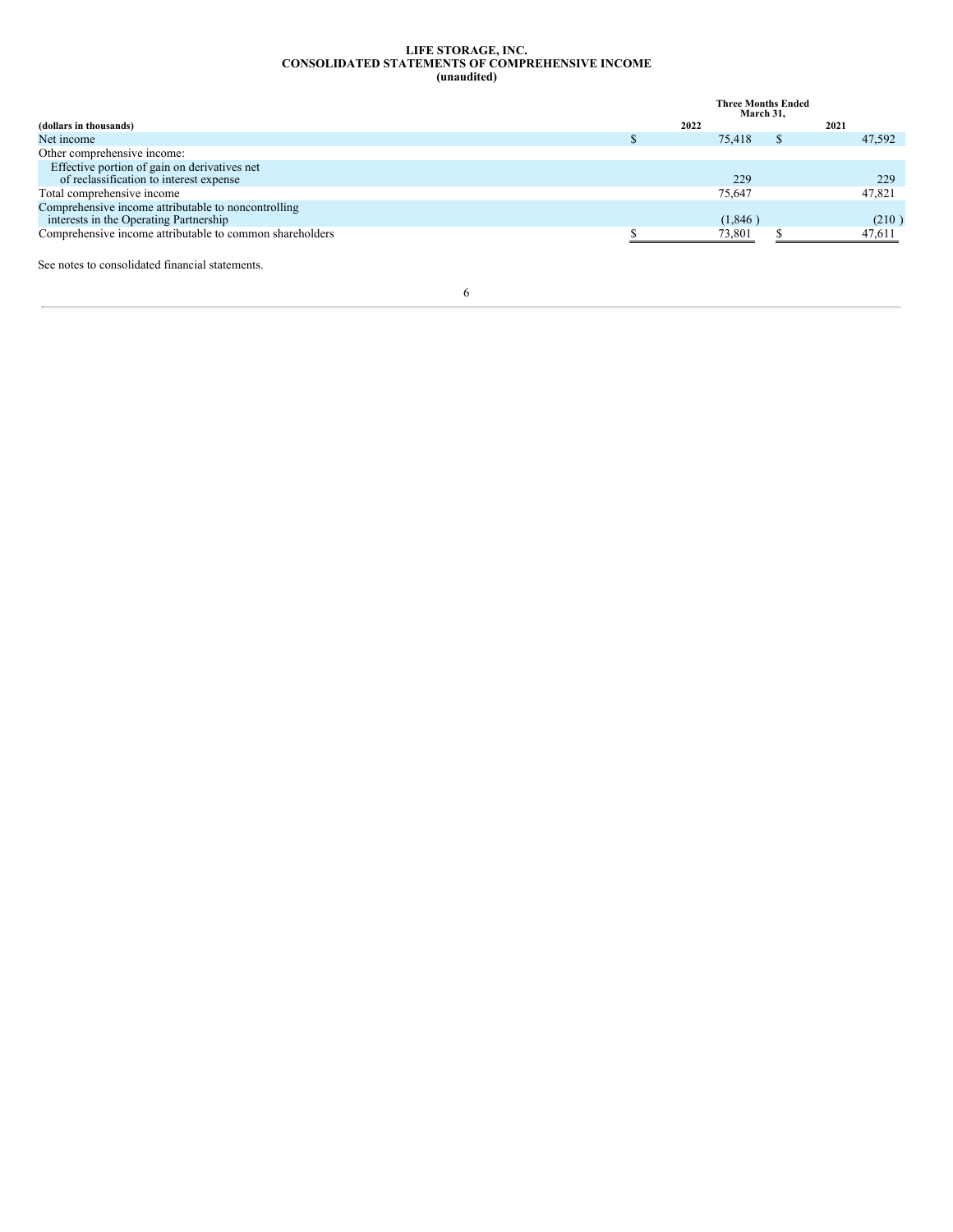#### **LIFE STORAGE, INC. CONSOLIDATED STATEMENTS OF COMPREHENSIVE INCOME (unaudited)**

|                                                                                               |  | <b>Three Months Ended</b><br>March 31, |  |        |  |
|-----------------------------------------------------------------------------------------------|--|----------------------------------------|--|--------|--|
| (dollars in thousands)                                                                        |  | 2022                                   |  | 2021   |  |
| Net income                                                                                    |  | 75.418                                 |  | 47.592 |  |
| Other comprehensive income:                                                                   |  |                                        |  |        |  |
| Effective portion of gain on derivatives net<br>of reclassification to interest expense       |  | 229                                    |  | 229    |  |
| Total comprehensive income                                                                    |  | 75.647                                 |  | 47.821 |  |
| Comprehensive income attributable to noncontrolling<br>interests in the Operating Partnership |  | (1,846)                                |  | (210)  |  |
| Comprehensive income attributable to common shareholders                                      |  | 73,801                                 |  | 47.611 |  |

See notes to consolidated financial statements.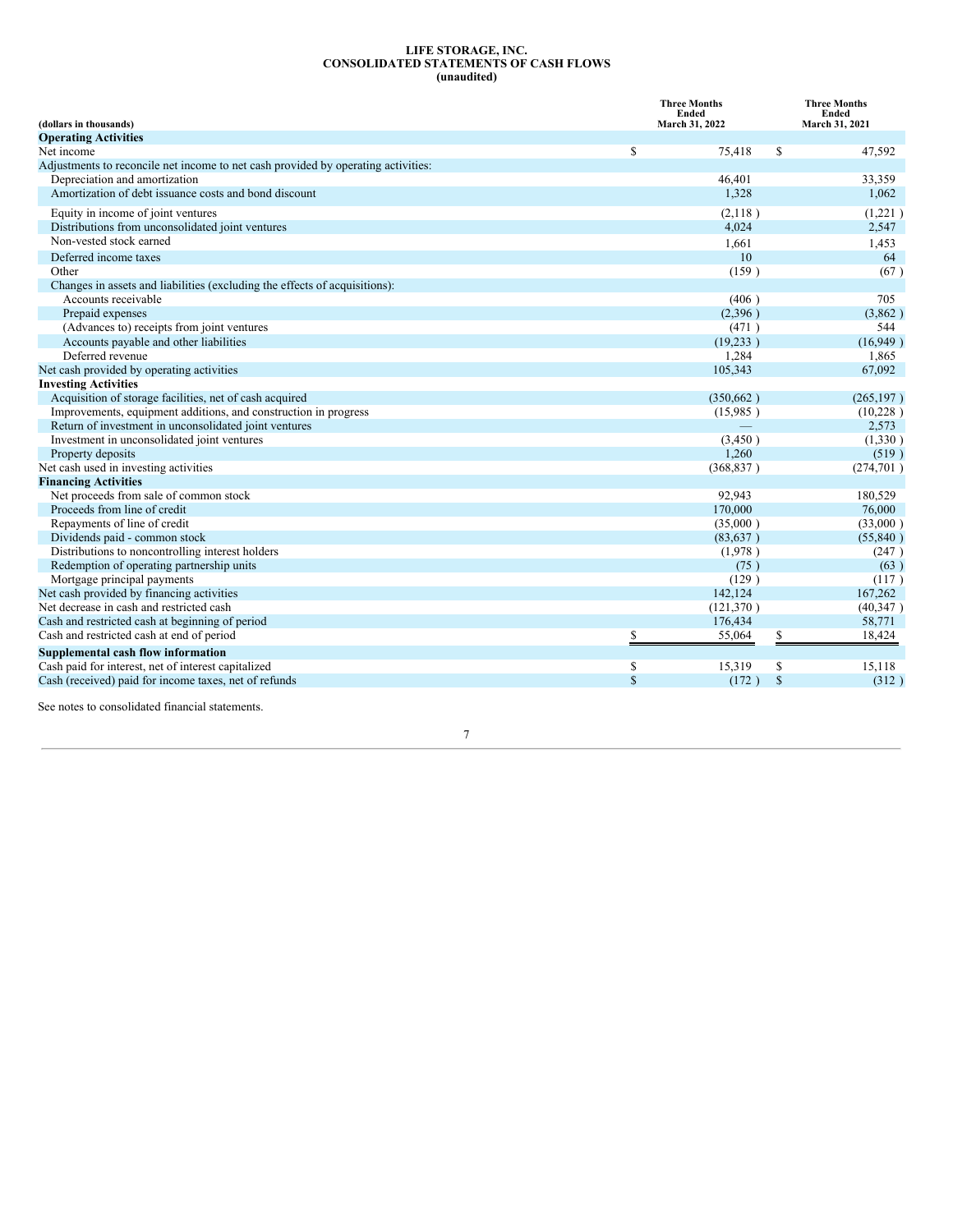#### **LIFE STORAGE, INC. CONSOLIDATED STATEMENTS OF CASH FLOWS (unaudited)**

| March 31, 2022<br><b>March 31, 2021</b><br><b>Operating Activities</b><br>\$<br><sup>\$</sup><br>Net income<br>75,418<br>47,592<br>Adjustments to reconcile net income to net cash provided by operating activities:<br>Depreciation and amortization<br>46,401<br>33,359<br>Amortization of debt issuance costs and bond discount<br>1,328<br>1,062<br>(2,118)<br>Equity in income of joint ventures<br>(1,221)<br>Distributions from unconsolidated joint ventures<br>4,024<br>2,547<br>Non-vested stock earned<br>1,661<br>1,453<br>10<br>Deferred income taxes<br>64<br>Other<br>(159)<br>(67)<br>Changes in assets and liabilities (excluding the effects of acquisitions):<br>705<br>Accounts receivable<br>(406)<br>Prepaid expenses<br>(2,396)<br>(3,862)<br>(Advances to) receipts from joint ventures<br>544<br>(471)<br>Accounts payable and other liabilities<br>(19, 233)<br>(16,949)<br>Deferred revenue<br>1,284<br>1,865<br>Net cash provided by operating activities<br>105,343<br>67,092<br><b>Investing Activities</b><br>Acquisition of storage facilities, net of cash acquired<br>(350, 662)<br>(265, 197)<br>Improvements, equipment additions, and construction in progress<br>(15,985)<br>(10,228)<br>Return of investment in unconsolidated joint ventures<br>2,573<br>Investment in unconsolidated joint ventures<br>(3,450)<br>(1,330)<br>Property deposits<br>1,260<br>(519)<br>Net cash used in investing activities<br>(368, 837)<br>(274, 701)<br><b>Financing Activities</b><br>Net proceeds from sale of common stock<br>92,943<br>180,529<br>Proceeds from line of credit<br>170,000<br>76,000<br>Repayments of line of credit<br>(35,000)<br>(33,000)<br>Dividends paid - common stock<br>(83, 637)<br>(55,840)<br>Distributions to noncontrolling interest holders<br>(1,978)<br>(247)<br>Redemption of operating partnership units<br>(75)<br>(63)<br>Mortgage principal payments<br>(129)<br>(117)<br>Net cash provided by financing activities<br>142,124<br>167,262<br>Net decrease in cash and restricted cash<br>(121, 370)<br>(40, 347)<br>Cash and restricted cash at beginning of period<br>176,434<br>58,771<br>Cash and restricted cash at end of period<br>\$<br>55,064<br>18,424<br>S<br>Supplemental cash flow information<br>Cash paid for interest, net of interest capitalized<br>15,319<br>\$<br>\$<br>15,118<br>\$<br>$\mathsf{\$}$<br>Cash (received) paid for income taxes, net of refunds<br>(172)<br>(312) |                        | <b>Three Months</b><br>Ended | <b>Three Months</b><br>Ended |
|------------------------------------------------------------------------------------------------------------------------------------------------------------------------------------------------------------------------------------------------------------------------------------------------------------------------------------------------------------------------------------------------------------------------------------------------------------------------------------------------------------------------------------------------------------------------------------------------------------------------------------------------------------------------------------------------------------------------------------------------------------------------------------------------------------------------------------------------------------------------------------------------------------------------------------------------------------------------------------------------------------------------------------------------------------------------------------------------------------------------------------------------------------------------------------------------------------------------------------------------------------------------------------------------------------------------------------------------------------------------------------------------------------------------------------------------------------------------------------------------------------------------------------------------------------------------------------------------------------------------------------------------------------------------------------------------------------------------------------------------------------------------------------------------------------------------------------------------------------------------------------------------------------------------------------------------------------------------------------------------------------------------------------------------------------------------------------------------------------------------------------------------------------------------------------------------------------------------------------------------------------------------------------------------------------------------------------------------------------------------------------------------------------------------------------------------------------------------|------------------------|------------------------------|------------------------------|
|                                                                                                                                                                                                                                                                                                                                                                                                                                                                                                                                                                                                                                                                                                                                                                                                                                                                                                                                                                                                                                                                                                                                                                                                                                                                                                                                                                                                                                                                                                                                                                                                                                                                                                                                                                                                                                                                                                                                                                                                                                                                                                                                                                                                                                                                                                                                                                                                                                                                        | (dollars in thousands) |                              |                              |
|                                                                                                                                                                                                                                                                                                                                                                                                                                                                                                                                                                                                                                                                                                                                                                                                                                                                                                                                                                                                                                                                                                                                                                                                                                                                                                                                                                                                                                                                                                                                                                                                                                                                                                                                                                                                                                                                                                                                                                                                                                                                                                                                                                                                                                                                                                                                                                                                                                                                        |                        |                              |                              |
|                                                                                                                                                                                                                                                                                                                                                                                                                                                                                                                                                                                                                                                                                                                                                                                                                                                                                                                                                                                                                                                                                                                                                                                                                                                                                                                                                                                                                                                                                                                                                                                                                                                                                                                                                                                                                                                                                                                                                                                                                                                                                                                                                                                                                                                                                                                                                                                                                                                                        |                        |                              |                              |
|                                                                                                                                                                                                                                                                                                                                                                                                                                                                                                                                                                                                                                                                                                                                                                                                                                                                                                                                                                                                                                                                                                                                                                                                                                                                                                                                                                                                                                                                                                                                                                                                                                                                                                                                                                                                                                                                                                                                                                                                                                                                                                                                                                                                                                                                                                                                                                                                                                                                        |                        |                              |                              |
|                                                                                                                                                                                                                                                                                                                                                                                                                                                                                                                                                                                                                                                                                                                                                                                                                                                                                                                                                                                                                                                                                                                                                                                                                                                                                                                                                                                                                                                                                                                                                                                                                                                                                                                                                                                                                                                                                                                                                                                                                                                                                                                                                                                                                                                                                                                                                                                                                                                                        |                        |                              |                              |
|                                                                                                                                                                                                                                                                                                                                                                                                                                                                                                                                                                                                                                                                                                                                                                                                                                                                                                                                                                                                                                                                                                                                                                                                                                                                                                                                                                                                                                                                                                                                                                                                                                                                                                                                                                                                                                                                                                                                                                                                                                                                                                                                                                                                                                                                                                                                                                                                                                                                        |                        |                              |                              |
|                                                                                                                                                                                                                                                                                                                                                                                                                                                                                                                                                                                                                                                                                                                                                                                                                                                                                                                                                                                                                                                                                                                                                                                                                                                                                                                                                                                                                                                                                                                                                                                                                                                                                                                                                                                                                                                                                                                                                                                                                                                                                                                                                                                                                                                                                                                                                                                                                                                                        |                        |                              |                              |
|                                                                                                                                                                                                                                                                                                                                                                                                                                                                                                                                                                                                                                                                                                                                                                                                                                                                                                                                                                                                                                                                                                                                                                                                                                                                                                                                                                                                                                                                                                                                                                                                                                                                                                                                                                                                                                                                                                                                                                                                                                                                                                                                                                                                                                                                                                                                                                                                                                                                        |                        |                              |                              |
|                                                                                                                                                                                                                                                                                                                                                                                                                                                                                                                                                                                                                                                                                                                                                                                                                                                                                                                                                                                                                                                                                                                                                                                                                                                                                                                                                                                                                                                                                                                                                                                                                                                                                                                                                                                                                                                                                                                                                                                                                                                                                                                                                                                                                                                                                                                                                                                                                                                                        |                        |                              |                              |
|                                                                                                                                                                                                                                                                                                                                                                                                                                                                                                                                                                                                                                                                                                                                                                                                                                                                                                                                                                                                                                                                                                                                                                                                                                                                                                                                                                                                                                                                                                                                                                                                                                                                                                                                                                                                                                                                                                                                                                                                                                                                                                                                                                                                                                                                                                                                                                                                                                                                        |                        |                              |                              |
|                                                                                                                                                                                                                                                                                                                                                                                                                                                                                                                                                                                                                                                                                                                                                                                                                                                                                                                                                                                                                                                                                                                                                                                                                                                                                                                                                                                                                                                                                                                                                                                                                                                                                                                                                                                                                                                                                                                                                                                                                                                                                                                                                                                                                                                                                                                                                                                                                                                                        |                        |                              |                              |
|                                                                                                                                                                                                                                                                                                                                                                                                                                                                                                                                                                                                                                                                                                                                                                                                                                                                                                                                                                                                                                                                                                                                                                                                                                                                                                                                                                                                                                                                                                                                                                                                                                                                                                                                                                                                                                                                                                                                                                                                                                                                                                                                                                                                                                                                                                                                                                                                                                                                        |                        |                              |                              |
|                                                                                                                                                                                                                                                                                                                                                                                                                                                                                                                                                                                                                                                                                                                                                                                                                                                                                                                                                                                                                                                                                                                                                                                                                                                                                                                                                                                                                                                                                                                                                                                                                                                                                                                                                                                                                                                                                                                                                                                                                                                                                                                                                                                                                                                                                                                                                                                                                                                                        |                        |                              |                              |
|                                                                                                                                                                                                                                                                                                                                                                                                                                                                                                                                                                                                                                                                                                                                                                                                                                                                                                                                                                                                                                                                                                                                                                                                                                                                                                                                                                                                                                                                                                                                                                                                                                                                                                                                                                                                                                                                                                                                                                                                                                                                                                                                                                                                                                                                                                                                                                                                                                                                        |                        |                              |                              |
|                                                                                                                                                                                                                                                                                                                                                                                                                                                                                                                                                                                                                                                                                                                                                                                                                                                                                                                                                                                                                                                                                                                                                                                                                                                                                                                                                                                                                                                                                                                                                                                                                                                                                                                                                                                                                                                                                                                                                                                                                                                                                                                                                                                                                                                                                                                                                                                                                                                                        |                        |                              |                              |
|                                                                                                                                                                                                                                                                                                                                                                                                                                                                                                                                                                                                                                                                                                                                                                                                                                                                                                                                                                                                                                                                                                                                                                                                                                                                                                                                                                                                                                                                                                                                                                                                                                                                                                                                                                                                                                                                                                                                                                                                                                                                                                                                                                                                                                                                                                                                                                                                                                                                        |                        |                              |                              |
|                                                                                                                                                                                                                                                                                                                                                                                                                                                                                                                                                                                                                                                                                                                                                                                                                                                                                                                                                                                                                                                                                                                                                                                                                                                                                                                                                                                                                                                                                                                                                                                                                                                                                                                                                                                                                                                                                                                                                                                                                                                                                                                                                                                                                                                                                                                                                                                                                                                                        |                        |                              |                              |
|                                                                                                                                                                                                                                                                                                                                                                                                                                                                                                                                                                                                                                                                                                                                                                                                                                                                                                                                                                                                                                                                                                                                                                                                                                                                                                                                                                                                                                                                                                                                                                                                                                                                                                                                                                                                                                                                                                                                                                                                                                                                                                                                                                                                                                                                                                                                                                                                                                                                        |                        |                              |                              |
|                                                                                                                                                                                                                                                                                                                                                                                                                                                                                                                                                                                                                                                                                                                                                                                                                                                                                                                                                                                                                                                                                                                                                                                                                                                                                                                                                                                                                                                                                                                                                                                                                                                                                                                                                                                                                                                                                                                                                                                                                                                                                                                                                                                                                                                                                                                                                                                                                                                                        |                        |                              |                              |
|                                                                                                                                                                                                                                                                                                                                                                                                                                                                                                                                                                                                                                                                                                                                                                                                                                                                                                                                                                                                                                                                                                                                                                                                                                                                                                                                                                                                                                                                                                                                                                                                                                                                                                                                                                                                                                                                                                                                                                                                                                                                                                                                                                                                                                                                                                                                                                                                                                                                        |                        |                              |                              |
|                                                                                                                                                                                                                                                                                                                                                                                                                                                                                                                                                                                                                                                                                                                                                                                                                                                                                                                                                                                                                                                                                                                                                                                                                                                                                                                                                                                                                                                                                                                                                                                                                                                                                                                                                                                                                                                                                                                                                                                                                                                                                                                                                                                                                                                                                                                                                                                                                                                                        |                        |                              |                              |
|                                                                                                                                                                                                                                                                                                                                                                                                                                                                                                                                                                                                                                                                                                                                                                                                                                                                                                                                                                                                                                                                                                                                                                                                                                                                                                                                                                                                                                                                                                                                                                                                                                                                                                                                                                                                                                                                                                                                                                                                                                                                                                                                                                                                                                                                                                                                                                                                                                                                        |                        |                              |                              |
|                                                                                                                                                                                                                                                                                                                                                                                                                                                                                                                                                                                                                                                                                                                                                                                                                                                                                                                                                                                                                                                                                                                                                                                                                                                                                                                                                                                                                                                                                                                                                                                                                                                                                                                                                                                                                                                                                                                                                                                                                                                                                                                                                                                                                                                                                                                                                                                                                                                                        |                        |                              |                              |
|                                                                                                                                                                                                                                                                                                                                                                                                                                                                                                                                                                                                                                                                                                                                                                                                                                                                                                                                                                                                                                                                                                                                                                                                                                                                                                                                                                                                                                                                                                                                                                                                                                                                                                                                                                                                                                                                                                                                                                                                                                                                                                                                                                                                                                                                                                                                                                                                                                                                        |                        |                              |                              |
|                                                                                                                                                                                                                                                                                                                                                                                                                                                                                                                                                                                                                                                                                                                                                                                                                                                                                                                                                                                                                                                                                                                                                                                                                                                                                                                                                                                                                                                                                                                                                                                                                                                                                                                                                                                                                                                                                                                                                                                                                                                                                                                                                                                                                                                                                                                                                                                                                                                                        |                        |                              |                              |
|                                                                                                                                                                                                                                                                                                                                                                                                                                                                                                                                                                                                                                                                                                                                                                                                                                                                                                                                                                                                                                                                                                                                                                                                                                                                                                                                                                                                                                                                                                                                                                                                                                                                                                                                                                                                                                                                                                                                                                                                                                                                                                                                                                                                                                                                                                                                                                                                                                                                        |                        |                              |                              |
|                                                                                                                                                                                                                                                                                                                                                                                                                                                                                                                                                                                                                                                                                                                                                                                                                                                                                                                                                                                                                                                                                                                                                                                                                                                                                                                                                                                                                                                                                                                                                                                                                                                                                                                                                                                                                                                                                                                                                                                                                                                                                                                                                                                                                                                                                                                                                                                                                                                                        |                        |                              |                              |
|                                                                                                                                                                                                                                                                                                                                                                                                                                                                                                                                                                                                                                                                                                                                                                                                                                                                                                                                                                                                                                                                                                                                                                                                                                                                                                                                                                                                                                                                                                                                                                                                                                                                                                                                                                                                                                                                                                                                                                                                                                                                                                                                                                                                                                                                                                                                                                                                                                                                        |                        |                              |                              |
|                                                                                                                                                                                                                                                                                                                                                                                                                                                                                                                                                                                                                                                                                                                                                                                                                                                                                                                                                                                                                                                                                                                                                                                                                                                                                                                                                                                                                                                                                                                                                                                                                                                                                                                                                                                                                                                                                                                                                                                                                                                                                                                                                                                                                                                                                                                                                                                                                                                                        |                        |                              |                              |
|                                                                                                                                                                                                                                                                                                                                                                                                                                                                                                                                                                                                                                                                                                                                                                                                                                                                                                                                                                                                                                                                                                                                                                                                                                                                                                                                                                                                                                                                                                                                                                                                                                                                                                                                                                                                                                                                                                                                                                                                                                                                                                                                                                                                                                                                                                                                                                                                                                                                        |                        |                              |                              |
|                                                                                                                                                                                                                                                                                                                                                                                                                                                                                                                                                                                                                                                                                                                                                                                                                                                                                                                                                                                                                                                                                                                                                                                                                                                                                                                                                                                                                                                                                                                                                                                                                                                                                                                                                                                                                                                                                                                                                                                                                                                                                                                                                                                                                                                                                                                                                                                                                                                                        |                        |                              |                              |
|                                                                                                                                                                                                                                                                                                                                                                                                                                                                                                                                                                                                                                                                                                                                                                                                                                                                                                                                                                                                                                                                                                                                                                                                                                                                                                                                                                                                                                                                                                                                                                                                                                                                                                                                                                                                                                                                                                                                                                                                                                                                                                                                                                                                                                                                                                                                                                                                                                                                        |                        |                              |                              |
|                                                                                                                                                                                                                                                                                                                                                                                                                                                                                                                                                                                                                                                                                                                                                                                                                                                                                                                                                                                                                                                                                                                                                                                                                                                                                                                                                                                                                                                                                                                                                                                                                                                                                                                                                                                                                                                                                                                                                                                                                                                                                                                                                                                                                                                                                                                                                                                                                                                                        |                        |                              |                              |
|                                                                                                                                                                                                                                                                                                                                                                                                                                                                                                                                                                                                                                                                                                                                                                                                                                                                                                                                                                                                                                                                                                                                                                                                                                                                                                                                                                                                                                                                                                                                                                                                                                                                                                                                                                                                                                                                                                                                                                                                                                                                                                                                                                                                                                                                                                                                                                                                                                                                        |                        |                              |                              |
|                                                                                                                                                                                                                                                                                                                                                                                                                                                                                                                                                                                                                                                                                                                                                                                                                                                                                                                                                                                                                                                                                                                                                                                                                                                                                                                                                                                                                                                                                                                                                                                                                                                                                                                                                                                                                                                                                                                                                                                                                                                                                                                                                                                                                                                                                                                                                                                                                                                                        |                        |                              |                              |
|                                                                                                                                                                                                                                                                                                                                                                                                                                                                                                                                                                                                                                                                                                                                                                                                                                                                                                                                                                                                                                                                                                                                                                                                                                                                                                                                                                                                                                                                                                                                                                                                                                                                                                                                                                                                                                                                                                                                                                                                                                                                                                                                                                                                                                                                                                                                                                                                                                                                        |                        |                              |                              |
|                                                                                                                                                                                                                                                                                                                                                                                                                                                                                                                                                                                                                                                                                                                                                                                                                                                                                                                                                                                                                                                                                                                                                                                                                                                                                                                                                                                                                                                                                                                                                                                                                                                                                                                                                                                                                                                                                                                                                                                                                                                                                                                                                                                                                                                                                                                                                                                                                                                                        |                        |                              |                              |
|                                                                                                                                                                                                                                                                                                                                                                                                                                                                                                                                                                                                                                                                                                                                                                                                                                                                                                                                                                                                                                                                                                                                                                                                                                                                                                                                                                                                                                                                                                                                                                                                                                                                                                                                                                                                                                                                                                                                                                                                                                                                                                                                                                                                                                                                                                                                                                                                                                                                        |                        |                              |                              |
|                                                                                                                                                                                                                                                                                                                                                                                                                                                                                                                                                                                                                                                                                                                                                                                                                                                                                                                                                                                                                                                                                                                                                                                                                                                                                                                                                                                                                                                                                                                                                                                                                                                                                                                                                                                                                                                                                                                                                                                                                                                                                                                                                                                                                                                                                                                                                                                                                                                                        |                        |                              |                              |
|                                                                                                                                                                                                                                                                                                                                                                                                                                                                                                                                                                                                                                                                                                                                                                                                                                                                                                                                                                                                                                                                                                                                                                                                                                                                                                                                                                                                                                                                                                                                                                                                                                                                                                                                                                                                                                                                                                                                                                                                                                                                                                                                                                                                                                                                                                                                                                                                                                                                        |                        |                              |                              |

See notes to consolidated financial statements.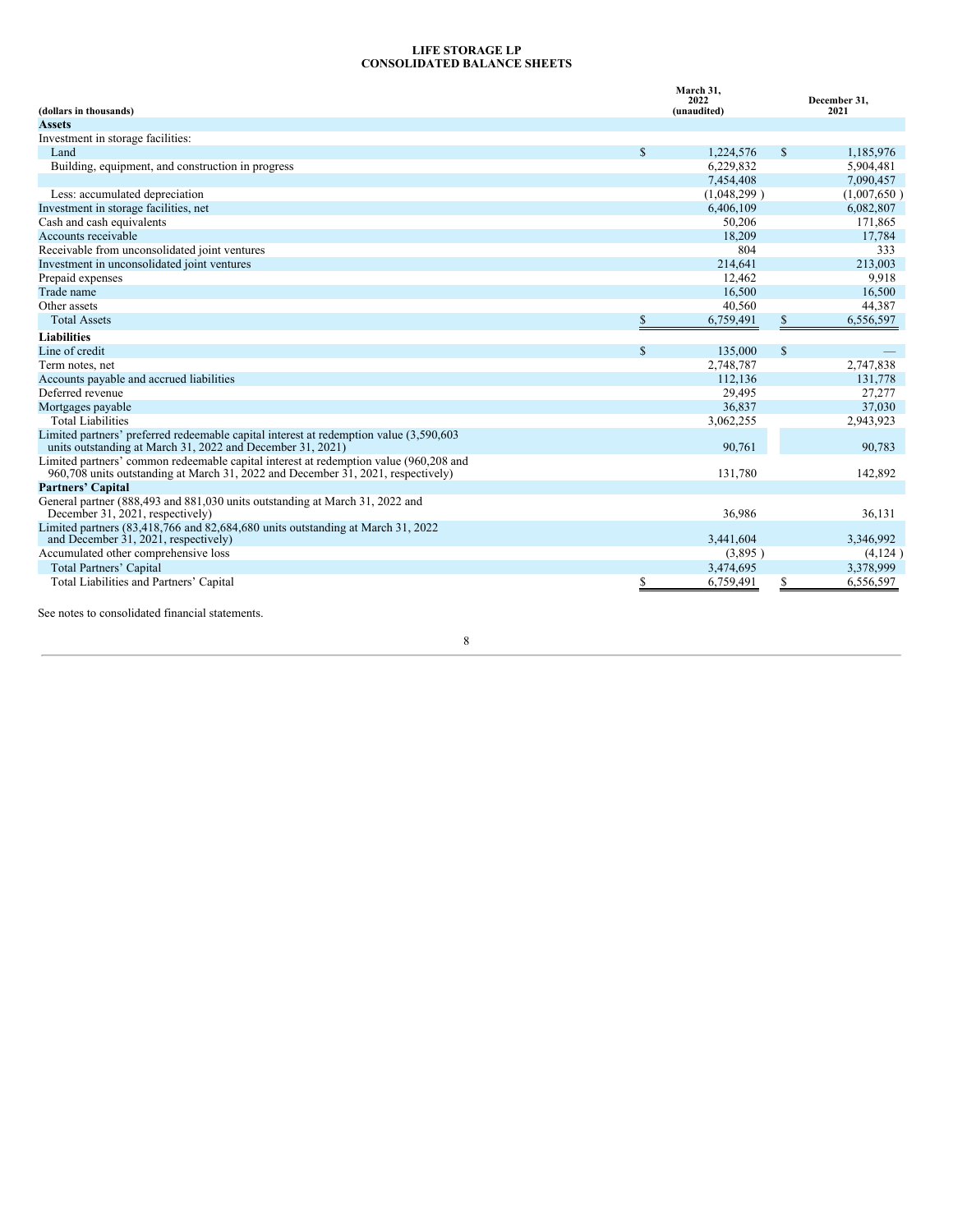### **LIFE STORAGE LP CONSOLIDATED BALANCE SHEETS**

|                                                                                                                                                                           |             | March 31.<br>2022 |              | December 31, |
|---------------------------------------------------------------------------------------------------------------------------------------------------------------------------|-------------|-------------------|--------------|--------------|
| (dollars in thousands)                                                                                                                                                    |             | (unaudited)       |              | 2021         |
| <b>Assets</b>                                                                                                                                                             |             |                   |              |              |
| Investment in storage facilities:                                                                                                                                         |             |                   |              |              |
| Land                                                                                                                                                                      | $\mathbf S$ | 1,224,576         | $\mathbf S$  | 1,185,976    |
| Building, equipment, and construction in progress                                                                                                                         |             | 6,229,832         |              | 5,904,481    |
|                                                                                                                                                                           |             | 7,454,408         |              | 7,090,457    |
| Less: accumulated depreciation                                                                                                                                            |             | (1,048,299)       |              | (1,007,650)  |
| Investment in storage facilities, net                                                                                                                                     |             | 6,406,109         |              | 6,082,807    |
| Cash and cash equivalents                                                                                                                                                 |             | 50,206            |              | 171,865      |
| Accounts receivable                                                                                                                                                       |             | 18,209            |              | 17,784       |
| Receivable from unconsolidated joint ventures                                                                                                                             |             | 804               |              | 333          |
| Investment in unconsolidated joint ventures                                                                                                                               |             | 214,641           |              | 213,003      |
| Prepaid expenses                                                                                                                                                          |             | 12,462            |              | 9,918        |
| Trade name                                                                                                                                                                |             | 16,500            |              | 16,500       |
| Other assets                                                                                                                                                              |             | 40,560            |              | 44,387       |
| <b>Total Assets</b>                                                                                                                                                       | \$          | 6,759,491         | \$           | 6,556,597    |
| <b>Liabilities</b>                                                                                                                                                        |             |                   |              |              |
| Line of credit                                                                                                                                                            | $\mathbf S$ | 135,000           | $\mathbb{S}$ |              |
| Term notes, net                                                                                                                                                           |             | 2,748,787         |              | 2,747,838    |
| Accounts payable and accrued liabilities                                                                                                                                  |             | 112,136           |              | 131,778      |
| Deferred revenue                                                                                                                                                          |             | 29,495            |              | 27,277       |
| Mortgages payable                                                                                                                                                         |             | 36,837            |              | 37,030       |
| <b>Total Liabilities</b>                                                                                                                                                  |             | 3,062,255         |              | 2,943,923    |
| Limited partners' preferred redeemable capital interest at redemption value (3,590,603)<br>units outstanding at March 31, 2022 and December 31, 2021)                     |             | 90,761            |              | 90,783       |
| Limited partners' common redeemable capital interest at redemption value (960,208 and<br>960,708 units outstanding at March 31, 2022 and December 31, 2021, respectively) |             | 131,780           |              | 142,892      |
| <b>Partners' Capital</b>                                                                                                                                                  |             |                   |              |              |
| General partner (888,493 and 881,030 units outstanding at March 31, 2022 and<br>December 31, 2021, respectively)                                                          |             | 36,986            |              | 36,131       |
| Limited partners (83,418,766 and 82,684,680 units outstanding at March 31, 2022<br>and December 31, 2021, respectively)                                                   |             | 3,441,604         |              | 3,346,992    |
| Accumulated other comprehensive loss                                                                                                                                      |             | (3,895)           |              | (4,124)      |
| Total Partners' Capital                                                                                                                                                   |             | 3,474,695         |              | 3,378,999    |
| Total Liabilities and Partners' Capital                                                                                                                                   | \$          | 6,759,491         | \$           | 6,556,597    |

See notes to consolidated financial statements.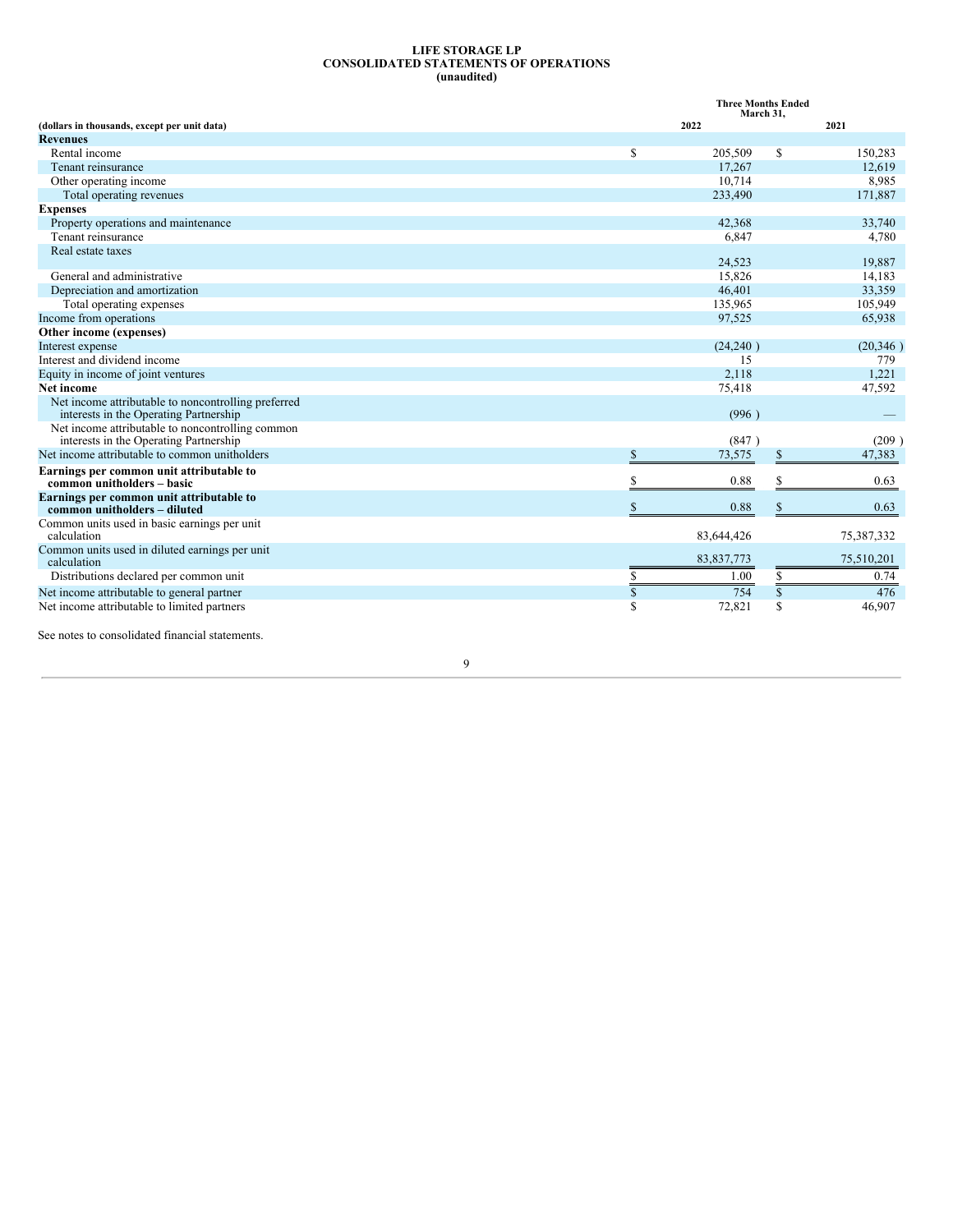#### **LIFE STORAGE LP CONSOLIDATED STATEMENTS OF OPERATIONS (unaudited)**

|                                                                                               |    | <b>Three Months Ended</b><br>March 31. |     |            |  |  |
|-----------------------------------------------------------------------------------------------|----|----------------------------------------|-----|------------|--|--|
| (dollars in thousands, except per unit data)                                                  |    | 2022                                   |     | 2021       |  |  |
| <b>Revenues</b>                                                                               |    |                                        |     |            |  |  |
| Rental income                                                                                 | \$ | 205,509                                | S.  | 150,283    |  |  |
| Tenant reinsurance                                                                            |    | 17,267                                 |     | 12,619     |  |  |
| Other operating income                                                                        |    | 10,714                                 |     | 8,985      |  |  |
| Total operating revenues                                                                      |    | 233,490                                |     | 171,887    |  |  |
| <b>Expenses</b>                                                                               |    |                                        |     |            |  |  |
| Property operations and maintenance                                                           |    | 42,368                                 |     | 33,740     |  |  |
| Tenant reinsurance                                                                            |    | 6,847                                  |     | 4,780      |  |  |
| Real estate taxes                                                                             |    | 24,523                                 |     | 19,887     |  |  |
| General and administrative                                                                    |    | 15,826                                 |     | 14,183     |  |  |
| Depreciation and amortization                                                                 |    | 46,401                                 |     | 33,359     |  |  |
| Total operating expenses                                                                      |    | 135,965                                |     | 105,949    |  |  |
| Income from operations                                                                        |    | 97,525                                 |     | 65,938     |  |  |
| Other income (expenses)                                                                       |    |                                        |     |            |  |  |
| Interest expense                                                                              |    | (24,240)                               |     | (20, 346)  |  |  |
| Interest and dividend income                                                                  |    | 15                                     |     | 779        |  |  |
| Equity in income of joint ventures                                                            |    | 2,118                                  |     | 1,221      |  |  |
| Net income                                                                                    |    | 75,418                                 |     | 47,592     |  |  |
| Net income attributable to noncontrolling preferred<br>interests in the Operating Partnership |    | (996)                                  |     |            |  |  |
| Net income attributable to noncontrolling common<br>interests in the Operating Partnership    |    | (847)                                  |     | (209)      |  |  |
| Net income attributable to common unitholders                                                 | \$ | 73,575                                 | \$  | 47,383     |  |  |
| Earnings per common unit attributable to<br>common unitholders - basic                        |    | 0.88                                   | S   | 0.63       |  |  |
| Earnings per common unit attributable to<br>common unitholders - diluted                      | S  | 0.88                                   | \$  | 0.63       |  |  |
| Common units used in basic earnings per unit<br>calculation                                   |    | 83,644,426                             |     | 75,387,332 |  |  |
| Common units used in diluted earnings per unit<br>calculation                                 |    | 83,837,773                             |     | 75,510,201 |  |  |
| Distributions declared per common unit                                                        | \$ | 1.00                                   | \$  | 0.74       |  |  |
| Net income attributable to general partner                                                    | \$ | 754                                    | \$  | 476        |  |  |
| Net income attributable to limited partners                                                   | \$ | 72,821                                 | \$. | 46,907     |  |  |

See notes to consolidated financial statements.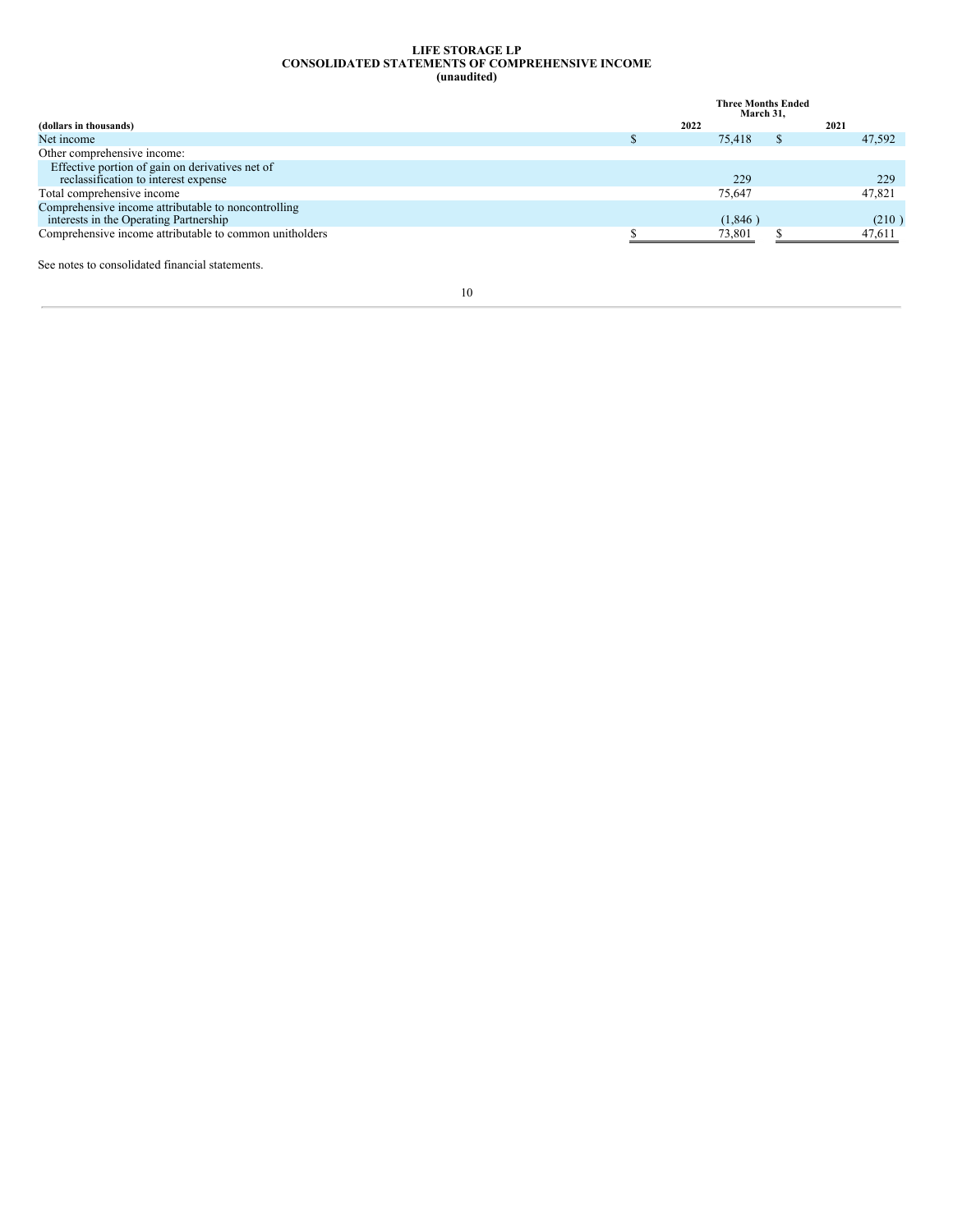#### **LIFE STORAGE LP CONSOLIDATED STATEMENTS OF COMPREHENSIVE INCOME (unaudited)**

|                                                                                               |  | <b>Three Months Ended</b><br>March 31, |        |
|-----------------------------------------------------------------------------------------------|--|----------------------------------------|--------|
| (dollars in thousands)                                                                        |  | 2022                                   | 2021   |
| Net income                                                                                    |  | 75.418                                 | 47.592 |
| Other comprehensive income:                                                                   |  |                                        |        |
| Effective portion of gain on derivatives net of<br>reclassification to interest expense       |  | 229                                    | 229    |
| Total comprehensive income                                                                    |  | 75.647                                 | 47.821 |
| Comprehensive income attributable to noncontrolling<br>interests in the Operating Partnership |  | (1,846)                                | (210)  |
| Comprehensive income attributable to common unitholders                                       |  | 73,801                                 | 47.611 |

See notes to consolidated financial statements.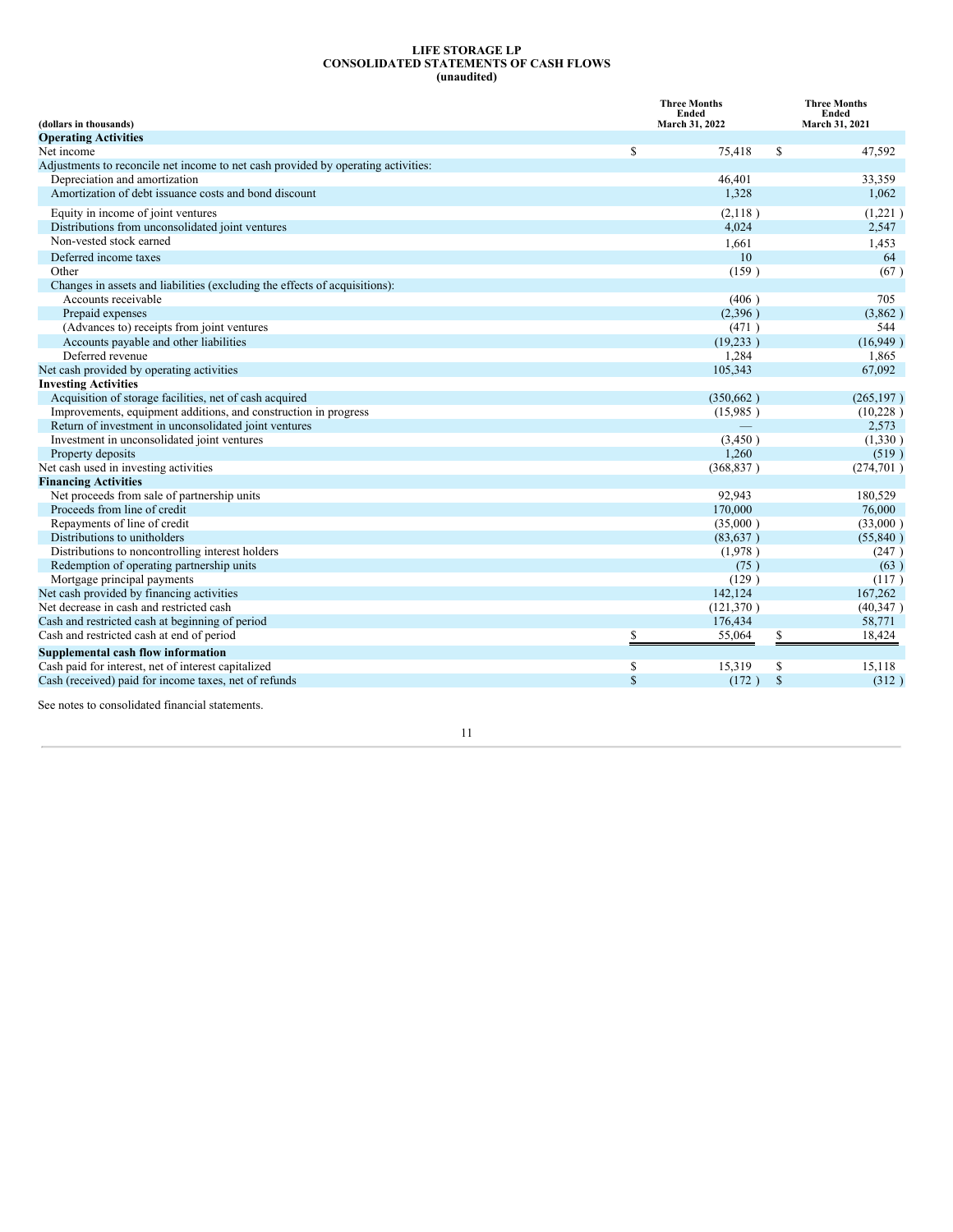#### **LIFE STORAGE LP CONSOLIDATED STATEMENTS OF CASH FLOWS (unaudited)**

|                                                                                   | <b>Three Months</b><br>Ended  | <b>Three Months</b><br>Ended |
|-----------------------------------------------------------------------------------|-------------------------------|------------------------------|
| (dollars in thousands)<br><b>Operating Activities</b>                             | March 31, 2022                | March 31, 2021               |
| Net income                                                                        | \$<br><sup>\$</sup><br>75,418 | 47,592                       |
| Adjustments to reconcile net income to net cash provided by operating activities: |                               |                              |
| Depreciation and amortization                                                     | 46.401                        | 33,359                       |
| Amortization of debt issuance costs and bond discount                             | 1,328                         | 1,062                        |
|                                                                                   |                               |                              |
| Equity in income of joint ventures                                                | (2,118)                       | (1,221)                      |
| Distributions from unconsolidated joint ventures                                  | 4,024                         | 2,547                        |
| Non-vested stock earned                                                           | 1,661                         | 1,453                        |
| Deferred income taxes                                                             | 10                            | 64                           |
| Other                                                                             | (159)                         | (67)                         |
| Changes in assets and liabilities (excluding the effects of acquisitions):        |                               |                              |
| Accounts receivable                                                               | (406)                         | 705                          |
| Prepaid expenses                                                                  | (2,396)                       | (3,862)                      |
| (Advances to) receipts from joint ventures                                        | (471)                         | 544                          |
| Accounts payable and other liabilities                                            | (19, 233)                     | (16,949)                     |
| Deferred revenue                                                                  | 1,284                         | 1,865                        |
| Net cash provided by operating activities                                         | 105,343                       | 67,092                       |
| <b>Investing Activities</b>                                                       |                               |                              |
| Acquisition of storage facilities, net of cash acquired                           | (350, 662)                    | (265, 197)                   |
| Improvements, equipment additions, and construction in progress                   | (15,985)                      | (10,228)                     |
| Return of investment in unconsolidated joint ventures                             |                               | 2,573                        |
| Investment in unconsolidated joint ventures                                       | (3,450)                       | (1,330)                      |
| Property deposits                                                                 | 1,260                         | (519)                        |
| Net cash used in investing activities                                             | (368, 837)                    | (274, 701)                   |
| <b>Financing Activities</b>                                                       |                               |                              |
| Net proceeds from sale of partnership units                                       | 92,943                        | 180,529                      |
| Proceeds from line of credit                                                      | 170,000                       | 76,000                       |
| Repayments of line of credit                                                      | (35,000)                      | (33,000)                     |
| Distributions to unitholders                                                      | (83, 637)                     | (55,840)                     |
| Distributions to noncontrolling interest holders                                  | (1,978)                       | (247)                        |
| Redemption of operating partnership units                                         | (75)                          | (63)                         |
| Mortgage principal payments                                                       | (129)                         | (117)                        |
| Net cash provided by financing activities                                         | 142.124                       | 167,262                      |
| Net decrease in cash and restricted cash                                          | (121, 370)                    | (40,347)                     |
| Cash and restricted cash at beginning of period                                   | 176,434                       | 58,771                       |
| Cash and restricted cash at end of period                                         | \$<br>55,064<br>\$            | 18,424                       |
| <b>Supplemental cash flow information</b>                                         |                               |                              |
| Cash paid for interest, net of interest capitalized                               | \$<br>\$<br>15,319            | 15,118                       |
| Cash (received) paid for income taxes, net of refunds                             | \$<br>\$<br>(172)             | (312)                        |
|                                                                                   |                               |                              |

See notes to consolidated financial statements.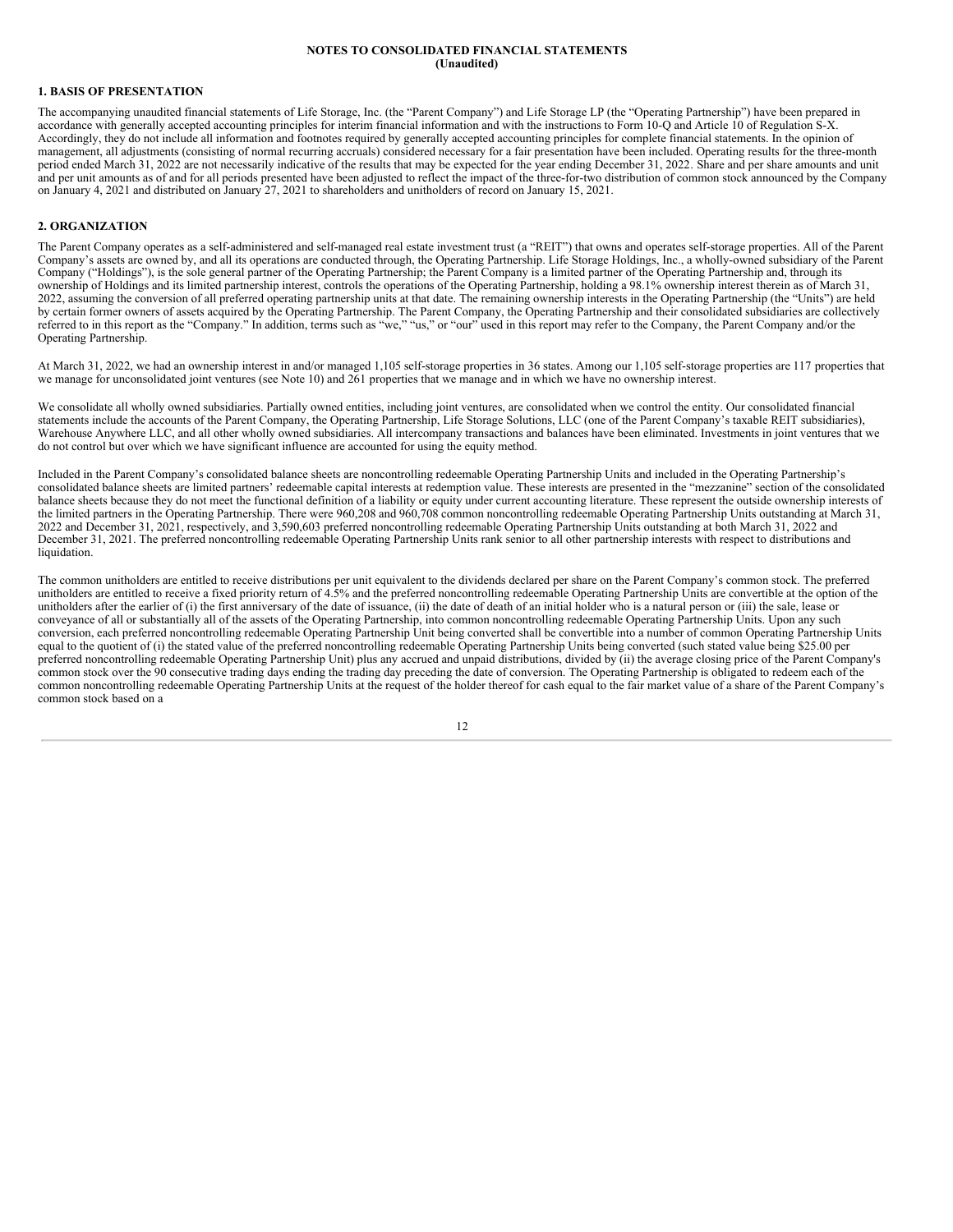### **NOTES TO CONSOLIDATED FINANCIAL STATEMENTS (Unaudited)**

#### **1. BASIS OF PRESENTATION**

The accompanying unaudited financial statements of Life Storage, Inc. (the "Parent Company") and Life Storage LP (the "Operating Partnership") have been prepared in accordance with generally accepted accounting principles for interim financial information and with the instructions to Form 10-Q and Article 10 of Regulation S-X. Accordingly, they do not include all information and footnotes required by generally accepted accounting principles for complete financial statements. In the opinion of management, all adjustments (consisting of normal recurring accruals) considered necessary for a fair presentation have been included. Operating results for the three-month period ended March 31, 2022 are not necessarily indicative of the results that may be expected for the year ending December 31, 2022. Share and per share amounts and unit and per unit amounts as of and for all periods presented have been adjusted to reflect the impact of the three-for-two distribution of common stock announced by the Company on January 4, 2021 and distributed on January 27, 2021 to shareholders and unitholders of record on January 15, 2021.

#### **2. ORGANIZATION**

The Parent Company operates as a self-administered and self-managed real estate investment trust (a "REIT") that owns and operates self-storage properties. All of the Parent Company's assets are owned by, and all its operations are conducted through, the Operating Partnership. Life Storage Holdings, Inc., a wholly-owned subsidiary of the Parent Company ("Holdings"), is the sole general partner of the Operating Partnership; the Parent Company is a limited partner of the Operating Partnership and, through its ownership of Holdings and its limited partnership interest, controls the operations of the Operating Partnership, holding a 98.1% ownership interest therein as of March 31, 2022, assuming the conversion of all preferred operating partnership units at that date. The remaining ownership interests in the Operating Partnership (the "Units") are held by certain former owners of assets acquired by the Operating Partnership. The Parent Company, the Operating Partnership and their consolidated subsidiaries are collectively referred to in this report as the "Company." In addition, terms such as "we," "us," or "our" used in this report may refer to the Company, the Parent Company and/or the Operating Partnership.

At March 31, 2022, we had an ownership interest in and/or managed 1,105 self-storage properties in 36 states. Among our 1,105 self-storage properties are 117 properties that we manage for unconsolidated joint ventures (see Note 10) and 261 properties that we manage and in which we have no ownership interest.

We consolidate all wholly owned subsidiaries. Partially owned entities, including joint ventures, are consolidated when we control the entity. Our consolidated financial statements include the accounts of the Parent Company, the Operating Partnership, Life Storage Solutions, LLC (one of the Parent Company's taxable REIT subsidiaries), Warehouse Anywhere LLC, and all other wholly owned subsidiaries. All intercompany transactions and balances have been eliminated. Investments in joint ventures that we do not control but over which we have significant influence are accounted for using the equity method.

Included in the Parent Company's consolidated balance sheets are noncontrolling redeemable Operating Partnership Units and included in the Operating Partnership's consolidated balance sheets are limited partners' redeemable capital interests at redemption value. These interests are presented in the "mezzanine" section of the consolidated balance sheets because they do not meet the functional definition of a liability or equity under current accounting literature. These represent the outside ownership interests of the limited partners in the Operating Partnership. There were 960,208 and 960,708 common noncontrolling redeemable Operating Partnership Units outstanding at March 31, 2022 and December 31, 2021, respectively, and 3,590,603 preferred noncontrolling redeemable Operating Partnership Units outstanding at both March 31, 2022 and December 31, 2021. The preferred noncontrolling redeemable Operating Partnership Units rank senior to all other partnership interests with respect to distributions and liquidation.

The common unitholders are entitled to receive distributions per unit equivalent to the dividends declared per share on the Parent Company's common stock. The preferred unitholders are entitled to receive a fixed priority return of 4.5% and the preferred noncontrolling redeemable Operating Partnership Units are convertible at the option of the unitholders after the earlier of (i) the first anniversary of the date of issuance, (ii) the date of death of an initial holder who is a natural person or (iii) the sale, lease or conveyance of all or substantially all of the assets of the Operating Partnership, into common noncontrolling redeemable Operating Partnership Units. Upon any such conversion, each preferred noncontrolling redeemable Operating Partnership Unit being converted shall be convertible into a number of common Operating Partnership Units equal to the quotient of (i) the stated value of the preferred noncontrolling redeemable Operating Partnership Units being converted (such stated value being \$25.00 per equal to the quotient of (i) the stated value of the preferred noncontrolling redeemable Operating Partnership Unit) plus any accrued and unpaid distributions, divided by (ii) the average closing price of the Parent Company's common stock over the 90 consecutive trading days ending the trading day preceding the date of conversion. The Operating Partnership is obligated to redeem each of the common noncontrolling redeemable Operating Partnership Units at the request of the holder thereof for cash equal to the fair market value of a share of the Parent Company's common stock based on a

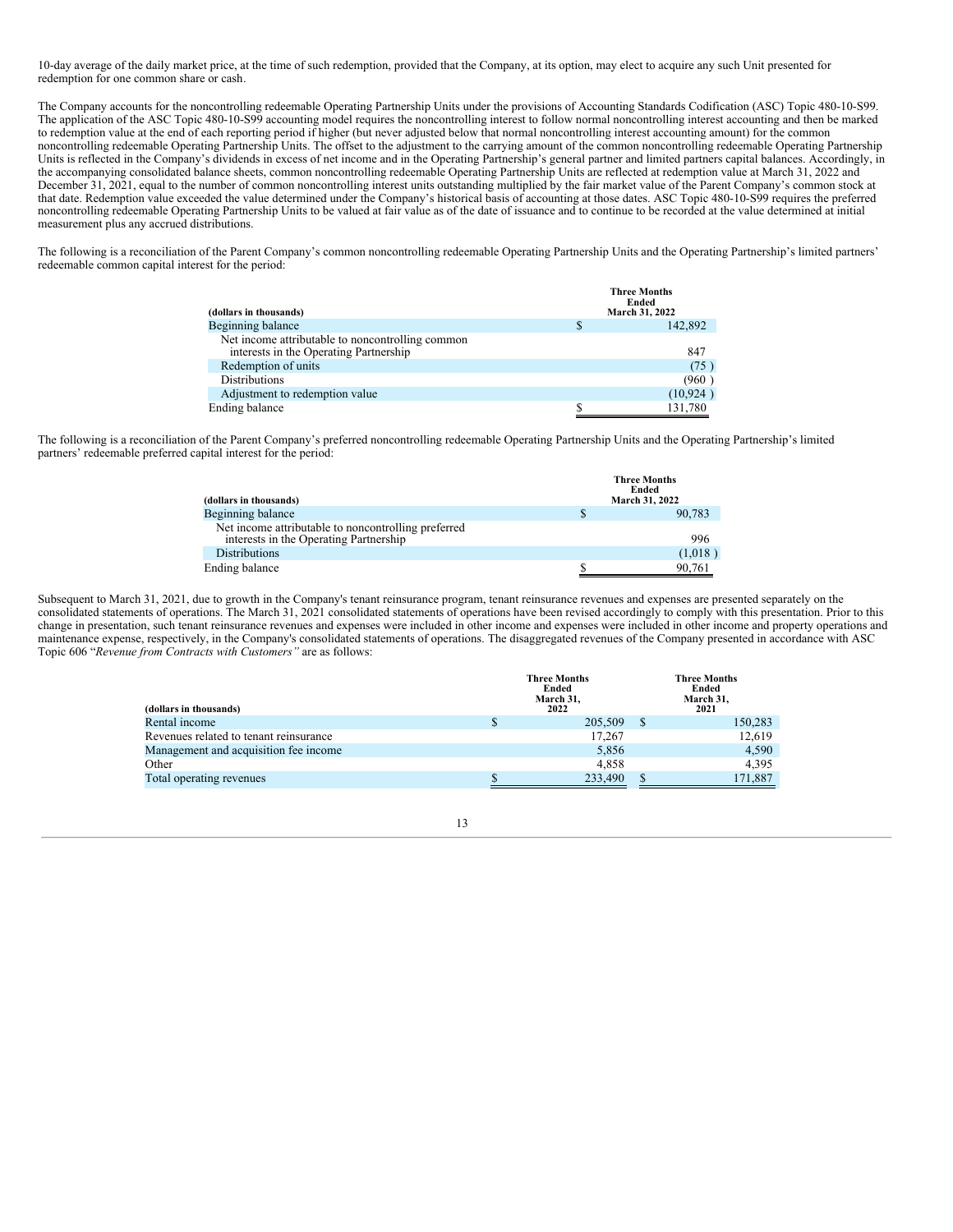10-day average of the daily market price, at the time of such redemption, provided that the Company, at its option, may elect to acquire any such Unit presented for redemption for one common share or cash.

The Company accounts for the noncontrolling redeemable Operating Partnership Units under the provisions of Accounting Standards Codification (ASC) Topic 480-10-S99. The application of the ASC Topic 480-10-S99 accounting model requires the noncontrolling interest to follow normal noncontrolling interest accounting and then be marked to redemption value at the end of each reporting period if higher (but never adjusted below that normal noncontrolling interest accounting amount) for the common noncontrolling redeemable Operating Partnership Units. The offset to the adjustment to the carrying amount of the common noncontrolling redeemable Operating Partnership Units is reflected in the Company's dividends in excess of net income and in the Operating Partnership's general partner and limited partners capital balances. Accordingly, in the accompanying consolidated balance sheets, common noncontrolling redeemable Operating Partnership Units are reflected at redemption value at March 31, 2022 and December 31, 2021, equal to the number of common noncontrolling interest units outstanding multiplied by the fair market value of the Parent Company's common stock at that date. Redemption value exceeded the value determined under the Company's historical basis of accounting at those dates. ASC Topic 480-10-S99 requires the preferred noncontrolling redeemable Operating Partnership Units to be valued at fair value as of the date of issuance and to continue to be recorded at the value determined at initial measurement plus any accrued distributions.

The following is a reconciliation of the Parent Company's common noncontrolling redeemable Operating Partnership Units and the Operating Partnership's limited partners' redeemable common capital interest for the period:

| (dollars in thousands)                                                                     |   | <b>Three Months</b><br>Ended<br>March 31, 2022 |
|--------------------------------------------------------------------------------------------|---|------------------------------------------------|
| Beginning balance                                                                          | S | 142,892                                        |
| Net income attributable to noncontrolling common<br>interests in the Operating Partnership |   | 847                                            |
| Redemption of units                                                                        |   | (75)                                           |
| Distributions                                                                              |   | (960)                                          |
| Adjustment to redemption value                                                             |   | (10, 924)                                      |
| Ending balance                                                                             |   | 131,780                                        |

The following is a reconciliation of the Parent Company's preferred noncontrolling redeemable Operating Partnership Units and the Operating Partnership's limited partners' redeemable preferred capital interest for the period:

| (dollars in thousands)                                                                        | <b>Three Months</b><br>Ended<br>March 31, 2022 |
|-----------------------------------------------------------------------------------------------|------------------------------------------------|
| Beginning balance                                                                             | \$<br>90.783                                   |
| Net income attributable to noncontrolling preferred<br>interests in the Operating Partnership | 996                                            |
| <b>Distributions</b>                                                                          | (1,018)                                        |
| Ending balance                                                                                | 90.761                                         |

Subsequent to March 31, 2021, due to growth in the Company's tenant reinsurance program, tenant reinsurance revenues and expenses are presented separately on the consolidated statements of operations. The March 31, 2021 consolidated statements of operations have been revised accordingly to comply with this presentation. Prior to this change in presentation, such tenant reinsurance revenues and expenses were included in other income and expenses were included in other income and property operations and maintenance expense, respectively, in the Company's consolidated statements of operations. The disaggregated revenues of the Company presented in accordance with ASC Topic 606 "*Revenue from Contracts with Customers"* are as follows:

| (dollars in thousands)                 | <b>Three Months</b><br>Ended<br>March 31.<br>2022 | <b>Three Months</b><br>Ended<br>March 31,<br>2021 |
|----------------------------------------|---------------------------------------------------|---------------------------------------------------|
| Rental income                          | 205,509                                           | 150,283                                           |
| Revenues related to tenant reinsurance | 17.267                                            | 12.619                                            |
| Management and acquisition fee income  | 5,856                                             | 4.590                                             |
| Other                                  | 4.858                                             | 4.395                                             |
| Total operating revenues               | 233,490                                           | 171,887                                           |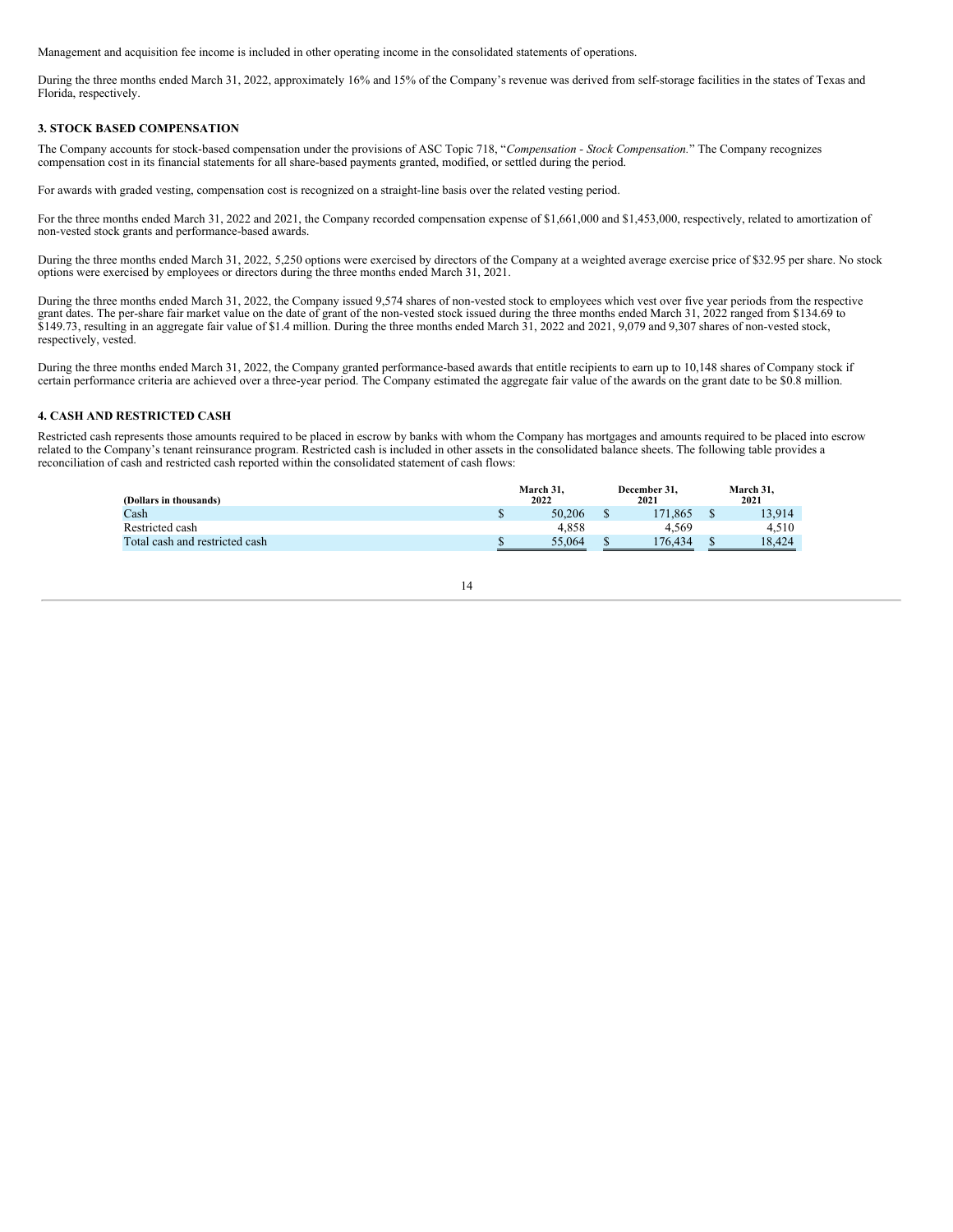Management and acquisition fee income is included in other operating income in the consolidated statements of operations.

During the three months ended March 31, 2022, approximately 16% and 15% of the Company's revenue was derived from self-storage facilities in the states of Texas and Florida, respectively.

### **3. STOCK BASED COMPENSATION**

The Company accounts for stock-based compensation under the provisions of ASC Topic 718, "*Compensation - Stock Compensation.*" The Company recognizes compensation cost in its financial statements for all share-based payments granted, modified, or settled during the period.

For awards with graded vesting, compensation cost is recognized on a straight-line basis over the related vesting period.

For the three months ended March 31, 2022 and 2021, the Company recorded compensation expense of \$1,661,000 and \$1,453,000, respectively, related to amortization of non-vested stock grants and performance-based awards.

During the three months ended March 31, 2022, 5,250 options were exercised by directors of the Company at a weighted average exercise price of \$32.95 per share. No stock options were exercised by employees or directors during the three months ended March 31, 2021.

During the three months ended March 31, 2022, the Company issued 9,574 shares of non-vested stock to employees which vest over five year periods from the respective grant dates. The per-share fair market value on the date of grant of the non-vested stock issued during the three months ended March 31, 2022 ranged from \$134.69 to \$149.73, resulting in an aggregate fair value of \$1.4 million. During the three months ended March 31, 2022 and 2021, 9,079 and 9,307 shares of non-vested stock, respectively, vested.

During the three months ended March 31, 2022, the Company granted performance-based awards that entitle recipients to earn up to 10,148 shares of Company stock if certain performance criteria are achieved over a three-year period. The Company estimated the aggregate fair value of the awards on the grant date to be \$0.8 million.

### **4. CASH AND RESTRICTED CASH**

Restricted cash represents those amounts required to be placed in escrow by banks with whom the Company has mortgages and amounts required to be placed into escrow related to the Company's tenant reinsurance program. Restricted cash is included in other assets in the consolidated balance sheets. The following table provides a reconciliation of cash and restricted cash reported within the consolidated statement of cash flows:

| (Dollars in thousands)         | March 31.<br>2022 | December 31.<br>2021 | March 31.<br>2021 |
|--------------------------------|-------------------|----------------------|-------------------|
| Cash                           | 50,206            | 171.865              | 13.914            |
| Restricted cash                | 4.858             | 4.569                | 4.510             |
| Total cash and restricted cash | 55,064            | 76.434               | 18.424            |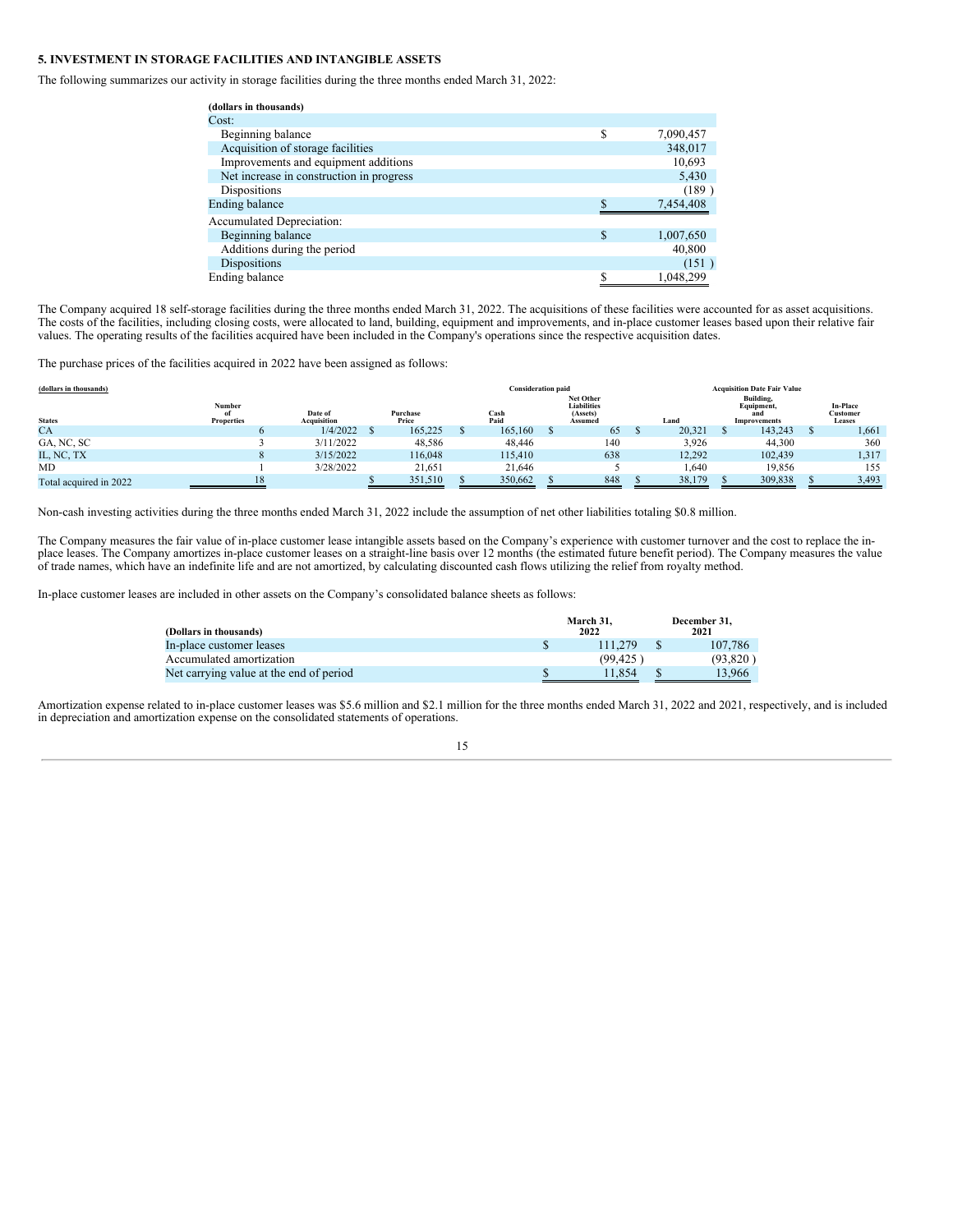# **5. INVESTMENT IN STORAGE FACILITIES AND INTANGIBLE ASSETS**

The following summarizes our activity in storage facilities during the three months ended March 31, 2022:

| (dollars in thousands)                   |    |           |
|------------------------------------------|----|-----------|
| Cost:                                    |    |           |
| Beginning balance                        | \$ | 7,090,457 |
| Acquisition of storage facilities        |    | 348,017   |
| Improvements and equipment additions     |    | 10,693    |
| Net increase in construction in progress |    | 5,430     |
| Dispositions                             |    | (189)     |
| Ending balance                           |    | 7,454,408 |
| Accumulated Depreciation:                |    |           |
| Beginning balance                        | \$ | 1,007,650 |
| Additions during the period              |    | 40,800    |
| Dispositions                             |    | (151)     |
| Ending balance                           | S  | 1.048.299 |

The Company acquired 18 self-storage facilities during the three months ended March 31, 2022. The acquisitions of these facilities were accounted for as asset acquisitions. The costs of the facilities, including closing costs, were allocated to land, building, equipment and improvements, and in-place customer leases based upon their relative fair values. The operating results of the facilities acquired have been included in the Company's operations since the respective acquisition dates.

The purchase prices of the facilities acquired in 2022 have been assigned as follows:

| (dollars in thousands) |                             |                        | <b>Consideration paid</b> |  |              |  |                                                        |  | <b>Acquisition Date Fair Value</b> |  |                                                |  |                                              |  |
|------------------------|-----------------------------|------------------------|---------------------------|--|--------------|--|--------------------------------------------------------|--|------------------------------------|--|------------------------------------------------|--|----------------------------------------------|--|
| <b>States</b>          | Number<br><b>Properties</b> | Date of<br>Acquisition | Purchase<br>Price         |  | Cash<br>Paid |  | Net Other<br><b>Liabilities</b><br>(Assets)<br>Assumed |  | Land                               |  | Building,<br>Equipment,<br>and<br>Improvements |  | <b>In-Place</b><br><b>Customer</b><br>Leases |  |
| CA                     |                             | 1/4/2022               | 165.225                   |  | 165,160      |  | 65                                                     |  | 20,321                             |  | 143,243                                        |  | 1,661                                        |  |
| GA, NC, SC             |                             | 3/11/2022              | 48.586                    |  | 48.446       |  | 140                                                    |  | 3.926                              |  | 44,300                                         |  | 360                                          |  |
| IL, NC, TX             |                             | 3/15/2022              | 116,048                   |  | 115.410      |  | 638                                                    |  | 12.292                             |  | 102.439                                        |  | 1,317                                        |  |
| MD                     |                             | 3/28/2022              | 21,651                    |  | 21.646       |  |                                                        |  | 1.640                              |  | 19.856                                         |  | 155                                          |  |
| Total acquired in 2022 |                             |                        | 351.510                   |  | 350,662      |  | 848                                                    |  | 38,179                             |  | 309,838                                        |  | 3,493                                        |  |

Non-cash investing activities during the three months ended March 31, 2022 include the assumption of net other liabilities totaling \$0.8 million.

The Company measures the fair value of in-place customer lease intangible assets based on the Company's experience with customer turnover and the cost to replace the inplace leases. The Company amortizes in-place customer leases on a straight-line basis over 12 months (the estimated future benefit period). The Company measures the value of trade names, which have an indefinite life and are not amortized, by calculating discounted cash flows utilizing the relief from royalty method.

In-place customer leases are included in other assets on the Company's consolidated balance sheets as follows:

| (Dollars in thousands)                  | March 31.<br>2022 | December 31.<br>2021 |
|-----------------------------------------|-------------------|----------------------|
| In-place customer leases                | 111.279           | 107.786              |
| Accumulated amortization                | (99.425)          | (93,820)             |
| Net carrying value at the end of period | 11.854            | 13.966               |

Amortization expense related to in-place customer leases was \$5.6 million and \$2.1 million for the three months ended March 31, 2022 and 2021, respectively, and is included in depreciation and amortization expense on the consolidated statements of operations.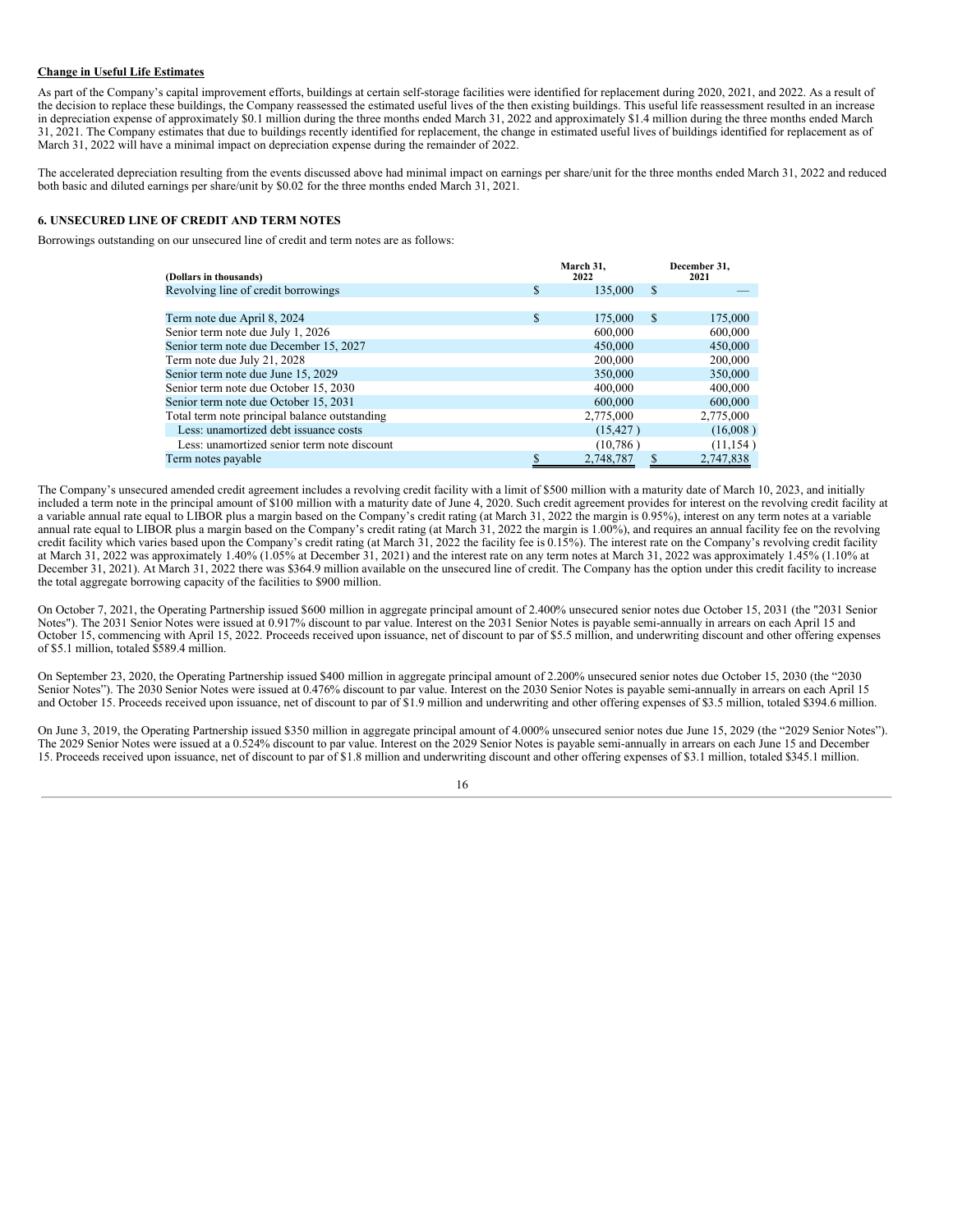#### **Change in Useful Life Estimates**

As part of the Company's capital improvement efforts, buildings at certain self-storage facilities were identified for replacement during 2020, 2021, and 2022. As a result of the decision to replace these buildings, the Company reassessed the estimated useful lives of the then existing buildings. This useful life reassessment resulted in an increase in depreciation expense of approximately \$0.1 million during the three months ended March 31, 2022 and approximately \$1.4 million during the three months ended March 31, 2021. The Company estimates that due to buildings recently identified for replacement, the change in estimated useful lives of buildings identified for replacement as of March 31, 2022 will have a minimal impact on depreciation expense during the remainder of 2022.

The accelerated depreciation resulting from the events discussed above had minimal impact on earnings per share/unit for the three months ended March 31, 2022 and reduced both basic and diluted earnings per share/unit by \$0.02 for the three months ended March 31, 2021.

#### **6. UNSECURED LINE OF CREDIT AND TERM NOTES**

Borrowings outstanding on our unsecured line of credit and term notes are as follows:

| (Dollars in thousands)                        | March 31.<br>2022 |               | December 31.<br>2021 |
|-----------------------------------------------|-------------------|---------------|----------------------|
| Revolving line of credit borrowings           | \$<br>135,000     | S             |                      |
|                                               |                   |               |                      |
| Term note due April 8, 2024                   | \$<br>175,000     | <sup>\$</sup> | 175,000              |
| Senior term note due July 1, 2026             | 600,000           |               | 600,000              |
| Senior term note due December 15, 2027        | 450,000           |               | 450,000              |
| Term note due July 21, 2028                   | 200,000           |               | 200,000              |
| Senior term note due June 15, 2029            | 350,000           |               | 350,000              |
| Senior term note due October 15, 2030         | 400,000           |               | 400,000              |
| Senior term note due October 15, 2031         | 600,000           |               | 600,000              |
| Total term note principal balance outstanding | 2,775,000         |               | 2,775,000            |
| Less: unamortized debt issuance costs         | (15, 427)         |               | (16,008)             |
| Less: unamortized senior term note discount   | (10, 786)         |               | (11, 154)            |
| Term notes payable                            | 2,748,787         | S             | 2.747.838            |

The Company's unsecured amended credit agreement includes a revolving credit facility with a limit of \$500 million with a maturity date of March 10, 2023, and initially included a term note in the principal amount of \$100 million with a maturity date of June 4, 2020. Such credit agreement provides for interest on the revolving credit facility at a variable annual rate equal to LIBOR plus a margin based on the Company's credit rating (at March 31, 2022 the margin is 0.95%), interest on any term notes at a variable annual rate equal to LIBOR plus a margin based on the Company's credit rating (at March 31, 2022 the margin is 1.00%), and requires an annual facility fee on the revolving credit facility which varies based upon the Company's credit rating (at March 31, 2022 the facility fee is 0.15%). The interest rate on the Company's revolving credit facility at March 31, 2022 was approximately 1.40% (1.05% at December 31, 2021) and the interest rate on any term notes at March 31, 2022 was approximately 1.45% (1.10% at December 31, 2021). At March 31, 2022 there was \$364.9 million available on the unsecured line of credit. The Company has the option under this credit facility to increase the total aggregate borrowing capacity of the facilities to \$900 million.

On October 7, 2021, the Operating Partnership issued \$600 million in aggregate principal amount of 2.400% unsecured senior notes due October 15, 2031 (the "2031 Senior Notes"). The 2031 Senior Notes were issued at 0.917% discount to par value. Interest on the 2031 Senior Notes is payable semi-annually in arrears on each April 15 and October 15, commencing with April 15, 2022. Proceeds received upon issuance, net of discount to par of \$5.5 million, and underwriting discount and other offering expenses of \$5.1 million, totaled \$589.4 million.

On September 23, 2020, the Operating Partnership issued \$400 million in aggregate principal amount of 2.200% unsecured senior notes due October 15, 2030 (the "2030 Senior Notes"). The 2030 Senior Notes were issued at 0.476% discount to par value. Interest on the 2030 Senior Notes is payable semi-annually in arrears on each April 15 and October 15. Proceeds received upon issuance, net of discount to par of \$1.9 million and underwriting and other offering expenses of \$3.5 million, totaled \$394.6 million.

On June 3, 2019, the Operating Partnership issued \$350 million in aggregate principal amount of 4.000% unsecured senior notes due June 15, 2029 (the "2029 Senior Notes"). The 2029 Senior Notes were issued at a 0.524% discount to par value. Interest on the 2029 Senior Notes is payable semi-annually in arrears on each June 15 and December 15. Proceeds received upon issuance, net of discount to par of \$1.8 million and underwriting discount and other offering expenses of \$3.1 million, totaled \$345.1 million.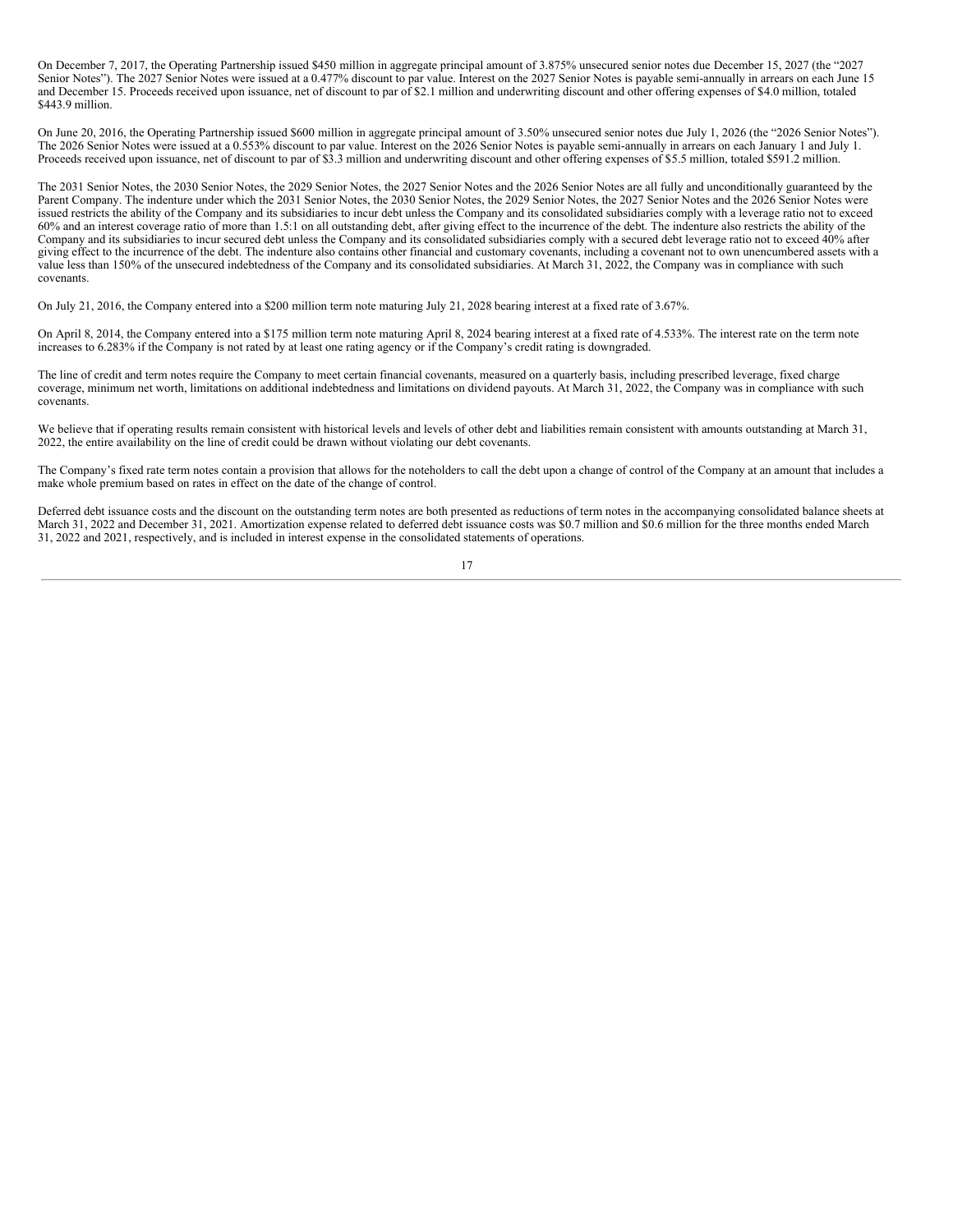On December 7, 2017, the Operating Partnership issued \$450 million in aggregate principal amount of 3.875% unsecured senior notes due December 15, 2027 (the "2027 Senior Notes"). The 2027 Senior Notes were issued at a 0.477% discount to par value. Interest on the 2027 Senior Notes is payable semi-annually in arrears on each June 15 and December 15. Proceeds received upon issuance, net of discount to par of \$2.1 million and underwriting discount and other offering expenses of \$4.0 million, totaled \$443.9 million.

On June 20, 2016, the Operating Partnership issued \$600 million in aggregate principal amount of 3.50% unsecured senior notes due July 1, 2026 (the "2026 Senior Notes"). The 2026 Senior Notes were issued at a 0.553% discount to par value. Interest on the 2026 Senior Notes is payable semi-annually in arrears on each January 1 and July 1. Proceeds received upon issuance, net of discount to par of \$3.3 million and underwriting discount and other offering expenses of \$5.5 million, totaled \$591.2 million.

The 2031 Senior Notes, the 2030 Senior Notes, the 2029 Senior Notes, the 2027 Senior Notes and the 2026 Senior Notes are all fully and unconditionally guaranteed by the Parent Company. The indenture under which the 2031 Senior Notes, the 2030 Senior Notes, the 2029 Senior Notes, the 2027 Senior Notes and the 2026 Senior Notes were issued restricts the ability of the Company and its subsidiaries to incur debt unless the Company and its consolidated subsidiaries comply with a leverage ratio not to exceed 60% and an interest coverage ratio of more than 1.5:1 on all outstanding debt, after giving effect to the incurrence of the debt. The indenture also restricts the ability of the Company and its subsidiaries to incur secured debt unless the Company and its consolidated subsidiaries comply with a secured debt leverage ratio not to exceed 40% after giving effect to the incurrence of the debt. The indenture also contains other financial and customary covenants, including a covenant not to own unencumbered assets with a value less than 150% of the unsecured indebtedness of the Company and its consolidated subsidiaries. At March 31, 2022, the Company was in compliance with such covenants.

On July 21, 2016, the Company entered into a \$200 million term note maturing July 21, 2028 bearing interest at a fixed rate of 3.67%.

On April 8, 2014, the Company entered into a \$175 million term note maturing April 8, 2024 bearing interest at a fixed rate of 4.533%. The interest rate on the term note increases to 6.283% if the Company is not rated by at least one rating agency or if the Company's credit rating is downgraded.

The line of credit and term notes require the Company to meet certain financial covenants, measured on a quarterly basis, including prescribed leverage, fixed charge coverage, minimum net worth, limitations on additional indebtedness and limitations on dividend payouts. At March 31, 2022, the Company was in compliance with such covenants.

We believe that if operating results remain consistent with historical levels and levels of other debt and liabilities remain consistent with amounts outstanding at March 31, 2022, the entire availability on the line of credit could be drawn without violating our debt covenants.

The Company's fixed rate term notes contain a provision that allows for the noteholders to call the debt upon a change of control of the Company at an amount that includes a make whole premium based on rates in effect on the date of the change of control.

Deferred debt issuance costs and the discount on the outstanding term notes are both presented as reductions of term notes in the accompanying consolidated balance sheets at March 31, 2022 and December 31, 2021. Amortization expense related to deferred debt issuance costs was \$0.7 million and \$0.6 million for the three months ended March 31, 2022 and 2021, respectively, and is included in interest expense in the consolidated statements of operations.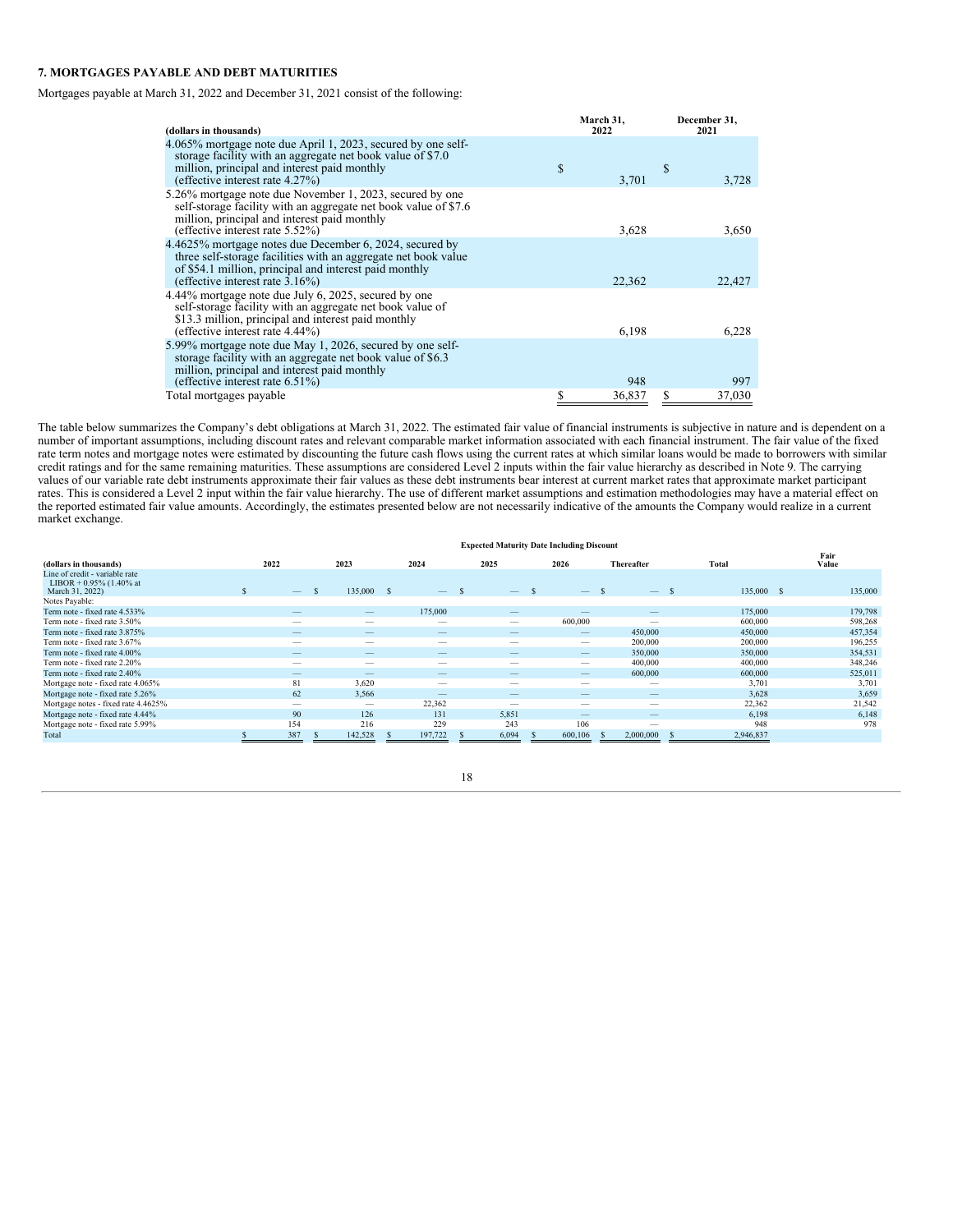# **7. MORTGAGES PAYABLE AND DEBT MATURITIES**

Mortgages payable at March 31, 2022 and December 31, 2021 consist of the following:

| (dollars in thousands)                                                                                                                                                                                                     | March 31,<br>2022 | December 31,<br>2021 |
|----------------------------------------------------------------------------------------------------------------------------------------------------------------------------------------------------------------------------|-------------------|----------------------|
| 4.065% mortgage note due April 1, 2023, secured by one self-<br>storage facility with an aggregate net book value of \$7.0<br>million, principal and interest paid monthly<br>(effective interest rate $4.27\%$ )          | \$<br>3,701       | \$<br>3,728          |
| 5.26% mortgage note due November 1, 2023, secured by one<br>self-storage facility with an aggregate net book value of \$7.6<br>million, principal and interest paid monthly<br>(effective interest rate $5.52\%$ )         | 3,628             | 3,650                |
| 4.4625% mortgage notes due December 6, 2024, secured by<br>three self-storage facilities with an aggregate net book value<br>of \$54.1 million, principal and interest paid monthly<br>(effective interest rate $3.16\%$ ) | 22,362            | 22,427               |
| 4.44% mortgage note due July 6, 2025, secured by one<br>self-storage facility with an aggregate net book value of<br>\$13.3 million, principal and interest paid monthly<br>(effective interest rate 4.44%)                | 6,198             | 6,228                |
| 5.99% mortgage note due May 1, 2026, secured by one self-<br>storage facility with an aggregate net book value of \$6.3<br>million, principal and interest paid monthly<br>(effective interest rate $6.51\%$ )             | 948               | 997                  |
| Total mortgages payable                                                                                                                                                                                                    | \$<br>36,837      | 37,030               |

The table below summarizes the Company's debt obligations at March 31, 2022. The estimated fair value of financial instruments is subjective in nature and is dependent on a number of important assumptions, including discount rates and relevant comparable market information associated with each financial instrument. The fair value of the fixed rate term notes and mortgage notes were estimated by discounting the future cash flows using the current rates at which similar loans would be made to borrowers with similar credit ratings and for the same remaining maturities. These assumptions are considered Level 2 inputs within the fair value hierarchy as described in Note 9. The carrying values of our variable rate debt instruments approximate their fair values as these debt instruments bear interest at current market rates that approximate market participant rates. This is considered a Level 2 input within the fair value hierarchy. The use of different market assumptions and estimation methodologies may have a material effect on the reported estimated fair value amounts. Accordingly, the estimates presented below are not necessarily indicative of the amounts the Company would realize in a current market exchange.

#### **Expected Maturity Date Including Discount**

| (dollars in thousands)                                    | 2022 |                          | 2023    | 2024 |                          | 2025  | 2026                     | <b>Thereafter</b>        | Total      | Fair<br>Value |
|-----------------------------------------------------------|------|--------------------------|---------|------|--------------------------|-------|--------------------------|--------------------------|------------|---------------|
| Line of credit - variable rate<br>LIBOR + 0.95% (1.40% at |      |                          |         |      |                          |       |                          |                          |            |               |
| March 31, 2022)                                           |      | $-$                      | 135,000 |      |                          | $-$   | $-$                      | $-$                      | 135,000 \$ | 135,000       |
| Notes Payable:                                            |      |                          |         |      |                          |       |                          |                          |            |               |
| Term note - fixed rate 4.533%                             |      |                          | $-$     |      | 175,000                  |       |                          | $\overline{\phantom{a}}$ | 175,000    | 179,798       |
| Term note - fixed rate 3.50%                              |      |                          | $-$     |      | $\overline{\phantom{a}}$ |       | 600,000                  |                          | 600,000    | 598,268       |
| Term note - fixed rate 3.875%                             |      |                          | $-$     |      | $-$                      | $-$   | $\overline{\phantom{m}}$ | 450,000                  | 450,000    | 457,354       |
| Term note - fixed rate 3.67%                              |      |                          | $-$     |      | $\overline{\phantom{a}}$ | $-$   | $\hspace{0.05cm}$        | 200,000                  | 200,000    | 196.255       |
| Term note - fixed rate 4.00%                              |      |                          | $-$     |      | $-$                      | $-$   | $\qquad \qquad -$        | 350,000                  | 350,000    | 354,531       |
| Term note - fixed rate 2.20%                              |      | $\overline{\phantom{a}}$ | --      |      |                          | --    | $\overline{\phantom{a}}$ | 400,000                  | 400,000    | 348,246       |
| Term note - fixed rate 2.40%                              |      | $\overline{\phantom{a}}$ |         |      |                          |       | $\qquad \qquad -$        | 600,000                  | 600,000    | 525,011       |
| Mortgage note - fixed rate 4.065%                         |      | 81                       | 3,620   |      | $-$                      | $-$   | $-$                      | $\overline{\phantom{a}}$ | 3,701      | 3,701         |
| Mortgage note - fixed rate 5.26%                          |      | 62                       | 3,566   |      | $-$                      | $-$   |                          |                          | 3,628      | 3.659         |
| Mortgage notes - fixed rate 4.4625%                       |      | $\overline{\phantom{a}}$ |         |      | 22,362                   | $-$   |                          | $\overline{\phantom{a}}$ | 22,362     | 21,542        |
| Mortgage note - fixed rate 4.44%                          |      | 90                       | 126     |      | 131                      | 5,851 | $-$                      | $\overline{\phantom{a}}$ | 6,198      | 6,148         |
| Mortgage note - fixed rate 5.99%                          |      | 154                      | 216     |      | 229                      | 243   | 106                      | $\overline{\phantom{a}}$ | 948        | 978           |
| Total                                                     |      | 387                      | 142,528 |      | 197,722                  | 6,094 | 600,106                  | 2,000,000                | 2,946,837  |               |

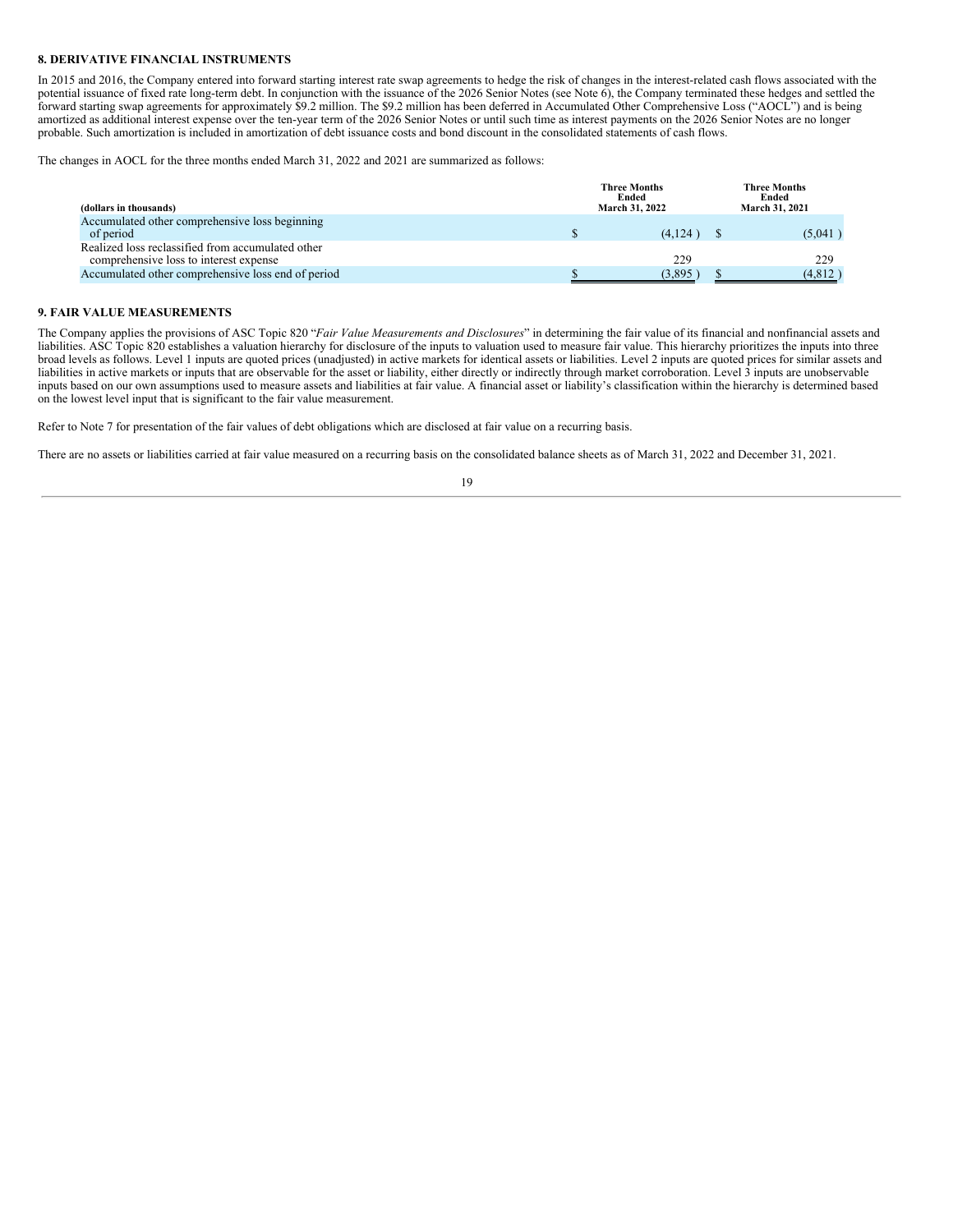### **8. DERIVATIVE FINANCIAL INSTRUMENTS**

In 2015 and 2016, the Company entered into forward starting interest rate swap agreements to hedge the risk of changes in the interest-related cash flows associated with the potential issuance of fixed rate long-term debt. In conjunction with the issuance of the 2026 Senior Notes (see Note 6), the Company terminated these hedges and settled the forward starting swap agreements for approximately \$9.2 million. The \$9.2 million has been deferred in Accumulated Other Comprehensive Loss ("AOCL") and is being amortized as additional interest expense over the ten-year term of the 2026 Senior Notes or until such time as interest payments on the 2026 Senior Notes are no longer probable. Such amortization is included in amortization of debt issuance costs and bond discount in the consolidated statements of cash flows.

The changes in AOCL for the three months ended March 31, 2022 and 2021 are summarized as follows:

| (dollars in thousands)                                                                      | <b>Three Months</b><br>Ended<br>March 31, 2022 | <b>Three Months</b><br>Ended<br>March 31, 2021 |
|---------------------------------------------------------------------------------------------|------------------------------------------------|------------------------------------------------|
| Accumulated other comprehensive loss beginning<br>of period                                 | (4.124)                                        | (5,041)                                        |
| Realized loss reclassified from accumulated other<br>comprehensive loss to interest expense | 229                                            | 229                                            |
| Accumulated other comprehensive loss end of period                                          | (3,895)                                        | (4,812)                                        |

### **9. FAIR VALUE MEASUREMENTS**

The Company applies the provisions of ASC Topic 820 "*Fair Value Measurements and Disclosures*" in determining the fair value of its financial and nonfinancial assets and liabilities. ASC Topic 820 establishes a valuation hierarchy for disclosure of the inputs to valuation used to measure fair value. This hierarchy prioritizes the inputs into three broad levels as follows. Level 1 inputs are quoted prices (unadjusted) in active markets for identical assets or liabilities. Level 2 inputs are quoted prices for similar assets and liabilities in active markets or inputs that are observable for the asset or liability, either directly or indirectly through market corroboration. Level 3 inputs are unobservable inputs based on our own assumptions used to measure assets and liabilities at fair value. A financial asset or liability's classification within the hierarchy is determined based on the lowest level input that is significant to the fair value measurement.

Refer to Note 7 for presentation of the fair values of debt obligations which are disclosed at fair value on a recurring basis.

There are no assets or liabilities carried at fair value measured on a recurring basis on the consolidated balance sheets as of March 31, 2022 and December 31, 2021.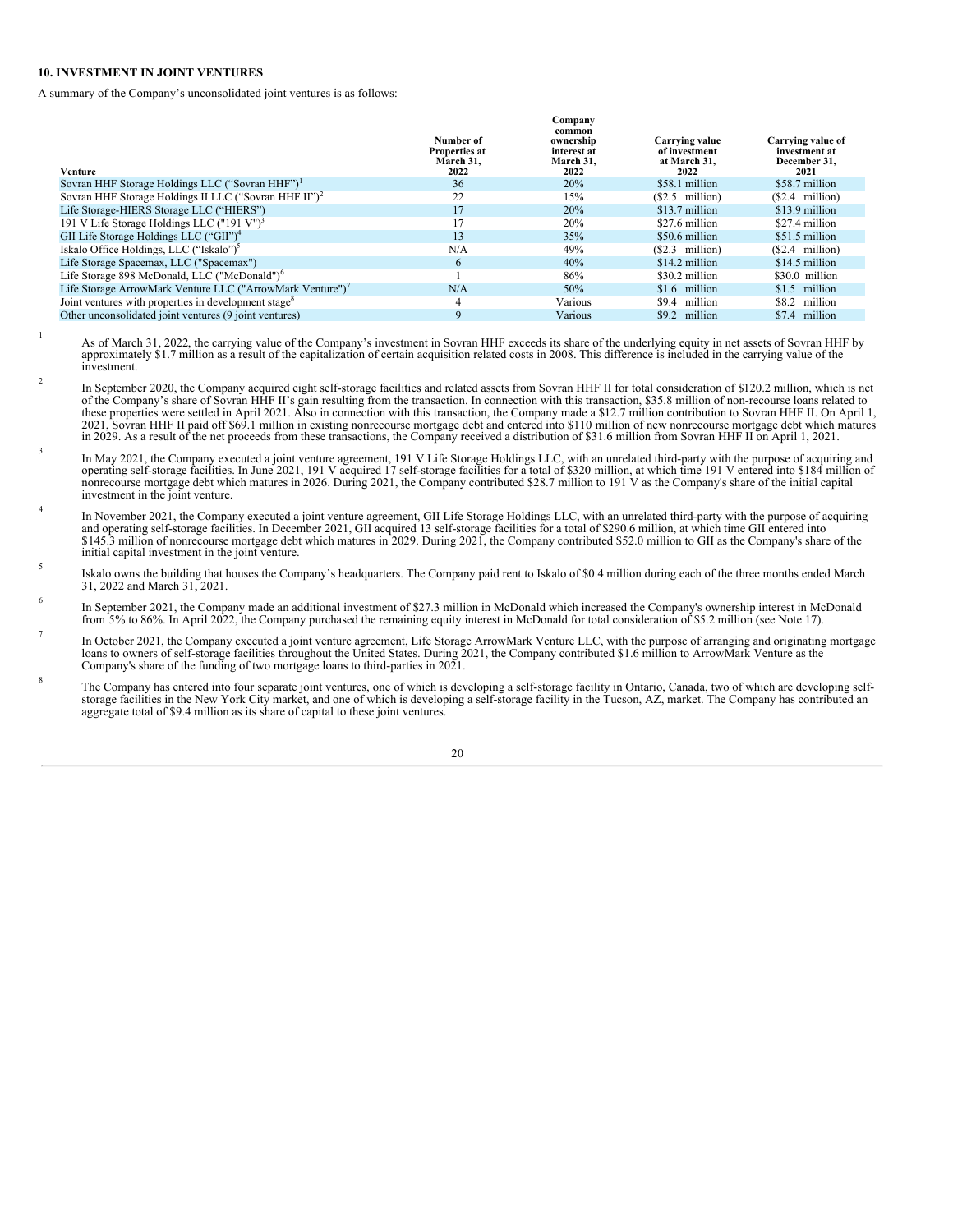#### **10. INVESTMENT IN JOINT VENTURES**

1

A summary of the Company's unconsolidated joint ventures is as follows:

| Venture                                                           | Number of<br>Properties at<br>March 31,<br>2022 | Company<br>common<br>ownership<br>interest at<br>March 31,<br>2022 | Carrying value<br>of investment<br>at March 31,<br>2022 | Carrying value of<br>investment at<br>December 31,<br>2021 |
|-------------------------------------------------------------------|-------------------------------------------------|--------------------------------------------------------------------|---------------------------------------------------------|------------------------------------------------------------|
| Sovran HHF Storage Holdings LLC ("Sovran HHF") <sup>1</sup>       | 36                                              | 20%                                                                | \$58.1 million                                          | \$58.7 million                                             |
| Sovran HHF Storage Holdings II LLC ("Sovran HHF II") <sup>2</sup> | 22                                              | 15%                                                                | $(S2.5$ million)                                        | $(S2.4$ million)                                           |
| Life Storage-HIERS Storage LLC ("HIERS")                          | 17                                              | 20%                                                                | $$13.7$ million                                         | \$13.9 million                                             |
| 191 V Life Storage Holdings LLC $("191 V")^3$                     | 17                                              | 20%                                                                | \$27.6 million                                          | \$27.4 million                                             |
| GII Life Storage Holdings LLC ("GII") <sup>4</sup>                | 13                                              | 35%                                                                | \$50.6 million                                          | \$51.5 million                                             |
| Iskalo Office Holdings, LLC ("Iskalo") <sup>5</sup>               | N/A                                             | 49%                                                                | $(S2.3$ million)                                        | $(S2.4$ million)                                           |
| Life Storage Spacemax, LLC ("Spacemax")                           | 6                                               | 40%                                                                | \$14.2 million                                          | \$14.5 million                                             |
| Life Storage 898 McDonald, LLC ("McDonald") <sup>6</sup>          |                                                 | 86%                                                                | \$30.2 million                                          | \$30.0 million                                             |
| Life Storage ArrowMark Venture LLC ("ArrowMark Venture")'         | N/A                                             | 50%                                                                | \$1.6 million                                           | $$1.5$ million                                             |
| Joint ventures with properties in development stage <sup>8</sup>  | 4                                               | Various                                                            | million<br>\$9.4                                        | million<br>\$8.2                                           |
| Other unconsolidated joint ventures (9 joint ventures)            | 9                                               | Various                                                            | \$9.2 million                                           | million<br>\$7.4                                           |

As of March 31, 2022, the carrying value of the Company's investment in Sovran HHF exceeds its share of the underlying equity in net assets of Sovran HHF by approximately \$1.7 million as a result of the capitalization of certain acquisition related costs in 2008. This difference is included in the carrying value of the investment.

- In September 2020, the Company acquired eight self-storage facilities and related assets from Sovran HHF II for total consideration of \$120.2 million, which is net of the Company's share of Sovran HHF II's gain resulting from the transaction. In connection with this transaction, \$35.8 million of non-recourse loans related to these properties were settled in April 2021. Also in connection with this transaction, the Company made a \$12.7 million contribution to Sovran HHF II. On April 1, 2021, Sovran HHF II paid off \$69.1 million in existing nonrecourse mortgage debt and entered into \$110 million of new nonrecourse mortgage debt which matures in 2029. As a result of the net proceeds from these transactions, the Company received a distribution of \$31.6 million from Sovran HHF II on April 1, 2021.  $\overline{2}$
- In May 2021, the Company executed a joint venture agreement, 191 V Life Storage Holdings LLC, with an unrelated third-party with the purpose of acquiring and operating self-storage facilities. In June 2021, 191 V acquired 17 self-storage facilities for a total of \$320 million, at which time 191 V entered into \$184 million of nonrecourse mortgage debt which matures in 2026. Duri investment in the joint venture. 3
- In November 2021, the Company executed a joint venture agreement, GII Life Storage Holdings LLC, with an unrelated third-party with the purpose of acquiring and operating self-storage facilities. In December 2021, GII acquired 13 self-storage facilities for a total of \$290.6 million, at which time GII entered into \$145.3 million of nonrecourse mortgage debt which matures in 2029. During 2021, the Company contributed \$52.0 million to GII as the Company's share of the initial capital investment in the joint venture. 4
- Iskalo owns the building that houses the Company's headquarters. The Company paid rent to Iskalo of \$0.4 million during each of the three months ended March 31, 2022 and March 31, 2021. 5
- In September 2021, the Company made an additional investment of \$27.3 million in McDonald which increased the Company's ownership interest in McDonald from 5% to 86%. In April 2022, the Company purchased the remaining equity interest in McDonald for total consideration of \$5.2 million (see Note 17). 6
- In October 2021, the Company executed a joint venture agreement, Life Storage ArrowMark Venture LLC, with the purpose of arranging and originating mortgage loans to owners of self-storage facilities throughout the United States. During 2021, the Company contributed \$1.6 million to ArrowMark Venture as the Company's share of the funding of two mortgage loans to third-parties i 7
- The Company has entered into four separate joint ventures, one of which is developing a self-storage facility in Ontario, Canada, two of which are developing selfstorage facilities in the New York City market, and one of which is developing a self-storage facility in the Tucson, AZ, market. The Company has contributed an aggregate total of \$9.4 million as its share of capital to th 8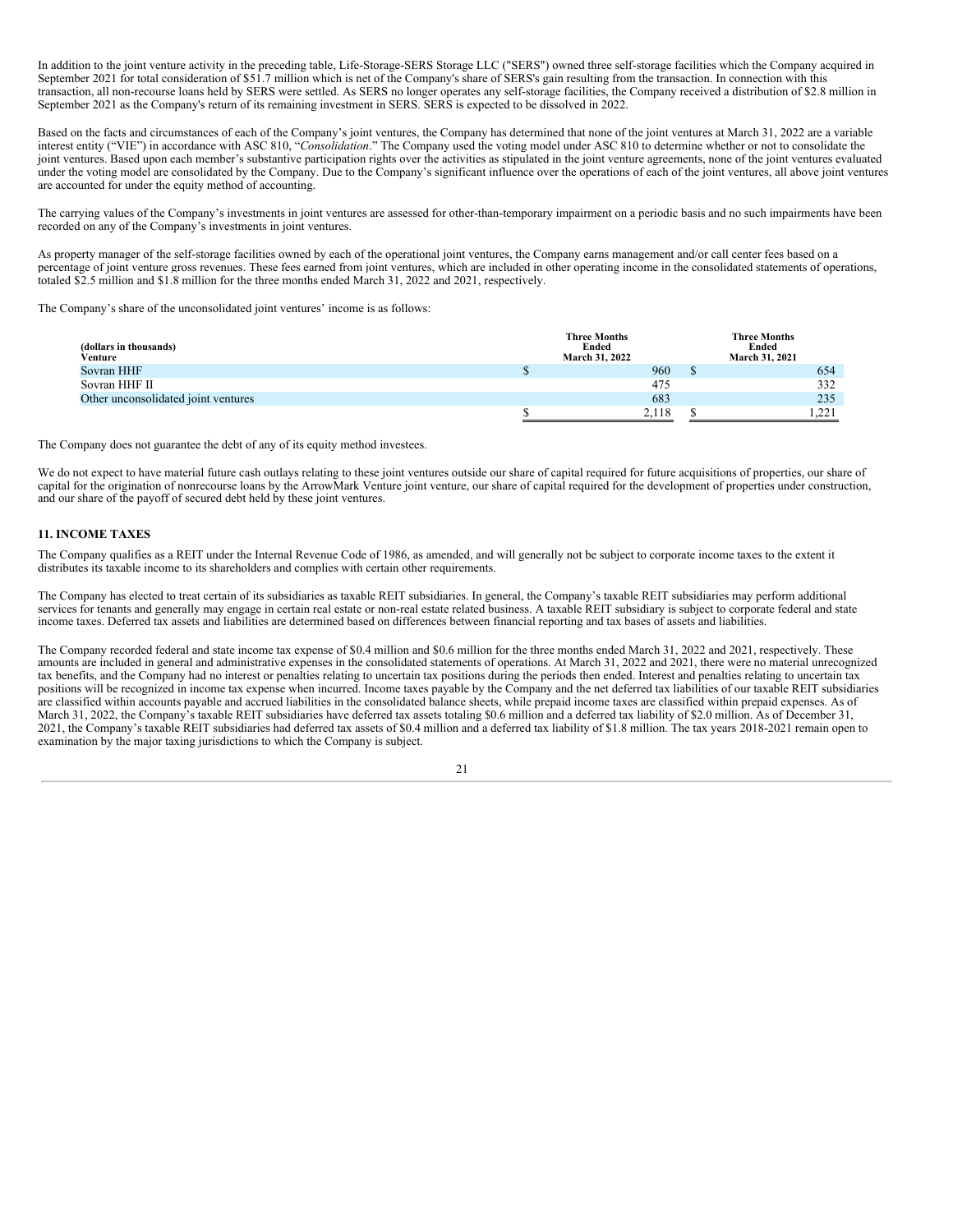In addition to the joint venture activity in the preceding table, Life-Storage-SERS Storage LLC ("SERS") owned three self-storage facilities which the Company acquired in September 2021 for total consideration of \$51.7 million which is net of the Company's share of SERS's gain resulting from the transaction. In connection with this transaction, all non-recourse loans held by SERS were settled. As SERS no longer operates any self-storage facilities, the Company received a distribution of \$2.8 million in September 2021 as the Company's return of its remaining investment in SERS. SERS is expected to be dissolved in 2022.

Based on the facts and circumstances of each of the Company's joint ventures, the Company has determined that none of the joint ventures at March 31, 2022 are a variable interest entity ("VIE") in accordance with ASC 810, "*Consolidation*." The Company used the voting model under ASC 810 to determine whether or not to consolidate the joint ventures. Based upon each member's substantive participation rights over the activities as stipulated in the joint venture agreements, none of the joint ventures evaluated under the voting model are consolidated by the Company. Due to the Company's significant influence over the operations of each of the joint ventures, all above joint ventures are accounted for under the equity method of accounting.

The carrying values of the Company's investments in joint ventures are assessed for other-than-temporary impairment on a periodic basis and no such impairments have been recorded on any of the Company's investments in joint ventures.

As property manager of the self-storage facilities owned by each of the operational joint ventures, the Company earns management and/or call center fees based on a percentage of joint venture gross revenues. These fees earned from joint ventures, which are included in other operating income in the consolidated statements of operations, totaled \$2.5 million and \$1.8 million for the three months ended March 31, 2022 and 2021, respectively.

The Company's share of the unconsolidated joint ventures' income is as follows:

| (dollars in thousands)<br>Venture   | <b>Three Months</b><br>Ended<br>March 31, 2022 | <b>Three Months</b><br>Ended<br>March 31, 2021 |
|-------------------------------------|------------------------------------------------|------------------------------------------------|
| <b>Sovran HHF</b>                   | 960                                            | 654                                            |
| Sovran HHF II                       | 475                                            | 332                                            |
| Other unconsolidated joint ventures | 683                                            | 235                                            |
|                                     | 2,118                                          | 221<br>.                                       |

The Company does not guarantee the debt of any of its equity method investees.

We do not expect to have material future cash outlays relating to these joint ventures outside our share of capital required for future acquisitions of properties, our share of capital for the origination of nonrecourse loans by the ArrowMark Venture joint venture, our share of capital required for the development of properties under construction, and our share of the payoff of secured debt held by these joint ventures.

#### **11. INCOME TAXES**

The Company qualifies as a REIT under the Internal Revenue Code of 1986, as amended, and will generally not be subject to corporate income taxes to the extent it distributes its taxable income to its shareholders and complies with certain other requirements.

The Company has elected to treat certain of its subsidiaries as taxable REIT subsidiaries. In general, the Company's taxable REIT subsidiaries may perform additional services for tenants and generally may engage in certain real estate or non-real estate related business. A taxable REIT subsidiary is subject to corporate federal and state income taxes. Deferred tax assets and liabilities are determined based on differences between financial reporting and tax bases of assets and liabilities.

The Company recorded federal and state income tax expense of \$0.4 million and \$0.6 million for the three months ended March 31, 2022 and 2021, respectively. These amounts are included in general and administrative expenses in the consolidated statements of operations. At March 31, 2022 and 2021, there were no material unrecognized tax benefits, and the Company had no interest or penalties relating to uncertain tax positions during the periods then ended. Interest and penalties relating to uncertain tax positions will be recognized in income tax expense when incurred. Income taxes payable by the Company and the net deferred tax liabilities of our taxable REIT subsidiaries are classified within accounts payable and accrued liabilities in the consolidated balance sheets, while prepaid income taxes are classified within prepaid expenses. As of March 31, 2022, the Company's taxable REIT subsidiaries have deferred tax assets totaling \$0.6 million and a deferred tax liability of \$2.0 million. As of December 31, 2021, the Company's taxable REIT subsidiaries had deferred tax assets of \$0.4 million and a deferred tax liability of \$1.8 million. The tax years 2018-2021 remain open to examination by the major taxing jurisdictions to which the Company is subject.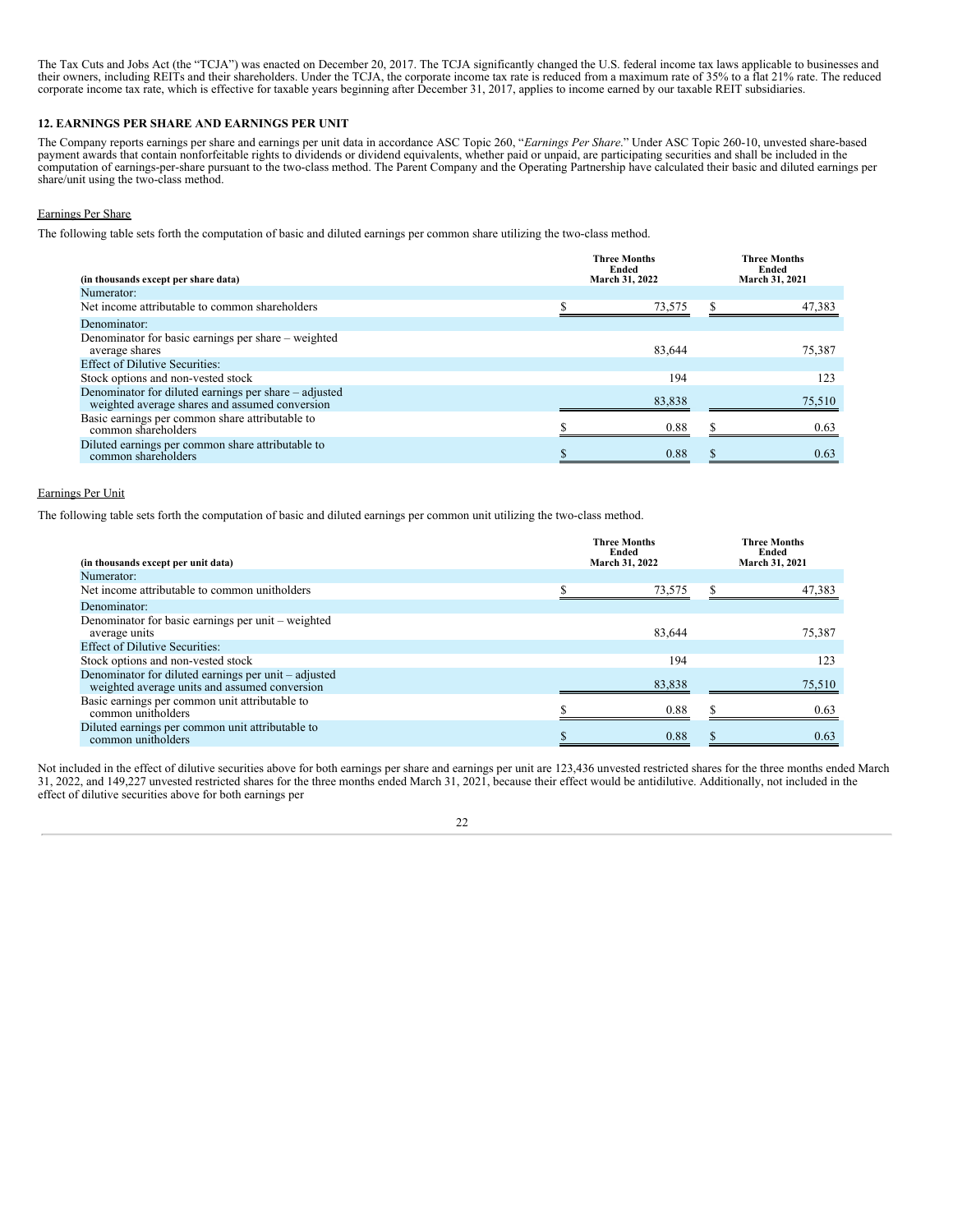The Tax Cuts and Jobs Act (the "TCJA") was enacted on December 20, 2017. The TCJA significantly changed the U.S. federal income tax laws applicable to businesses and their owners, including REITs and their shareholders. Under the TCJA, the corporate income tax rate is reduced from a maximum rate of 35% to a flat 21% rate. The reduced corporate income tax rate, which is effective for taxable years beginning after December 31, 2017, applies to income earned by our taxable REIT subsidiaries.

#### **12. EARNINGS PER SHARE AND EARNINGS PER UNIT**

The Company reports earnings per share and earnings per unit data in accordance ASC Topic 260, "Earnings Per Share." Under ASC Topic 260-10, unvested share-based share-based payment awards that contain nonforfeitable right computation of earnings-per-share pursuant to the two-class method. The Parent Company and the Operating Partnership have calculated their basic and diluted earnings per share/unit using the two-class method.

### Earnings Per Share

The following table sets forth the computation of basic and diluted earnings per common share utilizing the two-class method.

| (in thousands except per share data)                                                                    | <b>Three Months</b><br>Ended<br>March 31, 2022 |        |  | <b>Three Months</b><br>Ended<br>March 31, 2021 |
|---------------------------------------------------------------------------------------------------------|------------------------------------------------|--------|--|------------------------------------------------|
| Numerator:                                                                                              |                                                |        |  |                                                |
| Net income attributable to common shareholders                                                          |                                                | 73,575 |  | 47,383                                         |
| Denominator:                                                                                            |                                                |        |  |                                                |
| Denominator for basic earnings per share – weighted<br>average shares                                   |                                                | 83.644 |  | 75,387                                         |
| <b>Effect of Dilutive Securities:</b>                                                                   |                                                |        |  |                                                |
| Stock options and non-vested stock                                                                      |                                                | 194    |  | 123                                            |
| Denominator for diluted earnings per share – adjusted<br>weighted average shares and assumed conversion |                                                | 83,838 |  | 75,510                                         |
| Basic earnings per common share attributable to<br>common shareholders                                  |                                                | 0.88   |  | 0.63                                           |
| Diluted earnings per common share attributable to<br>common shareholders                                |                                                | 0.88   |  | 0.63                                           |

### Earnings Per Unit

The following table sets forth the computation of basic and diluted earnings per common unit utilizing the two-class method.

| (in thousands except per unit data)                                                                   | <b>Three Months</b><br>Ended<br>March 31, 2022 |   | <b>Three Months</b><br>Ended<br>March 31, 2021 |
|-------------------------------------------------------------------------------------------------------|------------------------------------------------|---|------------------------------------------------|
| Numerator:                                                                                            |                                                |   |                                                |
| Net income attributable to common unitholders                                                         | 73,575                                         | S | 47,383                                         |
| Denominator:                                                                                          |                                                |   |                                                |
| Denominator for basic earnings per unit – weighted<br>average units                                   | 83,644                                         |   | 75,387                                         |
| <b>Effect of Dilutive Securities:</b>                                                                 |                                                |   |                                                |
| Stock options and non-vested stock                                                                    | 194                                            |   | 123                                            |
| Denominator for diluted earnings per unit - adjusted<br>weighted average units and assumed conversion | 83.838                                         |   | 75,510                                         |
| Basic earnings per common unit attributable to<br>common unitholders                                  | 0.88                                           |   | 0.63                                           |
| Diluted earnings per common unit attributable to<br>common unitholders                                | 0.88                                           |   | 0.63                                           |

Not included in the effect of dilutive securities above for both earnings per share and earnings per unit are 123,436 unvested restricted shares for the three months ended March 31, 2022, and 149,227 unvested restricted shares for the three months ended March 31, 2021, because their effect would be antidilutive. Additionally, not included in the effect of dilutive securities above for both earnings per

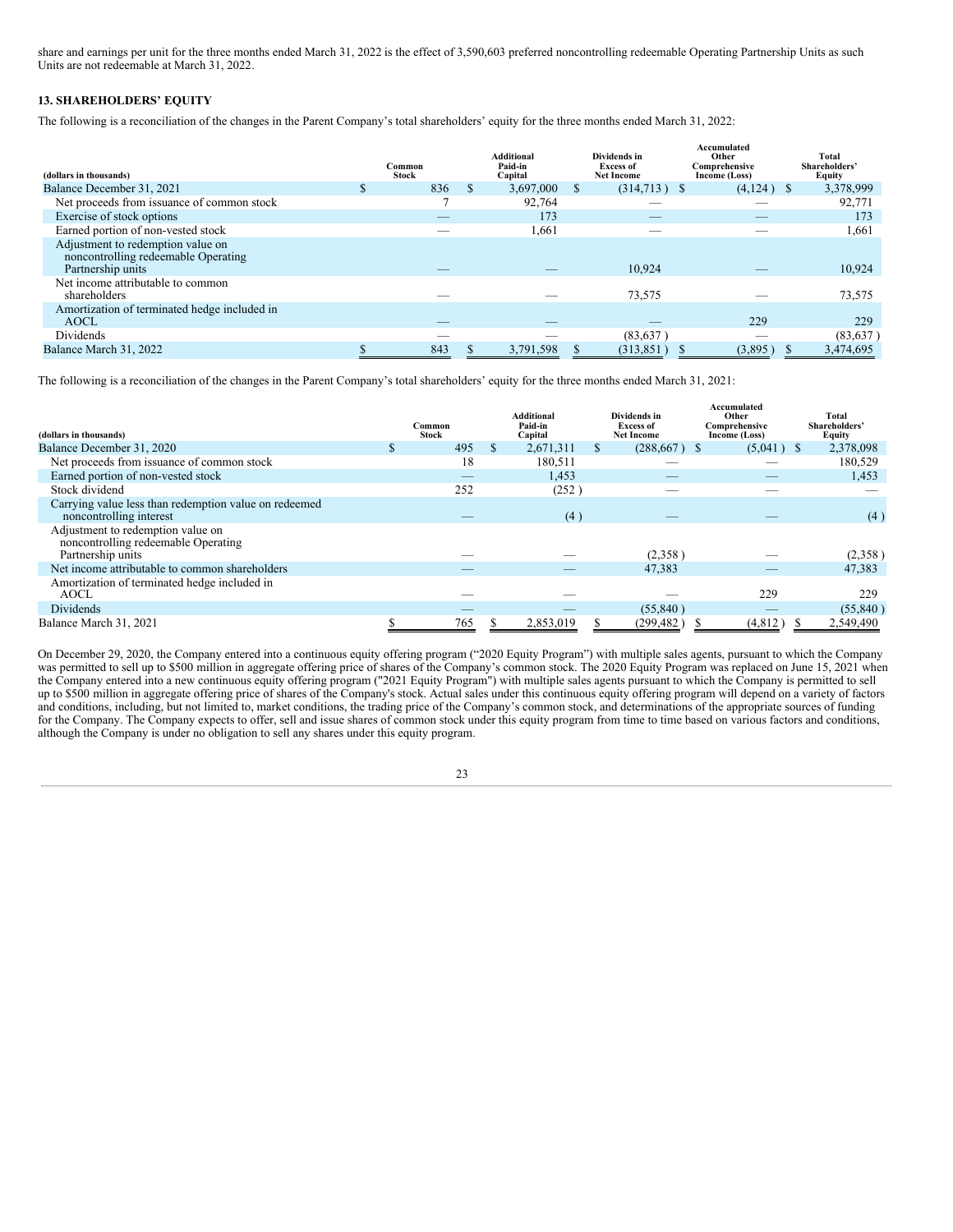share and earnings per unit for the three months ended March 31, 2022 is the effect of 3,590,603 preferred noncontrolling redeemable Operating Partnership Units as such Units are not redeemable at March 31, 2022.

# **13. SHAREHOLDERS' EQUITY**

The following is a reconciliation of the changes in the Parent Company's total shareholders' equity for the three months ended March 31, 2022:

| (dollars in thousands)                                                                        |   | Common<br><b>Stock</b> | Additional<br>Paid-in<br>Capital | Dividends in<br><b>Excess of</b><br><b>Net Income</b> | Accumulated<br>Other<br>Comprehensive<br>Income (Loss) | Total<br>Shareholders'<br><b>Equity</b> |
|-----------------------------------------------------------------------------------------------|---|------------------------|----------------------------------|-------------------------------------------------------|--------------------------------------------------------|-----------------------------------------|
| Balance December 31, 2021                                                                     | æ | 836                    | 3,697,000                        | $(314,713)$ \$                                        | $(4,124)$ \$                                           | 3,378,999                               |
| Net proceeds from issuance of common stock                                                    |   |                        | 92,764                           |                                                       |                                                        | 92,771                                  |
| Exercise of stock options                                                                     |   |                        | 173                              |                                                       | _                                                      | 173                                     |
| Earned portion of non-vested stock                                                            |   |                        | 1,661                            |                                                       |                                                        | 1,661                                   |
| Adjustment to redemption value on<br>noncontrolling redeemable Operating<br>Partnership units |   |                        |                                  | 10,924                                                |                                                        | 10,924                                  |
| Net income attributable to common<br>shareholders                                             |   |                        |                                  | 73,575                                                |                                                        | 73,575                                  |
| Amortization of terminated hedge included in<br><b>AOCL</b>                                   |   |                        |                                  |                                                       | 229                                                    | 229                                     |
| Dividends                                                                                     |   |                        |                                  | (83, 637)                                             |                                                        | (83, 637)                               |
| Balance March 31, 2022                                                                        |   | 843                    | 3,791,598                        | $(313,851)$ \$                                        | (3,895)                                                | 3,474,695                               |

The following is a reconciliation of the changes in the Parent Company's total shareholders' equity for the three months ended March 31, 2021:

| (dollars in thousands)                                                                        | Common<br><b>Stock</b> | <b>Additional</b><br>Paid-in<br>Capital |    | Dividends in<br><b>Excess of</b><br><b>Net Income</b> | Accumulated<br>Other<br>Comprehensive<br>Income (Loss) | Total<br>Shareholders'<br><b>Equity</b> |
|-----------------------------------------------------------------------------------------------|------------------------|-----------------------------------------|----|-------------------------------------------------------|--------------------------------------------------------|-----------------------------------------|
| Balance December 31, 2020                                                                     | 495                    | 2,671,311                               | S. | $(288,667)$ \$                                        | $(5,041)$ \$                                           | 2,378,098                               |
| Net proceeds from issuance of common stock                                                    | 18                     | 180,511                                 |    |                                                       |                                                        | 180,529                                 |
| Earned portion of non-vested stock                                                            |                        | 1,453                                   |    |                                                       |                                                        | 1,453                                   |
| Stock dividend                                                                                | 252                    | (252)                                   |    |                                                       |                                                        |                                         |
| Carrying value less than redemption value on redeemed<br>noncontrolling interest              |                        | (4)                                     |    |                                                       |                                                        | (4)                                     |
| Adjustment to redemption value on<br>noncontrolling redeemable Operating<br>Partnership units |                        |                                         |    | (2,358)                                               |                                                        | (2,358)                                 |
| Net income attributable to common shareholders                                                |                        |                                         |    | 47,383                                                |                                                        | 47,383                                  |
| Amortization of terminated hedge included in<br><b>AOCL</b>                                   |                        |                                         |    |                                                       | 229                                                    | 229                                     |
| Dividends                                                                                     |                        |                                         |    | (55, 840)                                             |                                                        | (55, 840)                               |
| Balance March 31, 2021                                                                        | 765                    | 2,853,019                               |    | (299, 482)                                            | (4,812)                                                | 2,549,490                               |

On December 29, 2020, the Company entered into a continuous equity offering program ("2020 Equity Program") with multiple sales agents, pursuant to which the Company was permitted to sell up to \$500 million in aggregate offering price of shares of the Company's common stock. The 2020 Equity Program was replaced on June 15, 2021 when the Company entered into a new continuous equity offering program ("2021 Equity Program") with multiple sales agents pursuant to which the Company is permitted to sell up to \$500 million in aggregate offering price of shares of the Company's stock. Actual sales under this continuous equity offering program will depend on a variety of factors and conditions, including, but not limited to, market conditions, the trading price of the Company's common stock, and determinations of the appropriate sources of funding for the Company. The Company expects to offer, sell and issue shares of common stock under this equity program from time to time based on various factors and conditions, although the Company is under no obligation to sell any shares under this equity program.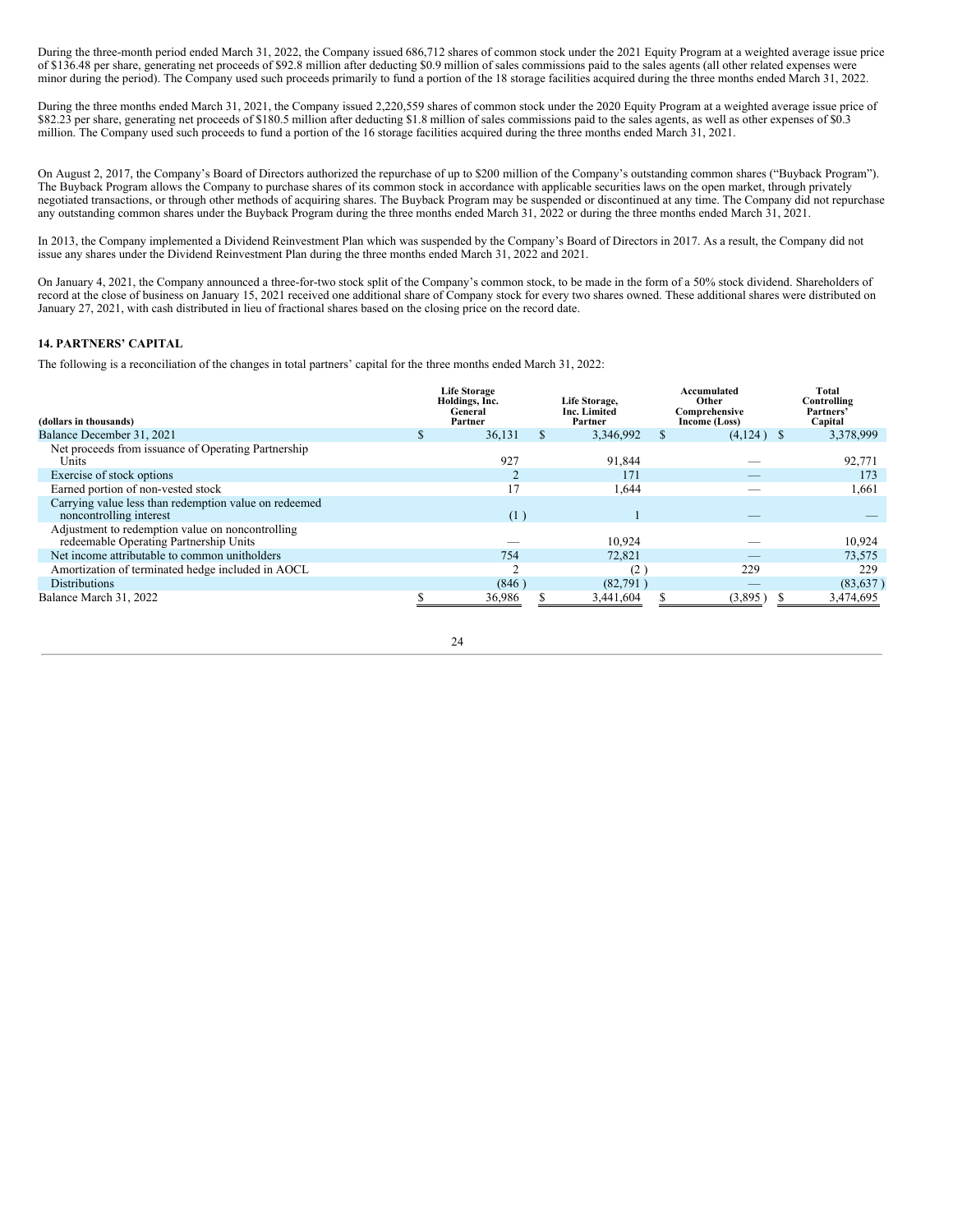During the three-month period ended March 31, 2022, the Company issued 686,712 shares of common stock under the 2021 Equity Program at a weighted average issue price of \$136.48 per share, generating net proceeds of \$92.8 million after deducting \$0.9 million of sales commissions paid to the sales agents (all other related expenses were minor during the period). The Company used such proceeds primarily to fund a portion of the 18 storage facilities acquired during the three months ended March 31, 2022.

During the three months ended March 31, 2021, the Company issued 2,220,559 shares of common stock under the 2020 Equity Program at a weighted average issue price of \$82.23 per share, generating net proceeds of \$180.5 million after deducting \$1.8 million of sales commissions paid to the sales agents, as well as other expenses of \$0.3 million. The Company used such proceeds to fund a portion of the 16 storage facilities acquired during the three months ended March 31, 2021.

On August 2, 2017, the Company's Board of Directors authorized the repurchase of up to \$200 million of the Company's outstanding common shares ("Buyback Program"). The Buyback Program allows the Company to purchase shares of its common stock in accordance with applicable securities laws on the open market, through privately negotiated transactions, or through other methods of acquiring shares. The Buyback Program may be suspended or discontinued at any time. The Company did not repurchase any outstanding common shares under the Buyback Program during the three months ended March 31, 2022 or during the three months ended March 31, 2021.

In 2013, the Company implemented a Dividend Reinvestment Plan which was suspended by the Company's Board of Directors in 2017. As a result, the Company did not issue any shares under the Dividend Reinvestment Plan during the three months ended March 31, 2022 and 2021.

On January 4, 2021, the Company announced a three-for-two stock split of the Company's common stock, to be made in the form of a 50% stock dividend. Shareholders of record at the close of business on January 15, 2021 received one additional share of Company stock for every two shares owned. These additional shares were distributed on January 27, 2021, with cash distributed in lieu of fractional shares based on the closing price on the record date.

# **14. PARTNERS' CAPITAL**

The following is a reconciliation of the changes in total partners' capital for the three months ended March 31, 2022:

| (dollars in thousands)                                                                     | <b>Life Storage</b><br>Holdings, Inc.<br>Life Storage,<br>Inc. Limited<br>General<br>Partner<br>Partner |    |           | Accumulated<br>Other<br>Comprehensive<br>Income (Loss) | Total<br>Controlling<br>Partners'<br>Capital |
|--------------------------------------------------------------------------------------------|---------------------------------------------------------------------------------------------------------|----|-----------|--------------------------------------------------------|----------------------------------------------|
| Balance December 31, 2021                                                                  | 36,131                                                                                                  | S. | 3,346,992 | $(4,124)$ \$                                           | 3,378,999                                    |
| Net proceeds from issuance of Operating Partnership<br>Units                               | 927                                                                                                     |    | 91.844    |                                                        | 92,771                                       |
| Exercise of stock options                                                                  | $\sim$                                                                                                  |    | 171       |                                                        | 173                                          |
| Earned portion of non-vested stock                                                         | 17                                                                                                      |    | 1,644     |                                                        | 1,661                                        |
| Carrying value less than redemption value on redeemed<br>noncontrolling interest           | (1)                                                                                                     |    |           |                                                        |                                              |
| Adjustment to redemption value on noncontrolling<br>redeemable Operating Partnership Units |                                                                                                         |    | 10.924    |                                                        | 10,924                                       |
| Net income attributable to common unitholders                                              | 754                                                                                                     |    | 72,821    |                                                        | 73,575                                       |
| Amortization of terminated hedge included in AOCL                                          | $\sim$                                                                                                  |    | (2)       | 229                                                    | 229                                          |
| <b>Distributions</b>                                                                       | (846)                                                                                                   |    | (82,791)  |                                                        | (83, 637)                                    |
| Balance March 31, 2022                                                                     | 36,986                                                                                                  |    | 3,441,604 | (3,895)                                                | 3,474,695                                    |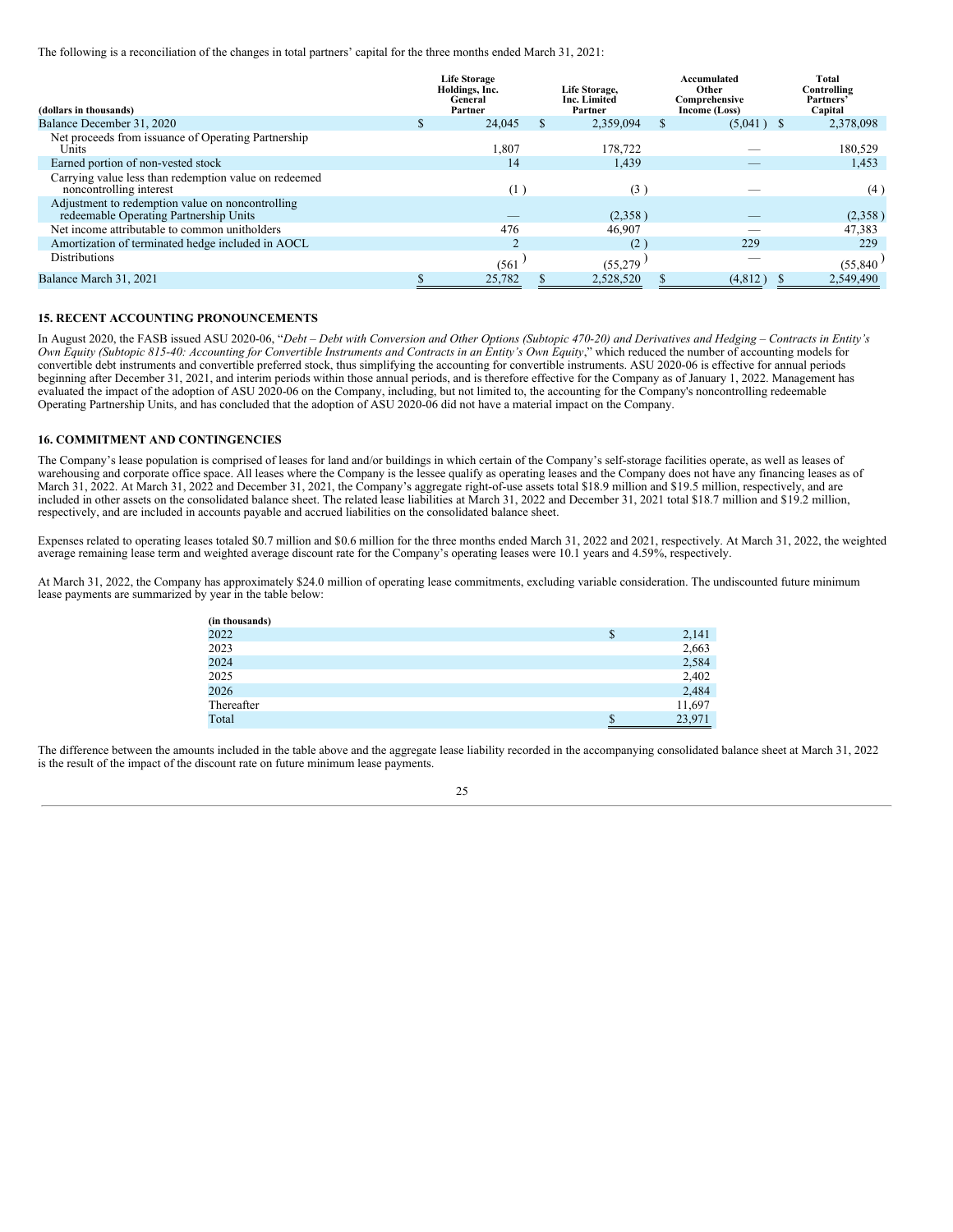The following is a reconciliation of the changes in total partners' capital for the three months ended March 31, 2021:

| (dollars in thousands)                                                                     | <b>Life Storage</b><br>Holdings, Inc.<br>General<br>Partner |          | Life Storage,<br>Inc. Limited<br>Partner | Accumulated<br>Other<br>Comprehensive<br>Income (Loss) | Total<br>Controlling<br>Partners'<br>Capital |
|--------------------------------------------------------------------------------------------|-------------------------------------------------------------|----------|------------------------------------------|--------------------------------------------------------|----------------------------------------------|
| Balance December 31, 2020                                                                  | 24,045                                                      | <b>S</b> | 2,359,094                                | $(5,041)$ \$                                           | 2,378,098                                    |
| Net proceeds from issuance of Operating Partnership<br>Units                               | 1,807                                                       |          | 178.722                                  |                                                        | 180,529                                      |
| Earned portion of non-vested stock                                                         | 14                                                          |          | 1,439                                    |                                                        | 1,453                                        |
| Carrying value less than redemption value on redeemed<br>noncontrolling interest           | (1)                                                         |          | (3)                                      |                                                        | (4)                                          |
| Adjustment to redemption value on noncontrolling<br>redeemable Operating Partnership Units |                                                             |          | (2,358)                                  |                                                        | (2,358)                                      |
| Net income attributable to common unitholders                                              | 476                                                         |          | 46,907                                   |                                                        | 47,383                                       |
| Amortization of terminated hedge included in AOCL                                          | $\overline{2}$                                              |          | (2)                                      | 229                                                    | 229                                          |
| <b>Distributions</b>                                                                       | (561                                                        |          | (55, 279)                                |                                                        | (55, 840)                                    |
| Balance March 31, 2021                                                                     | 25,782                                                      |          | 2.528,520                                | (4,812)                                                | 2.549.490                                    |

# **15. RECENT ACCOUNTING PRONOUNCEMENTS**

In August 2020, the FASB issued ASU 2020-06, "Debt - Debt with Conversion and Other Options (Subtopic 470-20) and Derivatives and Hedging - Contracts in Entity's Own Equity (Subtopic 815-40: Accounting for Convertible Instruments and Contracts in an Entity's Own Equity," which reduced the number of accounting models for convertible debt instruments and convertible preferred stock, thus simplifying the accounting for convertible instruments. ASU 2020-06 is effective for annual periods beginning after December 31, 2021, and interim periods within those annual periods, and is therefore effective for the Company as of January 1, 2022. Management has evaluated the impact of the adoption of ASU 2020-06 on the Company, including, but not limited to, the accounting for the Company's noncontrolling redeemable Operating Partnership Units, and has concluded that the adoption of ASU 2020-06 did not have a material impact on the Company.

#### **16. COMMITMENT AND CONTINGENCIES**

The Company's lease population is comprised of leases for land and/or buildings in which certain of the Company's self-storage facilities operate, as well as leases of warehousing and corporate office space. All leases where the Company is the lessee qualify as operating leases and the Company does not have any financing leases as of March 31, 2022. At March 31, 2022 and December 31, 2021, the Company's aggregate right-of-use assets total \$18.9 million and \$19.5 million, respectively, and are included in other assets on the consolidated balance sheet. The related lease liabilities at March 31, 2022 and December 31, 2021 total \$18.7 million and \$19.2 million, respectively, and are included in accounts payable and accrued liabilities on the consolidated balance sheet.

Expenses related to operating leases totaled \$0.7 million and \$0.6 million for the three months ended March 31, 2022 and 2021, respectively. At March 31, 2022, the weighted average remaining lease term and weighted average discount rate for the Company's operating leases were 10.1 years and 4.59%, respectively.

At March 31, 2022, the Company has approximately \$24.0 million of operating lease commitments, excluding variable consideration. The undiscounted future minimum lease payments are summarized by year in the table below:

| (in thousands) |   |        |
|----------------|---|--------|
| 2022           | ъ | 2,141  |
| 2023           |   | 2,663  |
| 2024           |   | 2,584  |
| 2025           |   | 2,402  |
| 2026           |   | 2,484  |
| Thereafter     |   | 11,697 |
| Total          |   | 23,971 |

The difference between the amounts included in the table above and the aggregate lease liability recorded in the accompanying consolidated balance sheet at March 31, 2022 is the result of the impact of the discount rate on future minimum lease payments.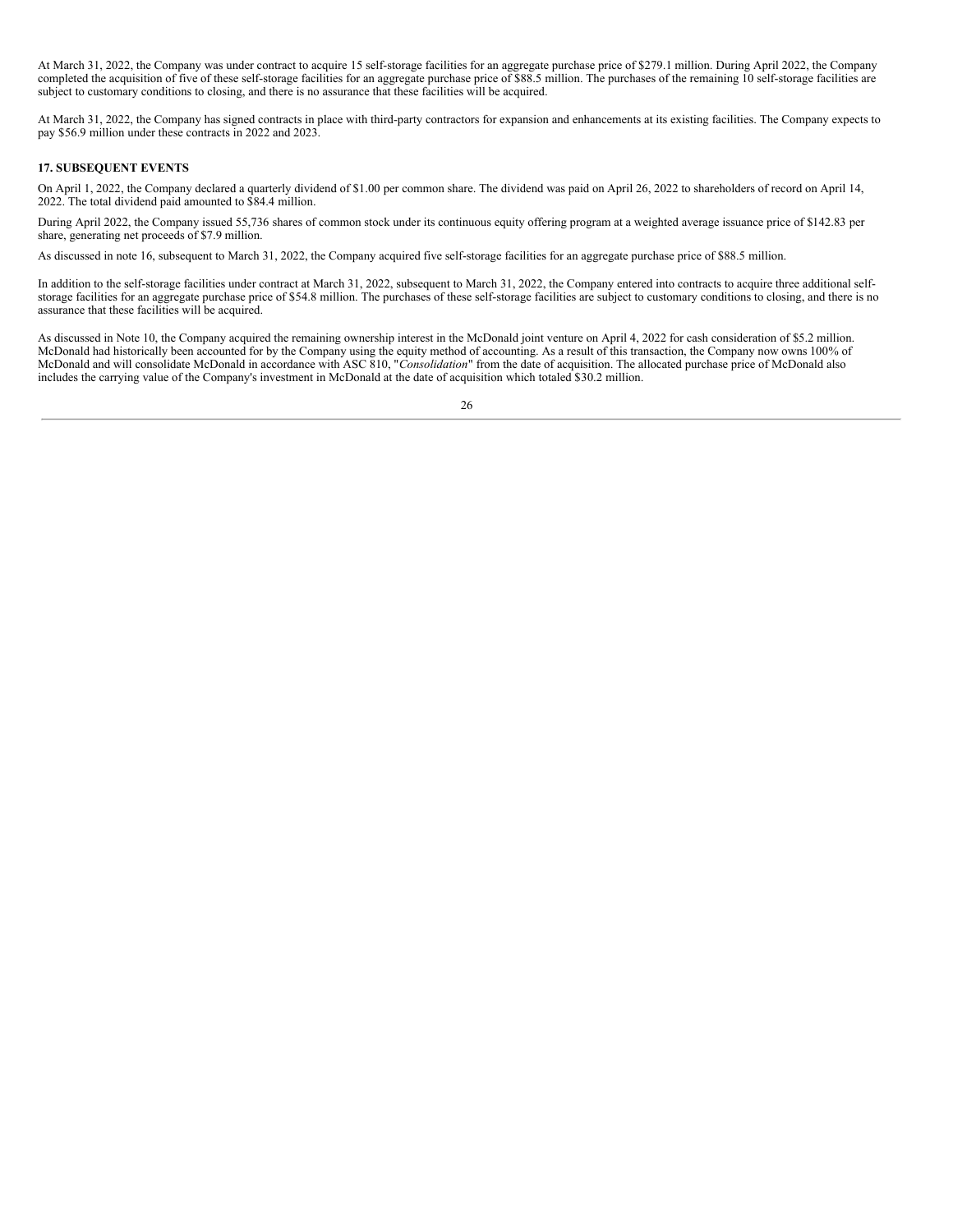At March 31, 2022, the Company was under contract to acquire 15 self-storage facilities for an aggregate purchase price of \$279.1 million. During April 2022, the Company completed the acquisition of five of these self-storage facilities for an aggregate purchase price of \$88.5 million. The purchases of the remaining 10 self-storage facilities are subject to customary conditions to closing, and there is no assurance that these facilities will be acquired.

At March 31, 2022, the Company has signed contracts in place with third-party contractors for expansion and enhancements at its existing facilities. The Company expects to pay \$56.9 million under these contracts in 2022 and 2023.

#### **17. SUBSEQUENT EVENTS**

On April 1, 2022, the Company declared a quarterly dividend of \$1.00 per common share. The dividend was paid on April 26, 2022 to shareholders of record on April 14, 2022. The total dividend paid amounted to \$84.4 million.

During April 2022, the Company issued 55,736 shares of common stock under its continuous equity offering program at a weighted average issuance price of \$142.83 per share, generating net proceeds of \$7.9 million.

As discussed in note 16, subsequent to March 31, 2022, the Company acquired five self-storage facilities for an aggregate purchase price of \$88.5 million.

In addition to the self-storage facilities under contract at March 31, 2022, subsequent to March 31, 2022, the Company entered into contracts to acquire three additional selfstorage facilities for an aggregate purchase price of \$54.8 million. The purchases of these self-storage facilities are subject to customary conditions to closing, and there is no assurance that these facilities will be acquired.

As discussed in Note 10, the Company acquired the remaining ownership interest in the McDonald joint venture on April 4, 2022 for cash consideration of \$5.2 million. McDonald had historically been accounted for by the Company using the equity method of accounting. As a result of this transaction, the Company now owns 100% of McDonald and will consolidate McDonald in accordance with ASC 810, "*Consolidation*" from the date of acquisition. The allocated purchase price of McDonald also includes the carrying value of the Company's investment in McDonald at the date of acquisition which totaled \$30.2 million.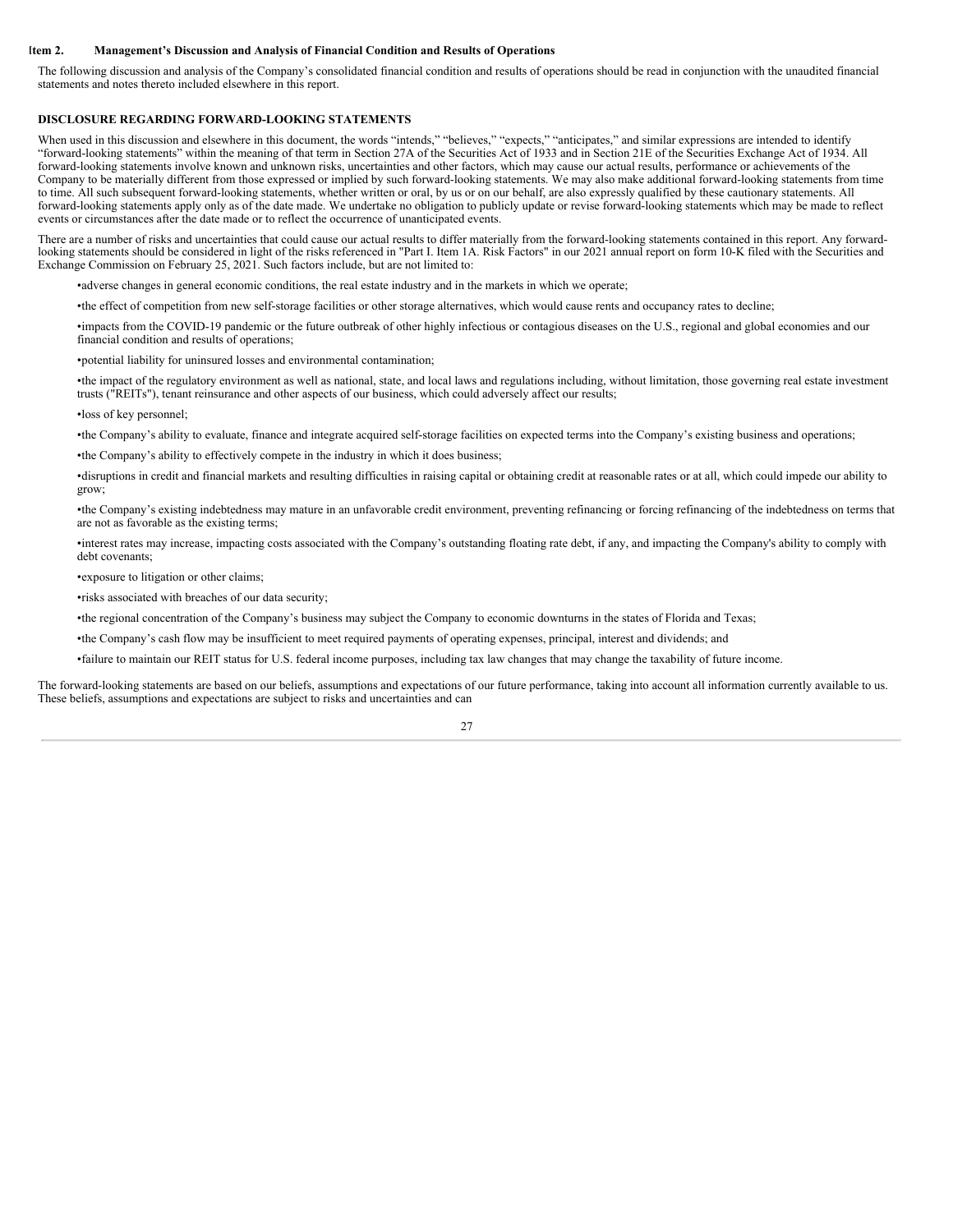#### **Item 2. Management's Discussion and Analysis of Financial Condition and Results of Operations**

The following discussion and analysis of the Company's consolidated financial condition and results of operations should be read in conjunction with the unaudited financial statements and notes thereto included elsewhere in this report.

#### **DISCLOSURE REGARDING FORWARD-LOOKING STATEMENTS**

When used in this discussion and elsewhere in this document, the words "intends," "believes," "expects," "anticipates," and similar expressions are intended to identify "forward-looking statements" within the meaning of that term in Section 27A of the Securities Act of 1933 and in Section 21E of the Securities Exchange Act of 1934. All forward-looking statements involve known and unknown risks, uncertainties and other factors, which may cause our actual results, performance or achievements of the Company to be materially different from those expressed or implied by such forward-looking statements. We may also make additional forward-looking statements from time to time. All such subsequent forward-looking statements, whether written or oral, by us or on our behalf, are also expressly qualified by these cautionary statements. All forward-looking statements apply only as of the date made. We undertake no obligation to publicly update or revise forward-looking statements which may be made to reflect events or circumstances after the date made or to reflect the occurrence of unanticipated events.

There are a number of risks and uncertainties that could cause our actual results to differ materially from the forward-looking statements contained in this report. Any forwardlooking statements should be considered in light of the risks referenced in "Part I. Item 1A. Risk Factors" in our 2021 annual report on form 10-K filed with the Securities and Exchange Commission on February 25, 2021. Such factors include, but are not limited to:

•adverse changes in general economic conditions, the real estate industry and in the markets in which we operate;

•the effect of competition from new self-storage facilities or other storage alternatives, which would cause rents and occupancy rates to decline;

•impacts from the COVID-19 pandemic or the future outbreak of other highly infectious or contagious diseases on the U.S., regional and global economies and our financial condition and results of operations;

•potential liability for uninsured losses and environmental contamination;

•the impact of the regulatory environment as well as national, state, and local laws and regulations including, without limitation, those governing real estate investment trusts ("REITs"), tenant reinsurance and other aspects of our business, which could adversely affect our results;

•loss of key personnel;

•the Company's ability to evaluate, finance and integrate acquired self-storage facilities on expected terms into the Company's existing business and operations;

•the Company's ability to effectively compete in the industry in which it does business;

•disruptions in credit and financial markets and resulting difficulties in raising capital or obtaining credit at reasonable rates or at all, which could impede our ability to grow;

•the Company's existing indebtedness may mature in an unfavorable credit environment, preventing refinancing or forcing refinancing of the indebtedness on terms that are not as favorable as the existing terms;

•interest rates may increase, impacting costs associated with the Company's outstanding floating rate debt, if any, and impacting the Company's ability to comply with debt covenants;

•exposure to litigation or other claims;

•risks associated with breaches of our data security;

•the regional concentration of the Company's business may subject the Company to economic downturns in the states of Florida and Texas;

•the Company's cash flow may be insufficient to meet required payments of operating expenses, principal, interest and dividends; and

•failure to maintain our REIT status for U.S. federal income purposes, including tax law changes that may change the taxability of future income.

The forward-looking statements are based on our beliefs, assumptions and expectations of our future performance, taking into account all information currently available to us. These beliefs, assumptions and expectations are subject to risks and uncertainties and can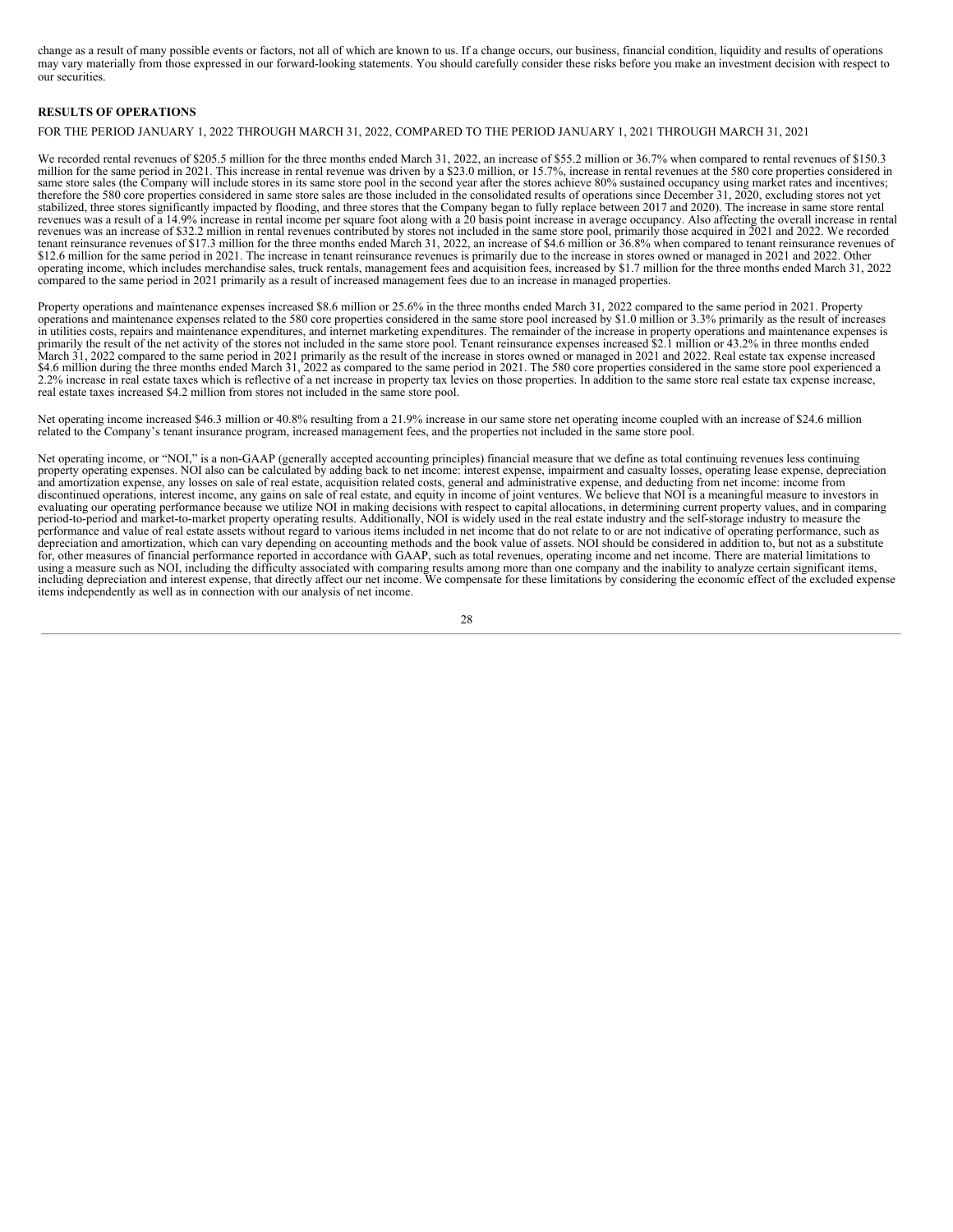change as a result of many possible events or factors, not all of which are known to us. If a change occurs, our business, financial condition, liquidity and results of operations may vary materially from those expressed in our forward-looking statements. You should carefully consider these risks before you make an investment decision with respect to our securities.

# **RESULTS OF OPERATIONS**

FOR THE PERIOD JANUARY 1, 2022 THROUGH MARCH 31, 2022, COMPARED TO THE PERIOD JANUARY 1, 2021 THROUGH MARCH 31, 2021

We recorded rental revenues of \$205.5 million for the three months ended March 31, 2022, an increase of \$55.2 million or 36.7% when compared to rental revenues of \$150.3 million for the same period in 2021. This increase in rental revenue was driven by a \$23.0 million, or 15.7%, increase in rental revenues at the 580 core properties considered in same store sales (the Company will include stores in its same store pool in the second year after the stores achieve 80% sustained occupancy using market rates and incentives; therefore the 580 core properties considered in same store sales are those included in the consolidated results of operations since December 31, 2020, excluding stores not yet stabilized, three stores significantly impacted by flooding, and three stores that the Company began to fully replace between 2017 and 2020). The increase in same store rental revenues was a result of a 14.9% increase in rental income per square foot along with a 20 basis point increase in average occupancy. Also affecting the overall increase in rental revenues was an increase of \$32.2 million in rental revenues contributed by stores not included in the same store pool, primarily those acquired in 2021 and 2022. We recorded<br>tenant reinsurance revenues of \$17.3 million fo \$12.6 million for the same period in 2021. The increase in tenant reinsurance revenues is primarily due to the increase in stores owned or managed in 2021 and 2022. Other operating income, which includes merchandise sales, truck rentals, management fees and acquisition fees, increased by \$1.7 million for the three months ended March 31, 2022 compared to the same period in 2021 primarily as a result of increased management fees due to an increase in managed properties.

Property operations and maintenance expenses increased \$8.6 million or 25.6% in the three months ended March 31, 2022 compared to the same period in 2021. Property operations and maintenance expenses related to the 580 core properties considered in the same store pool increased by \$1.0 million or 3.3% primarily as the result of increases in utilities costs, repairs and maintenance expenditures, and internet marketing expenditures. The remainder of the increase in property operations and maintenance expenses is primarily the result of the net activity of the stores not included in the same store pool. Tenant reinsurance expenses increased \$2.1 million or 43.2% in three months ended March 31, 2022 compared to the same period in 2021 primarily as the result of the increase in stores owned or managed in 2021 and 2022. Real estate tax expense increased a \$4.6 million during the three months ended March 3 2.2% increase in real estate taxes which is reflective of a net increase in property tax levies on those properties. In addition to the same store real estate tax expense increase, real estate taxes increased \$4.2 million from stores not included in the same store pool.

Net operating income increased \$46.3 million or 40.8% resulting from a 21.9% increase in our same store net operating income coupled with an increase of \$24.6 million related to the Company's tenant insurance program, increased management fees, and the properties not included in the same store pool.

Net operating income, or "NOI," is a non-GAAP (generally accepted accounting principles) financial measure that we define as total continuing revenues less continuing property operating expenses. NOI also can be calculated by adding back to net income: interest expense, impairment and casualty losses, operating lease expense, depreciation and amortization expense, any losses on sale of real estate, acquisition related costs, general and administrative expense, and deducting from net income: income from discontinued operations, interest income, any gains on sale of real estate, and equity in income of joint ventures. We believe that NOI is a meaningful measure to investors in evaluating our operating performance because we utilize NOI in making decisions with respect to capital allocations, in determining current property values, and in comparing<br>period-to-period and market-to-market property o depreciation and amortization, which can vary depending on accounting methods and the book value of assets. NOI should be considered in addition to, but not as a substitute for, other measures of financial performance reported in accordance with GAAP, such as total revenues, operating income and net income. There are material limitations to using a measure such as NOI, including the difficulty associated with comparing results among more than one company and the inability to analyze certain significant items, including depreciation and interest expense, that items independently as well as in connection with our analysis of net income.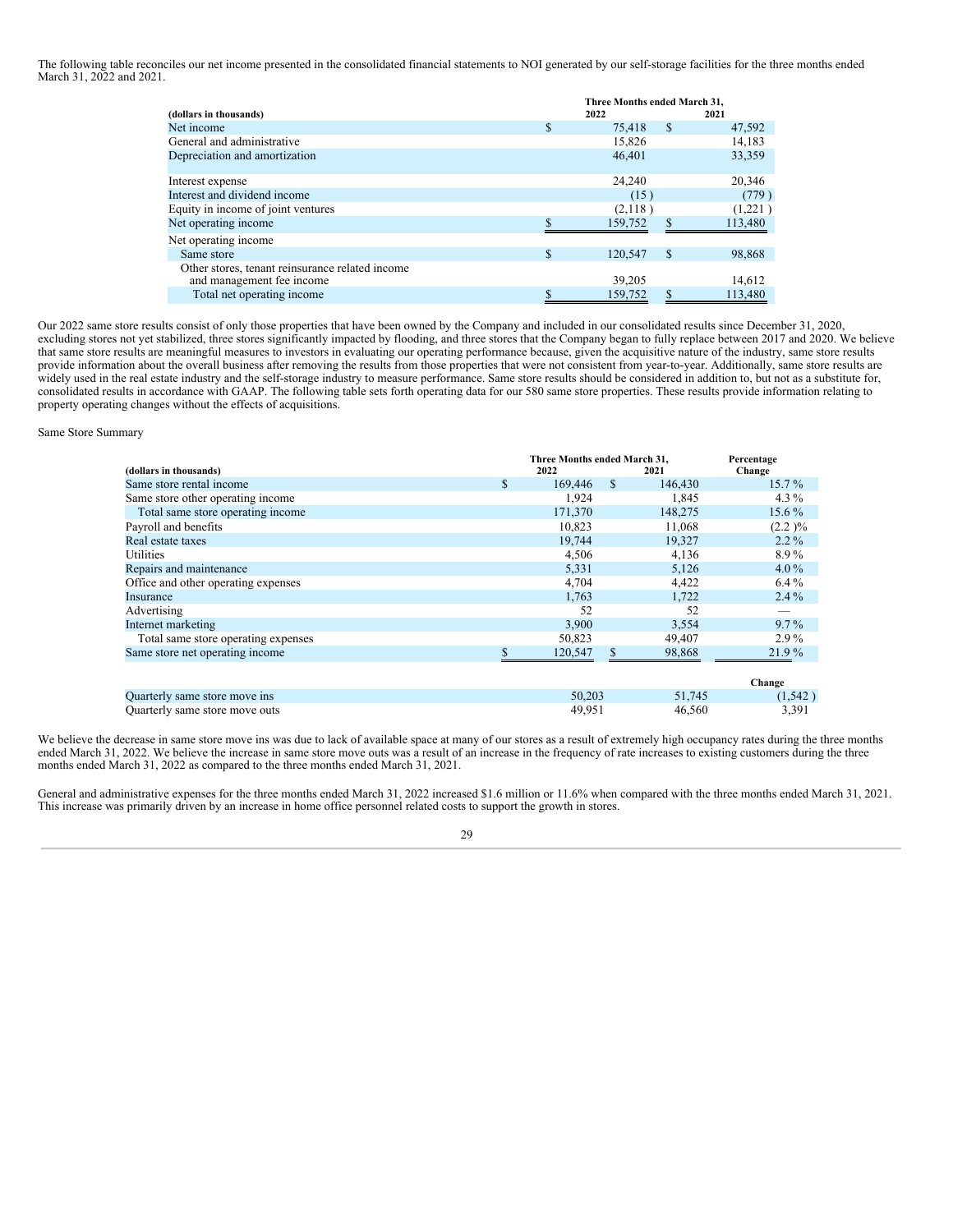The following table reconciles our net income presented in the consolidated financial statements to NOI generated by our self-storage facilities for the three months ended March 31, 2022 and 2021.

|                                                 |   | Three Months ended March 31. |               |
|-------------------------------------------------|---|------------------------------|---------------|
| (dollars in thousands)                          |   | 2022                         | 2021          |
| Net income                                      | S | 75,418                       | \$<br>47,592  |
| General and administrative                      |   | 15.826                       | 14,183        |
| Depreciation and amortization                   |   | 46,401                       | 33,359        |
| Interest expense                                |   | 24,240                       | 20,346        |
| Interest and dividend income                    |   | (15)                         | (779)         |
| Equity in income of joint ventures              |   | (2,118)                      | (1,221)       |
| Net operating income                            |   | 159,752                      | \$<br>113,480 |
| Net operating income                            |   |                              |               |
| Same store                                      | S | 120,547                      | \$<br>98,868  |
| Other stores, tenant reinsurance related income |   |                              |               |
| and management fee income                       |   | 39,205                       | 14,612        |
| Total net operating income                      |   | 159,752                      | \$<br>113,480 |

Our 2022 same store results consist of only those properties that have been owned by the Company and included in our consolidated results since December 31, 2020, excluding stores not yet stabilized, three stores significantly impacted by flooding, and three stores that the Company began to fully replace between 2017 and 2020. We believe that same store results are meaningful measures to investors in evaluating our operating performance because, given the acquisitive nature of the industry, same store results provide information about the overall business after removing the results from those properties that were not consistent from year-to-year. Additionally, same store results are widely used in the real estate industry and the self-storage industry to measure performance. Same store results should be considered in addition to, but not as a substitute for, consolidated results in accordance with GAAP. The following table sets forth operating data for our 580 same store properties. These results provide information relating to property operating changes without the effects of acquisitions.

#### Same Store Summary

|                                     | Three Months ended March 31, |    |         | Percentage |  |
|-------------------------------------|------------------------------|----|---------|------------|--|
| (dollars in thousands)              | 2022                         |    | 2021    | Change     |  |
| Same store rental income            | \$<br>169,446                | -S | 146,430 | $15.7\%$   |  |
| Same store other operating income   | 1,924                        |    | 1,845   | 4.3 $%$    |  |
| Total same store operating income   | 171,370                      |    | 148,275 | $15.6\%$   |  |
| Payroll and benefits                | 10,823                       |    | 11,068  | $(2.2) \%$ |  |
| Real estate taxes                   | 19,744                       |    | 19,327  | $2.2\%$    |  |
| <b>Utilities</b>                    | 4,506                        |    | 4,136   | $8.9\%$    |  |
| Repairs and maintenance             | 5,331                        |    | 5,126   | 4.0 $%$    |  |
| Office and other operating expenses | 4,704                        |    | 4,422   | $6.4\%$    |  |
| Insurance                           | 1,763                        |    | 1,722   | $2.4\%$    |  |
| Advertising                         | 52                           |    | 52      |            |  |
| Internet marketing                  | 3,900                        |    | 3,554   | $9.7\%$    |  |
| Total same store operating expenses | 50,823                       |    | 49,407  | $2.9\%$    |  |
| Same store net operating income     | 120,547                      |    | 98,868  | 21.9 %     |  |
|                                     |                              |    |         |            |  |
|                                     |                              |    |         | Change     |  |
| Quarterly same store move ins       | 50,203                       |    | 51,745  | (1, 542)   |  |
| Quarterly same store move outs      | 49.951                       |    | 46.560  | 3.391      |  |

We believe the decrease in same store move ins was due to lack of available space at many of our stores as a result of extremely high occupancy rates during the three months ended March 31, 2022. We believe the increase in same store move outs was a result of an increase in the frequency of rate increases to existing customers during the three months ended March 31, 2022 as compared to the three months ended March 31, 2021.

General and administrative expenses for the three months ended March 31, 2022 increased \$1.6 million or 11.6% when compared with the three months ended March 31, 2021. This increase was primarily driven by an increase in home office personnel related costs to support the growth in stores.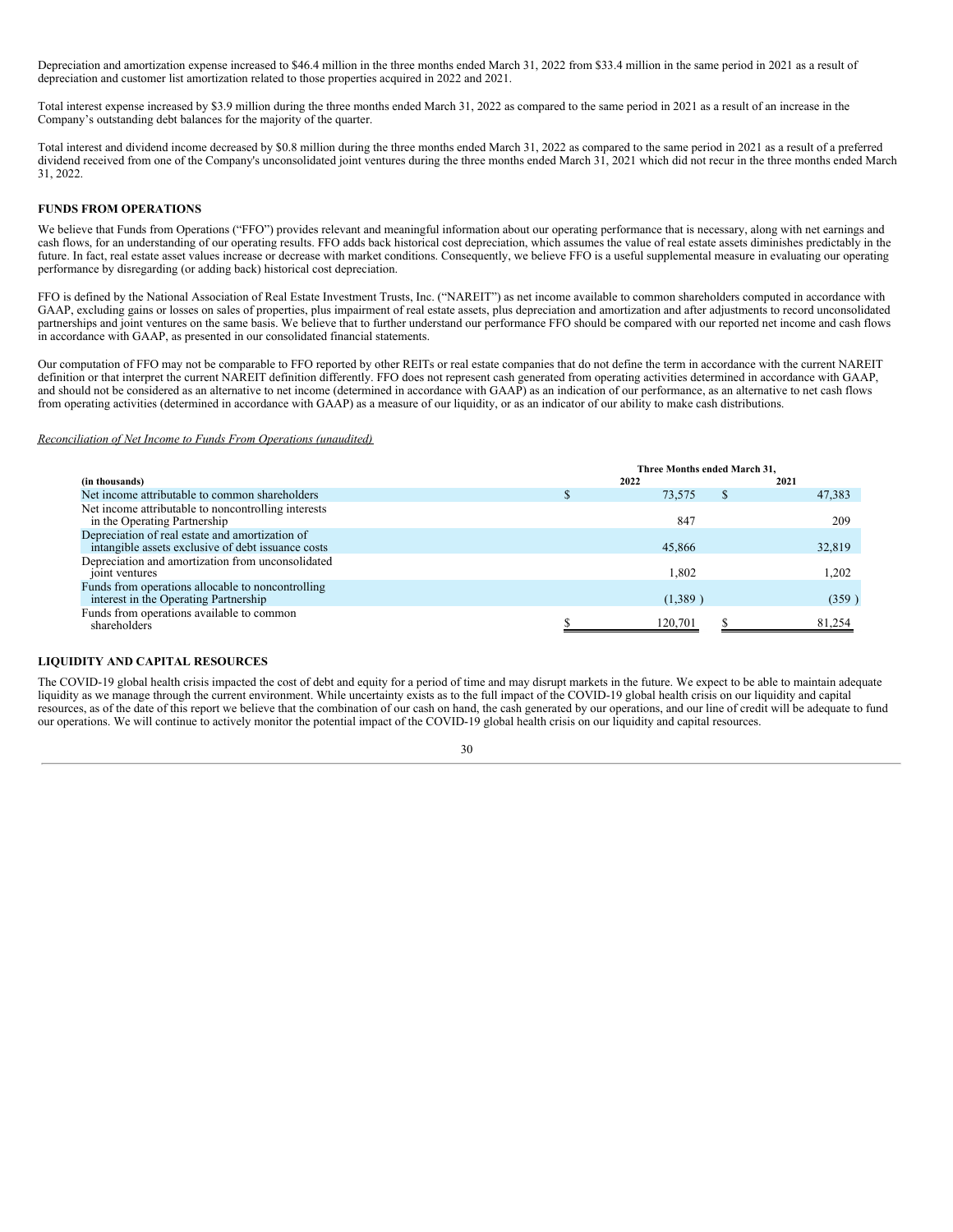Depreciation and amortization expense increased to \$46.4 million in the three months ended March 31, 2022 from \$33.4 million in the same period in 2021 as a result of depreciation and customer list amortization related to those properties acquired in 2022 and 2021.

Total interest expense increased by \$3.9 million during the three months ended March 31, 2022 as compared to the same period in 2021 as a result of an increase in the Company's outstanding debt balances for the majority of the quarter.

Total interest and dividend income decreased by \$0.8 million during the three months ended March 31, 2022 as compared to the same period in 2021 as a result of a preferred dividend received from one of the Company's unconsolidated joint ventures during the three months ended March 31, 2021 which did not recur in the three months ended March 31, 2022.

### **FUNDS FROM OPERATIONS**

We believe that Funds from Operations ("FFO") provides relevant and meaningful information about our operating performance that is necessary, along with net earnings and cash flows, for an understanding of our operating results. FFO adds back historical cost depreciation, which assumes the value of real estate assets diminishes predictably in the future. In fact, real estate asset values increase or decrease with market conditions. Consequently, we believe FFO is a useful supplemental measure in evaluating our operating performance by disregarding (or adding back) historical cost depreciation.

FFO is defined by the National Association of Real Estate Investment Trusts, Inc. ("NAREIT") as net income available to common shareholders computed in accordance with GAAP, excluding gains or losses on sales of properties, plus impairment of real estate assets, plus depreciation and amortization and after adjustments to record unconsolidated partnerships and joint ventures on the same basis. We believe that to further understand our performance FFO should be compared with our reported net income and cash flows in accordance with GAAP, as presented in our consolidated financial statements.

Our computation of FFO may not be comparable to FFO reported by other REITs or real estate companies that do not define the term in accordance with the current NAREIT definition or that interpret the current NAREIT definition differently. FFO does not represent cash generated from operating activities determined in accordance with GAAP, and should not be considered as an alternative to net income (determined in accordance with GAAP) as an indication of our performance, as an alternative to net cash flows from operating activities (determined in accordance with GAAP) as a measure of our liquidity, or as an indicator of our ability to make cash distributions.

#### *Reconciliation of Net Income to Funds From Operations (unaudited)*

| (in thousands)                                                                                        | 2022 | Three Months ended March 31.<br>2021 |     |  |        |
|-------------------------------------------------------------------------------------------------------|------|--------------------------------------|-----|--|--------|
| Net income attributable to common shareholders                                                        |      | 73,575                               | \$. |  | 47,383 |
| Net income attributable to noncontrolling interests<br>in the Operating Partnership                   |      | 847                                  |     |  | 209    |
| Depreciation of real estate and amortization of<br>intangible assets exclusive of debt issuance costs |      | 45,866                               |     |  | 32,819 |
| Depreciation and amortization from unconsolidated<br>joint ventures                                   |      | 1,802                                |     |  | 1,202  |
| Funds from operations allocable to noncontrolling<br>interest in the Operating Partnership            |      | (1,389)                              |     |  | (359)  |
| Funds from operations available to common<br>shareholders                                             |      | 120,701                              |     |  | 81,254 |

# **LIQUIDITY AND CAPITAL RESOURCES**

The COVID-19 global health crisis impacted the cost of debt and equity for a period of time and may disrupt markets in the future. We expect to be able to maintain adequate liquidity as we manage through the current environment. While uncertainty exists as to the full impact of the COVID-19 global health crisis on our liquidity and capital resources, as of the date of this report we believe that the combination of our cash on hand, the cash generated by our operations, and our line of credit will be adequate to fund our operations. We will continue to actively monitor the potential impact of the COVID-19 global health crisis on our liquidity and capital resources.

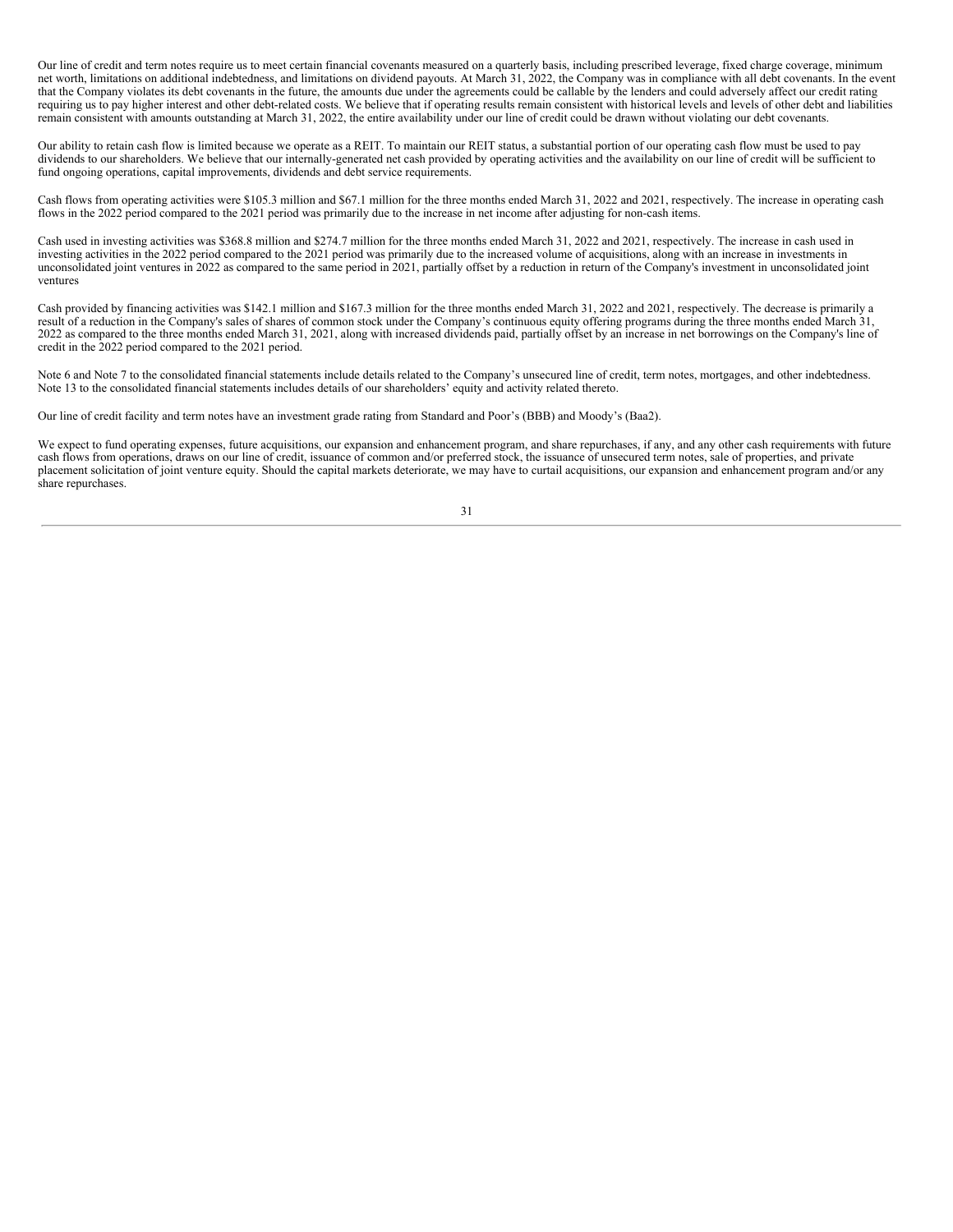Our line of credit and term notes require us to meet certain financial covenants measured on a quarterly basis, including prescribed leverage, fixed charge coverage, minimum net worth, limitations on additional indebtedness, and limitations on dividend payouts. At March 31, 2022, the Company was in compliance with all debt covenants. In the event that the Company violates its debt covenants in the future, the amounts due under the agreements could be callable by the lenders and could adversely affect our credit rating requiring us to pay higher interest and other debt-related costs. We believe that if operating results remain consistent with historical levels and levels of other debt and liabilities remain consistent with amounts outstanding at March 31, 2022, the entire availability under our line of credit could be drawn without violating our debt covenants.

Our ability to retain cash flow is limited because we operate as a REIT. To maintain our REIT status, a substantial portion of our operating cash flow must be used to pay dividends to our shareholders. We believe that our internally-generated net cash provided by operating activities and the availability on our line of credit will be sufficient to fund ongoing operations, capital improvements, dividends and debt service requirements.

Cash flows from operating activities were \$105.3 million and \$67.1 million for the three months ended March 31, 2022 and 2021, respectively. The increase in operating cash flows in the 2022 period compared to the 2021 period was primarily due to the increase in net income after adjusting for non-cash items.

Cash used in investing activities was \$368.8 million and \$274.7 million for the three months ended March 31, 2022 and 2021, respectively. The increase in cash used in investing activities in the 2022 period compared to the 2021 period was primarily due to the increased volume of acquisitions, along with an increase in investments in unconsolidated joint ventures in 2022 as compared to the same period in 2021, partially offset by a reduction in return of the Company's investment in unconsolidated joint ventures

Cash provided by financing activities was \$142.1 million and \$167.3 million for the three months ended March 31, 2022 and 2021, respectively. The decrease is primarily a result of a reduction in the Company's sales of shares of common stock under the Company's continuous equity offering programs during the three months ended March 31, 2022 as compared to the three months ended March 31, 2021, along with increased dividends paid, partially offset by an increase in net borrowings on the Company's line of credit in the 2022 period compared to the 2021 period.

Note 6 and Note 7 to the consolidated financial statements include details related to the Company's unsecured line of credit, term notes, mortgages, and other indebtedness. Note 13 to the consolidated financial statements includes details of our shareholders' equity and activity related thereto.

Our line of credit facility and term notes have an investment grade rating from Standard and Poor's (BBB) and Moody's (Baa2).

We expect to fund operating expenses, future acquisitions, our expansion and enhancement program, and share repurchases, if any, and any other cash requirements with future cash flows from operations, draws on our line of credit, issuance of common and/or preferred stock, the issuance of unsecured term notes, sale of properties, and private placement solicitation of joint venture equity. Should the capital markets deteriorate, we may have to curtail acquisitions, our expansion and enhancement program and/or any share repurchases.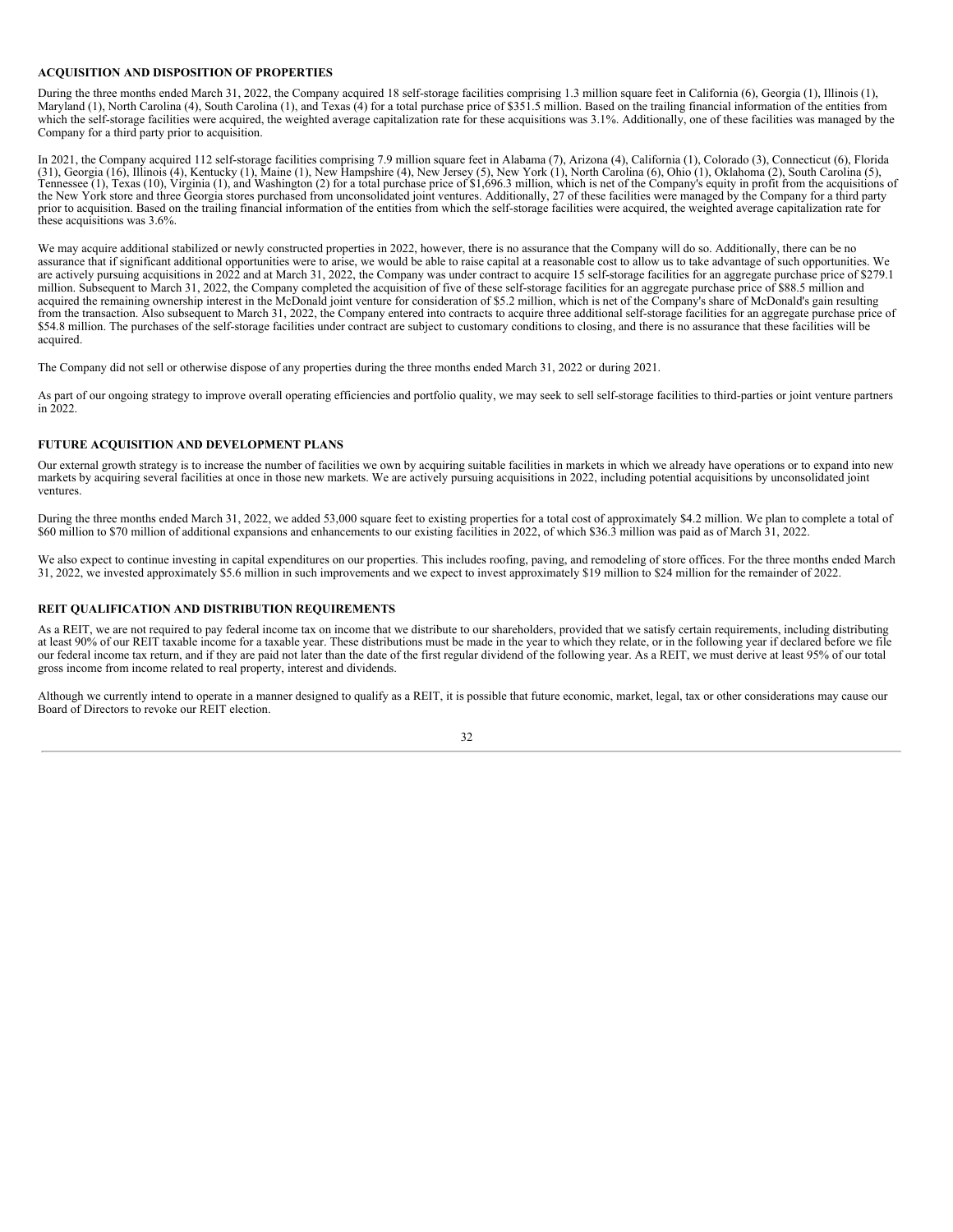### **ACQUISITION AND DISPOSITION OF PROPERTIES**

During the three months ended March 31, 2022, the Company acquired 18 self-storage facilities comprising 1.3 million square feet in California (6), Georgia (1), Illinois (1), Maryland (1), North Carolina (4), South Carolina (1), and Texas (4) for a total purchase price of \$351.5 million. Based on the trailing financial information of the entities from which the self-storage facilities were acquired, the weighted average capitalization rate for these acquisitions was 3.1%. Additionally, one of these facilities was managed by the Company for a third party prior to acquisition.

In 2021, the Company acquired 112 self-storage facilities comprising 7.9 million square feet in Alabama (7), Arizona (4), California (1), Colorado (3), Connecticut (6), Florida (31), Georgia (16), Illinois (4), Kentucky (1), Maine (1), New Hampshire (4), New Jersey (5), New York (1), North Carolina (6), Ohio (1), Oklahoma (2), South Carolina (5), Tennessee (1), Texas (10), Virginia (1), and Washi the New York store and three Georgia stores purchased from unconsolidated joint ventures. Additionally, 27 of these facilities were managed by the Company for a third party prior to acquisition. Based on the trailing financial information of the entities from which the self-storage facilities were acquired, the weighted average capitalization rate for these acquisitions was 3.6%.

We may acquire additional stabilized or newly constructed properties in 2022, however, there is no assurance that the Company will do so. Additionally, there can be no assurance that if significant additional opportunities were to arise, we would be able to raise capital at a reasonable cost to allow us to take advantage of such opportunities. We are actively pursuing acquisitions in 2022 and at March 31, 2022, the Company was under contract to acquire 15 self-storage facilities for an aggregate purchase price of \$279.1 million. Subsequent to March 31, 2022, the Company completed the acquisition of five of these self-storage facilities for an aggregate purchase price of \$88.5 million and acquired the remaining ownership interest in the McDonald joint venture for consideration of \$5.2 million, which is net of the Company's share of McDonald's gain resulting from the transaction. Also subsequent to March 31, 2022, the Company entered into contracts to acquire three additional self-storage facilities for an aggregate purchase price of \$54.8 million. The purchases of the self-storage facilities under contract are subject to customary conditions to closing, and there is no assurance that these facilities will be acquired.

The Company did not sell or otherwise dispose of any properties during the three months ended March 31, 2022 or during 2021.

As part of our ongoing strategy to improve overall operating efficiencies and portfolio quality, we may seek to sell self-storage facilities to third-parties or joint venture partners in 2022.

### **FUTURE ACQUISITION AND DEVELOPMENT PLANS**

Our external growth strategy is to increase the number of facilities we own by acquiring suitable facilities in markets in which we already have operations or to expand into new markets by acquiring several facilities at once in those new markets. We are actively pursuing acquisitions in 2022, including potential acquisitions by unconsolidated joint ventures.

During the three months ended March 31, 2022, we added 53,000 square feet to existing properties for a total cost of approximately \$4.2 million. We plan to complete a total of \$60 million to \$70 million of additional expansions and enhancements to our existing facilities in 2022, of which \$36.3 million was paid as of March 31, 2022.

We also expect to continue investing in capital expenditures on our properties. This includes roofing, paving, and remodeling of store offices. For the three months ended March 31, 2022, we invested approximately \$5.6 million in such improvements and we expect to invest approximately \$19 million to \$24 million for the remainder of 2022.

### **REIT QUALIFICATION AND DISTRIBUTION REQUIREMENTS**

As a REIT, we are not required to pay federal income tax on income that we distribute to our shareholders, provided that we satisfy certain requirements, including distributing at least 90% of our REIT taxable income for a taxable year. These distributions must be made in the year to which they relate, or in the following year if declared before we file our federal income tax return, and if they are paid not later than the date of the first regular dividend of the following year. As a REIT, we must derive at least 95% of our total gross income from income related to real property, interest and dividends.

Although we currently intend to operate in a manner designed to qualify as a REIT, it is possible that future economic, market, legal, tax or other considerations may cause our Board of Directors to revoke our REIT election.

|              | v |
|--------------|---|
| I            |   |
| I<br>÷<br>۰. |   |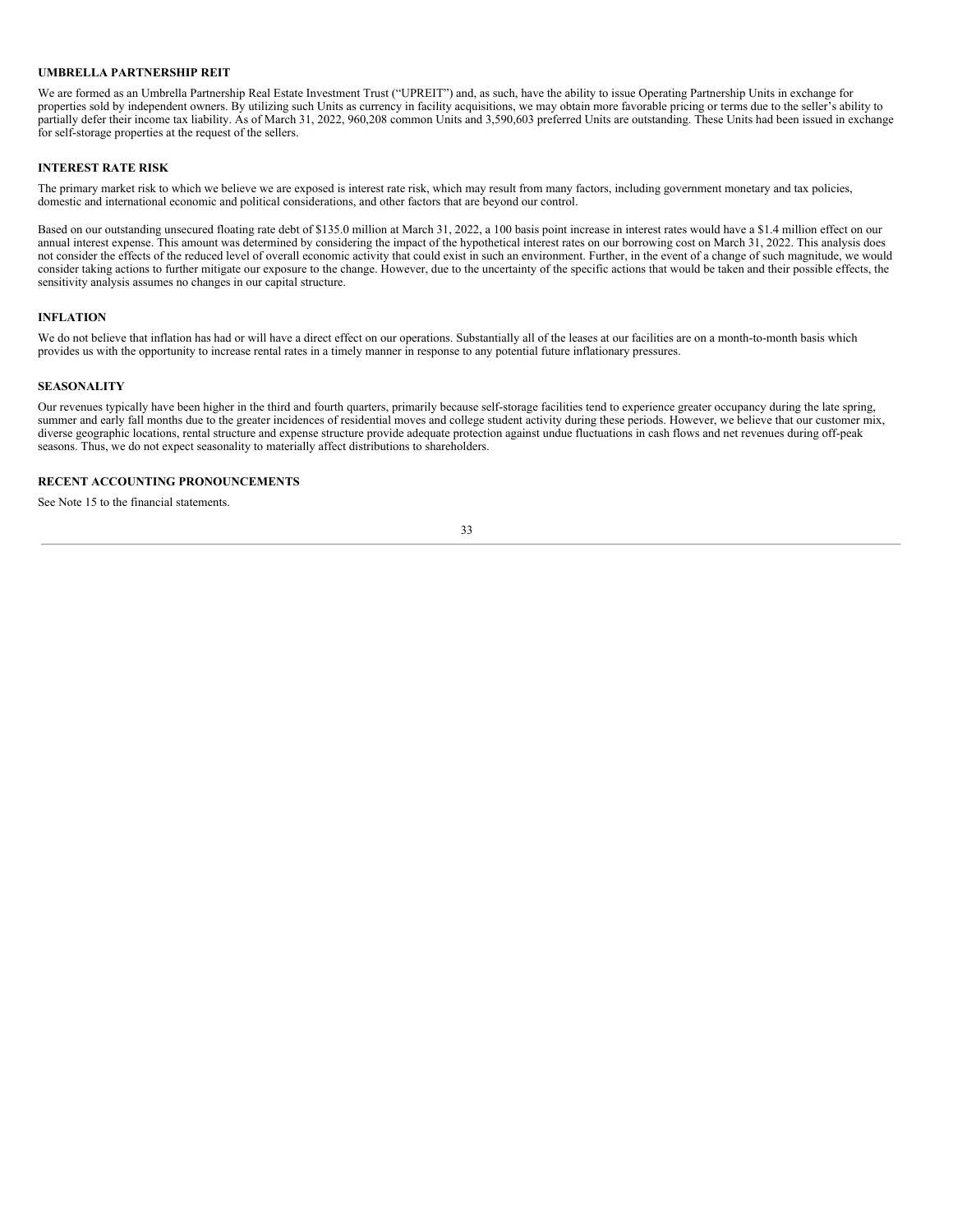#### **UMBRELLA PARTNERSHIP REIT**

We are formed as an Umbrella Partnership Real Estate Investment Trust ("UPREIT") and, as such, have the ability to issue Operating Partnership Units in exchange for properties sold by independent owners. By utilizing such Units as currency in facility acquisitions, we may obtain more favorable pricing or terms due to the seller's ability to partially defer their income tax liability. As of March 31, 2022, 960,208 common Units and 3,590,603 preferred Units are outstanding. These Units had been issued in exchange for self-storage properties at the request of the sellers.

### **INTEREST RATE RISK**

The primary market risk to which we believe we are exposed is interest rate risk, which may result from many factors, including government monetary and tax policies, domestic and international economic and political considerations, and other factors that are beyond our control.

Based on our outstanding unsecured floating rate debt of \$135.0 million at March 31, 2022, a 100 basis point increase in interest rates would have a \$1.4 million effect on our annual interest expense. This amount was determined by considering the impact of the hypothetical interest rates on our borrowing cost on March 31, 2022. This analysis does not consider the effects of the reduced level of overall economic activity that could exist in such an environment. Further, in the event of a change of such magnitude, we would consider taking actions to further mitigate our exposure to the change. However, due to the uncertainty of the specific actions that would be taken and their possible effects, the sensitivity analysis assumes no changes in our capital structure.

#### **INFLATION**

We do not believe that inflation has had or will have a direct effect on our operations. Substantially all of the leases at our facilities are on a month-to-month basis which provides us with the opportunity to increase rental rates in a timely manner in response to any potential future inflationary pressures.

### **SEASONALITY**

Our revenues typically have been higher in the third and fourth quarters, primarily because self-storage facilities tend to experience greater occupancy during the late spring, summer and early fall months due to the greater incidences of residential moves and college student activity during these periods. However, we believe that our customer mix, diverse geographic locations, rental structure and expense structure provide adequate protection against undue fluctuations in cash flows and net revenues during off-peak seasons. Thus, we do not expect seasonality to materially affect distributions to shareholders.

# **RECENT ACCOUNTING PRONOUNCEMENTS**

See Note 15 to the financial statements.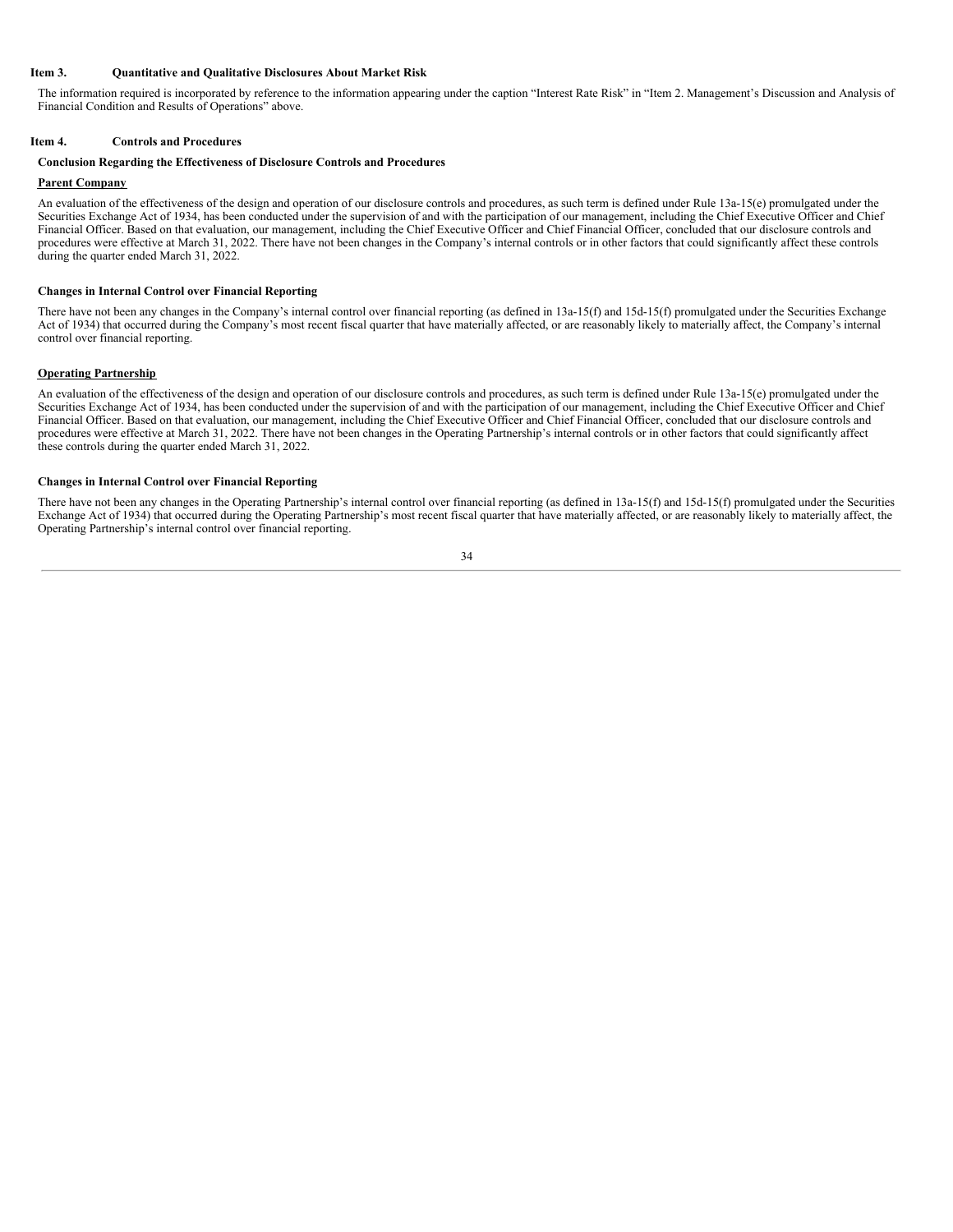#### **Item 3. Quantitative and Qualitative Disclosures About Market Risk**

The information required is incorporated by reference to the information appearing under the caption "Interest Rate Risk" in "Item 2. Management's Discussion and Analysis of Financial Condition and Results of Operations" above.

#### **Item 4. Controls and Procedures**

#### **Conclusion Regarding the Effectiveness of Disclosure Controls and Procedures**

#### **Parent Company**

An evaluation of the effectiveness of the design and operation of our disclosure controls and procedures, as such term is defined under Rule 13a-15(e) promulgated under the Securities Exchange Act of 1934, has been conducted under the supervision of and with the participation of our management, including the Chief Executive Officer and Chief Financial Officer. Based on that evaluation, our management, including the Chief Executive Officer and Chief Financial Officer, concluded that our disclosure controls and procedures were effective at March 31, 2022. There have not been changes in the Company's internal controls or in other factors that could significantly affect these controls during the quarter ended March 31, 2022.

#### **Changes in Internal Control over Financial Reporting**

There have not been any changes in the Company's internal control over financial reporting (as defined in 13a-15(f) and 15d-15(f) promulgated under the Securities Exchange Act of 1934) that occurred during the Company's most recent fiscal quarter that have materially affected, or are reasonably likely to materially affect, the Company's internal control over financial reporting.

# **Operating Partnership**

An evaluation of the effectiveness of the design and operation of our disclosure controls and procedures, as such term is defined under Rule 13a-15(e) promulgated under the Securities Exchange Act of 1934, has been conducted under the supervision of and with the participation of our management, including the Chief Executive Officer and Chief Financial Officer. Based on that evaluation, our management, including the Chief Executive Officer and Chief Financial Officer, concluded that our disclosure controls and procedures were effective at March 31, 2022. There have not been changes in the Operating Partnership's internal controls or in other factors that could significantly affect these controls during the quarter ended March 31, 2022.

#### **Changes in Internal Control over Financial Reporting**

There have not been any changes in the Operating Partnership's internal control over financial reporting (as defined in 13a-15(f) and 15d-15(f) promulgated under the Securities Exchange Act of 1934) that occurred during the Operating Partnership's most recent fiscal quarter that have materially affected, or are reasonably likely to materially affect, the Operating Partnership's internal control over financial reporting.

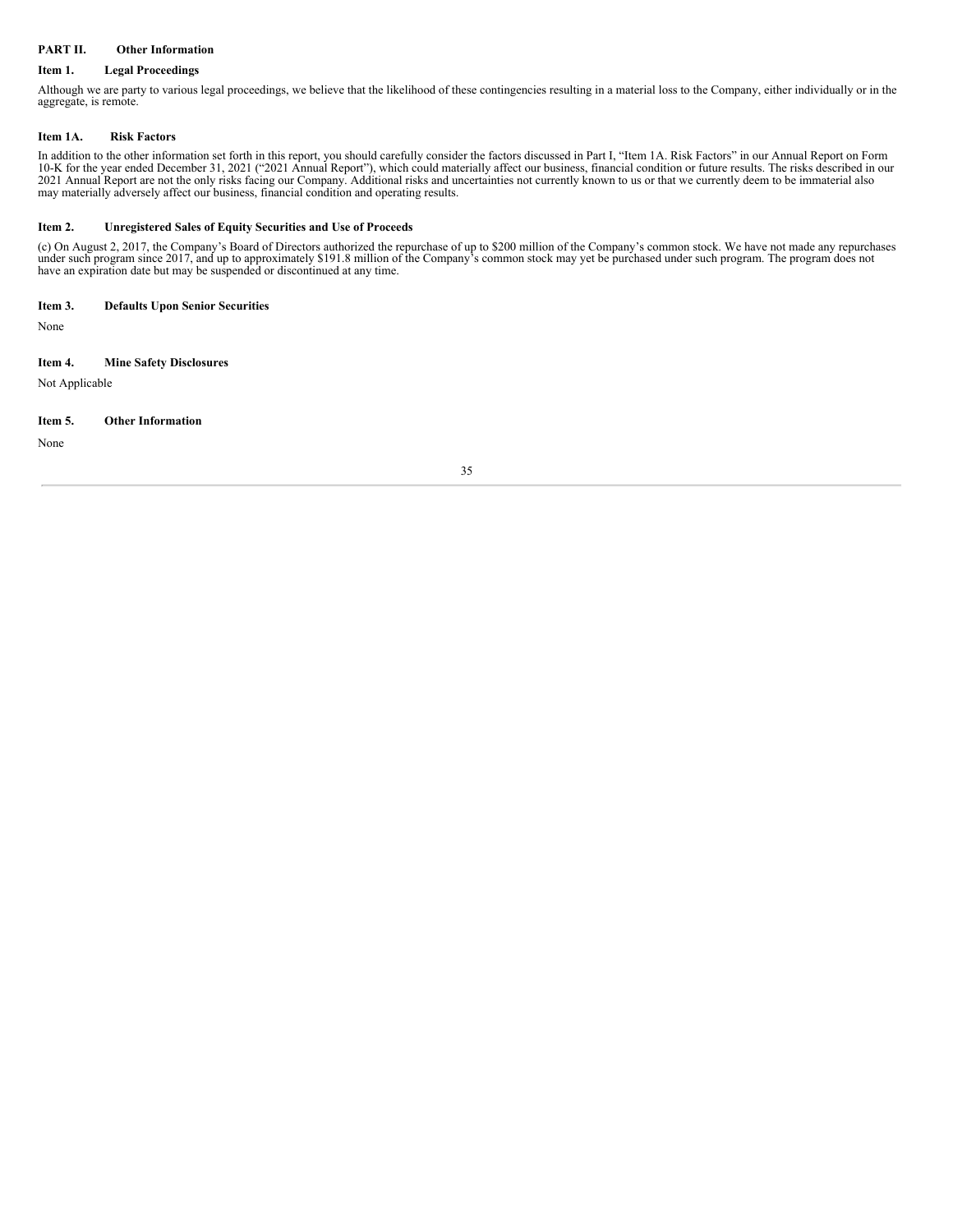# **PART II. Other Information**

### **Item 1. Legal Proceedings**

Although we are party to various legal proceedings, we believe that the likelihood of these contingencies resulting in a material loss to the Company, either individually or in the aggregate, is remote.

### **Item 1A. Risk Factors**

In addition to the other information set forth in this report, you should carefully consider the factors discussed in Part I, "Item 1A. Risk Factors" in our Annual Report on Form 10-K for the year ended December 31, 2021 ("2021 Annual Report"), which could materially affect our business, financial condition or future results. The risks described in our 2021 Annual Report are not the only risks faci

#### **Item 2. Unregistered Sales of Equity Securities and Use of Proceeds**

(c) On August 2, 2017, the Company's Board of Directors authorized the repurchase of up to \$200 million of the Company's common stock. We have not made any repurchases under such program since 2017, and up to approximately have an expiration date but may be suspended or discontinued at any time.

### **Item 3. Defaults Upon Senior Securities**

None

# **Item 4. Mine Safety Disclosures**

Not Applicable

#### **Item 5. Other Information**

None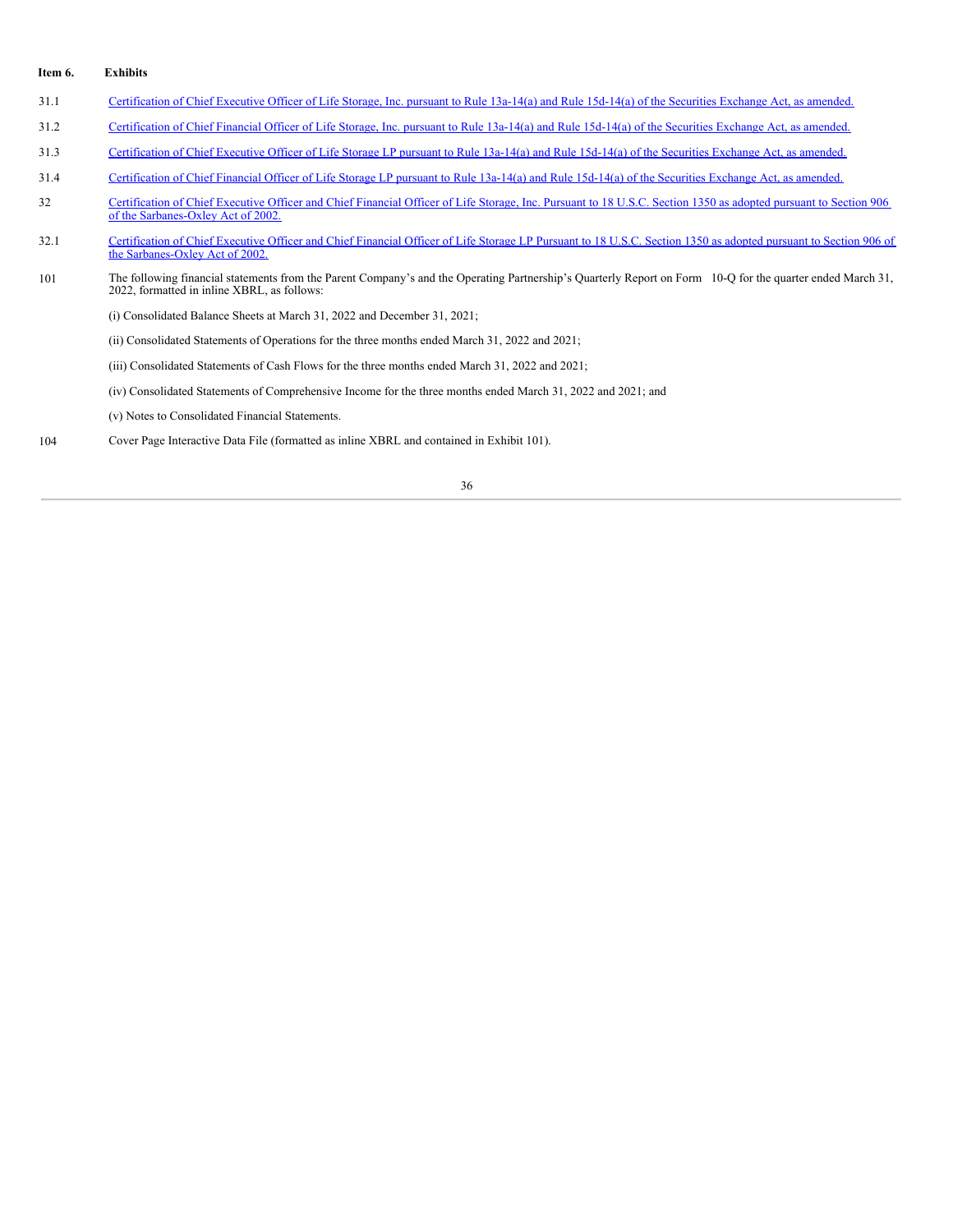#### **Item 6. Exhibits**

- 31.1 [Certification](#page-38-0) of Chief Executive Officer of Life Storage, Inc. pursuant to Rule 13a-14(a) and Rule 15d-14(a) of the Securities Exchange Act, as amended.
- 31.2 [Certification](#page-40-0) of Chief Financial Officer of Life Storage, Inc. pursuant to Rule 13a-14(a) and Rule 15d-14(a) of the Securities Exchange Act, as amended.
- 31.3 [Certification](#page-42-0) of Chief Executive Officer of Life Storage LP pursuant to Rule 13a-14(a) and Rule 15d-14(a) of the Securities Exchange Act, as amended.
- 31.4 [Certification](#page-44-0) of Chief Financial Officer of Life Storage LP pursuant to Rule 13a-14(a) and Rule 15d-14(a) of the Securities Exchange Act, as amended.
- 32 Certification of Chief Executive Officer and Chief Financial Officer of Life Storage, Inc. Pursuant to 18 U.S.C. Section 1350 as adopted pursuant to Section 906 of the [Sarbanes-Oxley](#page-46-0) Act of 2002.
- 32.1 Certification of Chief Executive Officer and Chief Financial Officer of Life Storage LP Pursuant to 18 U.S.C. Section 1350 as adopted pursuant to Section 906 of the [Sarbanes-Oxley](#page-48-0) Act of 2002.
- 101 The following financial statements from the Parent Company's and the Operating Partnership's Quarterly Report on Form 10-Q for the quarter ended March 31, 2022, formatted in inline XBRL, as follows:

- (ii) Consolidated Statements of Operations for the three months ended March 31, 2022 and 2021;
- (iii) Consolidated Statements of Cash Flows for the three months ended March 31, 2022 and 2021;
- (iv) Consolidated Statements of Comprehensive Income for the three months ended March 31, 2022 and 2021; and
- (v) Notes to Consolidated Financial Statements.
- 104 Cover Page Interactive Data File (formatted as inline XBRL and contained in Exhibit 101).

<sup>(</sup>i) Consolidated Balance Sheets at March 31, 2022 and December 31, 2021;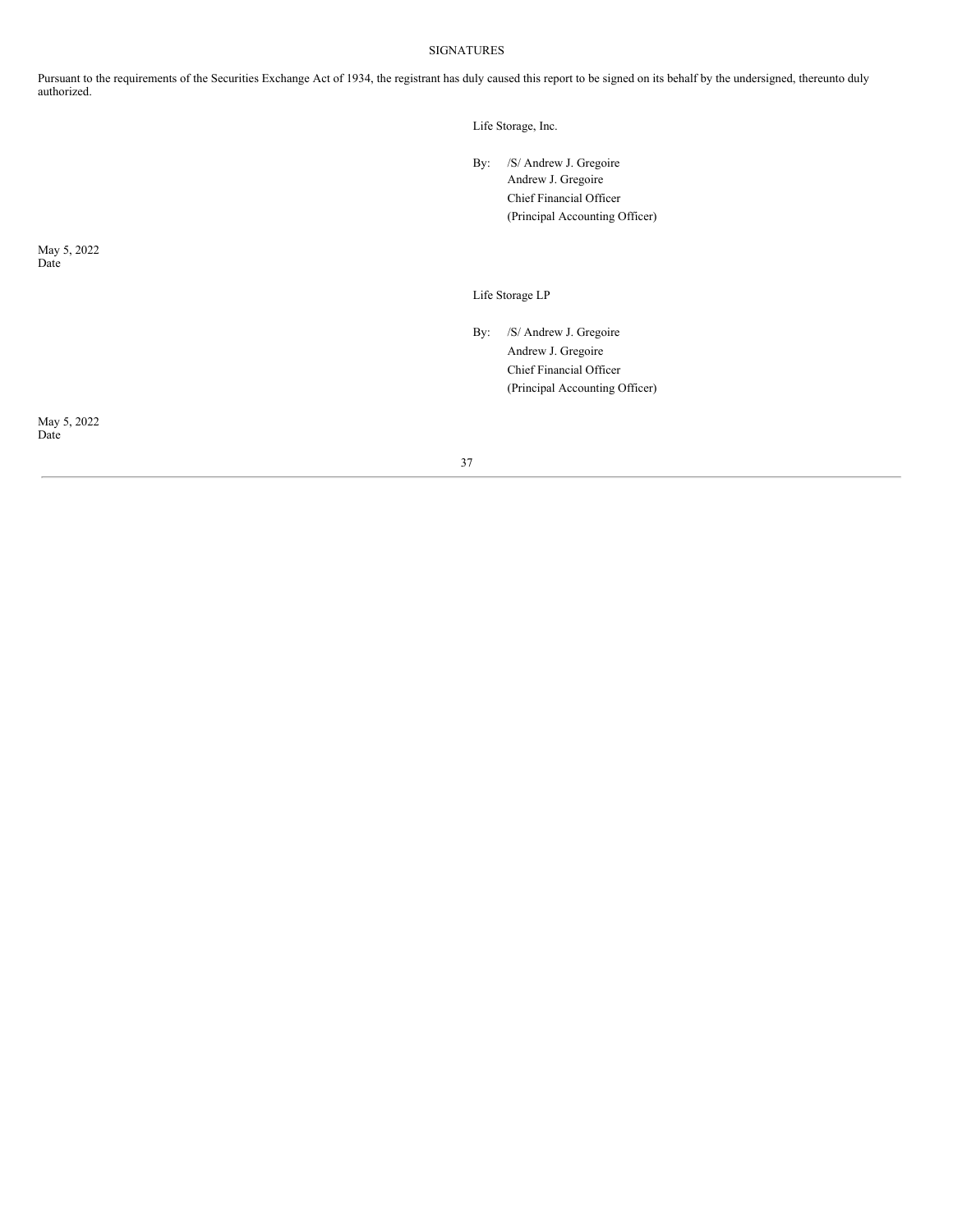# SIGNATURES

Pursuant to the requirements of the Securities Exchange Act of 1934, the registrant has duly caused this report to be signed on its behalf by the undersigned, thereunto duly authorized.

Life Storage, Inc.

By: /S/ Andrew J. Gregoire Andrew J. Gregoire Chief Financial Officer (Principal Accounting Officer)

# Life Storage LP

By: /S/ Andrew J. Gregoire Andrew J. Gregoire Chief Financial Officer (Principal Accounting Officer)

May 5, 2022 Date

May 5, 2022 Date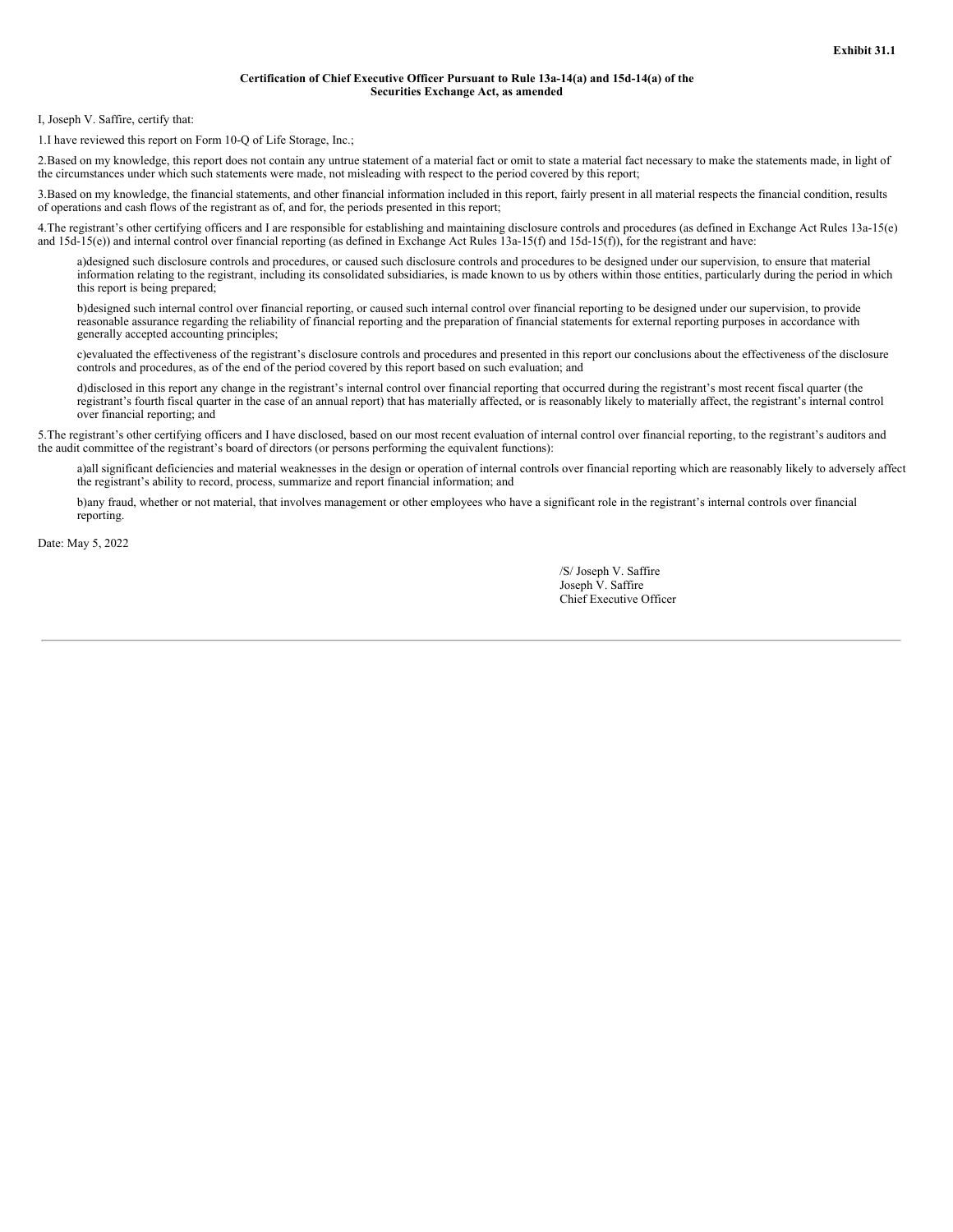### **Certification of Chief Executive Officer Pursuant to Rule 13a-14(a) and 15d-14(a) of the Securities Exchange Act, as amended**

<span id="page-38-0"></span>I, Joseph V. Saffire, certify that:

1.I have reviewed this report on Form 10-Q of Life Storage, Inc.;

2.Based on my knowledge, this report does not contain any untrue statement of a material fact or omit to state a material fact necessary to make the statements made, in light of the circumstances under which such statements were made, not misleading with respect to the period covered by this report;

3.Based on my knowledge, the financial statements, and other financial information included in this report, fairly present in all material respects the financial condition, results of operations and cash flows of the registrant as of, and for, the periods presented in this report;

4.The registrant's other certifying officers and I are responsible for establishing and maintaining disclosure controls and procedures (as defined in Exchange Act Rules 13a-15(e) and 15d-15(e)) and internal control over financial reporting (as defined in Exchange Act Rules 13a-15(f) and 15d-15(f)), for the registrant and have:

a)designed such disclosure controls and procedures, or caused such disclosure controls and procedures to be designed under our supervision, to ensure that material information relating to the registrant, including its consolidated subsidiaries, is made known to us by others within those entities, particularly during the period in which this report is being prepared;

b)designed such internal control over financial reporting, or caused such internal control over financial reporting to be designed under our supervision, to provide reasonable assurance regarding the reliability of financial reporting and the preparation of financial statements for external reporting purposes in accordance with generally accepted accounting principles;

c)evaluated the effectiveness of the registrant's disclosure controls and procedures and presented in this report our conclusions about the effectiveness of the disclosure controls and procedures, as of the end of the period covered by this report based on such evaluation; and

d)disclosed in this report any change in the registrant's internal control over financial reporting that occurred during the registrant's most recent fiscal quarter (the registrant's fourth fiscal quarter in the case of an annual report) that has materially affected, or is reasonably likely to materially affect, the registrant's internal control over financial reporting; and

5.The registrant's other certifying officers and I have disclosed, based on our most recent evaluation of internal control over financial reporting, to the registrant's auditors and the audit committee of the registrant's board of directors (or persons performing the equivalent functions):

a)all significant deficiencies and material weaknesses in the design or operation of internal controls over financial reporting which are reasonably likely to adversely affect the registrant's ability to record, process, summarize and report financial information; and

b)any fraud, whether or not material, that involves management or other employees who have a significant role in the registrant's internal controls over financial reporting.

Date: May 5, 2022

/S/ Joseph V. Saffire Joseph V. Saffire Chief Executive Officer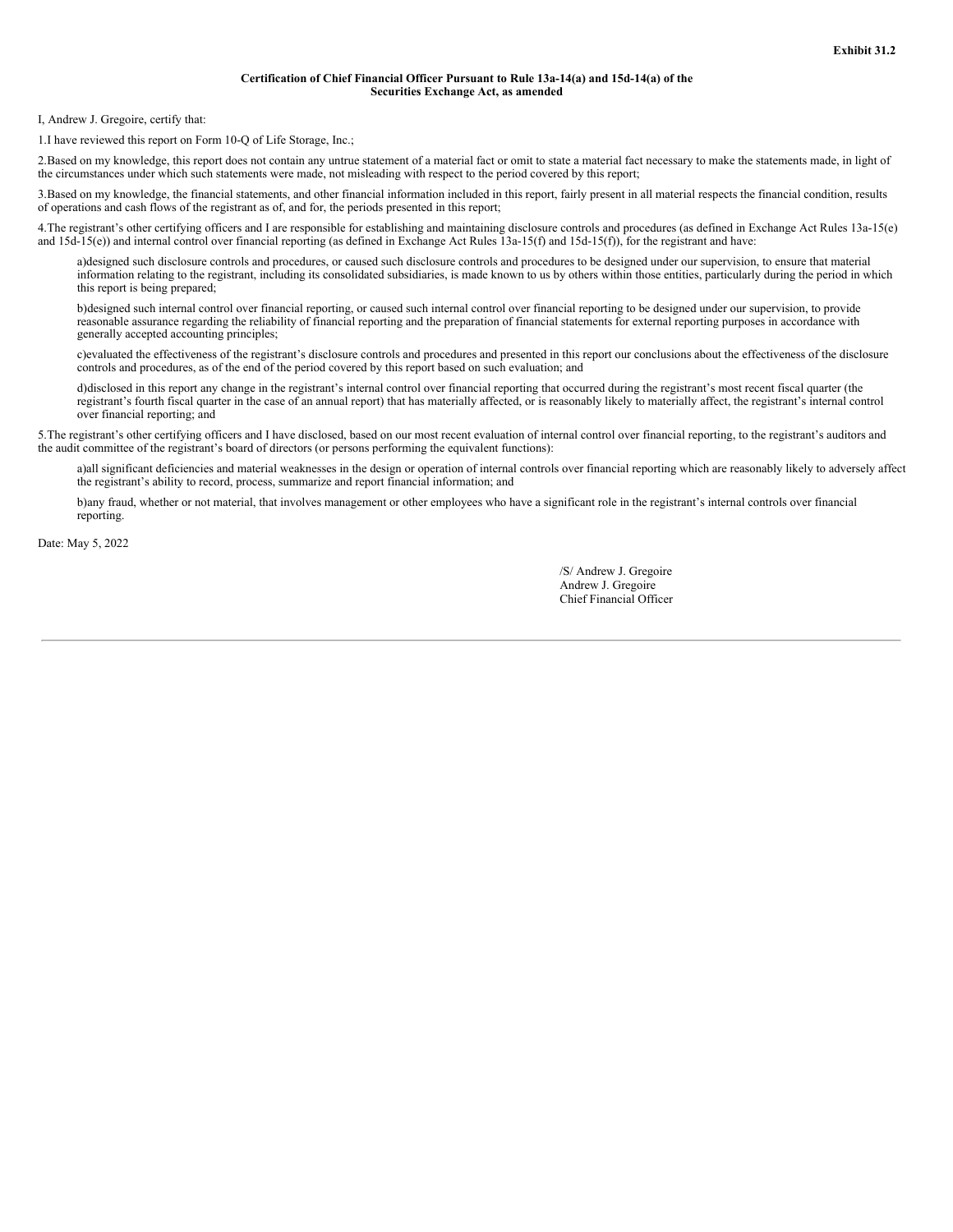### **Certification of Chief Financial Officer Pursuant to Rule 13a-14(a) and 15d-14(a) of the Securities Exchange Act, as amended**

<span id="page-40-0"></span>I, Andrew J. Gregoire, certify that:

1.I have reviewed this report on Form 10-Q of Life Storage, Inc.;

2.Based on my knowledge, this report does not contain any untrue statement of a material fact or omit to state a material fact necessary to make the statements made, in light of the circumstances under which such statements were made, not misleading with respect to the period covered by this report;

3.Based on my knowledge, the financial statements, and other financial information included in this report, fairly present in all material respects the financial condition, results of operations and cash flows of the registrant as of, and for, the periods presented in this report;

4.The registrant's other certifying officers and I are responsible for establishing and maintaining disclosure controls and procedures (as defined in Exchange Act Rules 13a-15(e) and 15d-15(e)) and internal control over financial reporting (as defined in Exchange Act Rules 13a-15(f) and 15d-15(f)), for the registrant and have:

a)designed such disclosure controls and procedures, or caused such disclosure controls and procedures to be designed under our supervision, to ensure that material information relating to the registrant, including its consolidated subsidiaries, is made known to us by others within those entities, particularly during the period in which this report is being prepared;

b)designed such internal control over financial reporting, or caused such internal control over financial reporting to be designed under our supervision, to provide reasonable assurance regarding the reliability of financial reporting and the preparation of financial statements for external reporting purposes in accordance with generally accepted accounting principles;

c)evaluated the effectiveness of the registrant's disclosure controls and procedures and presented in this report our conclusions about the effectiveness of the disclosure controls and procedures, as of the end of the period covered by this report based on such evaluation; and

d)disclosed in this report any change in the registrant's internal control over financial reporting that occurred during the registrant's most recent fiscal quarter (the registrant's fourth fiscal quarter in the case of an annual report) that has materially affected, or is reasonably likely to materially affect, the registrant's internal control over financial reporting; and

5.The registrant's other certifying officers and I have disclosed, based on our most recent evaluation of internal control over financial reporting, to the registrant's auditors and the audit committee of the registrant's board of directors (or persons performing the equivalent functions):

a)all significant deficiencies and material weaknesses in the design or operation of internal controls over financial reporting which are reasonably likely to adversely affect the registrant's ability to record, process, summarize and report financial information; and

b)any fraud, whether or not material, that involves management or other employees who have a significant role in the registrant's internal controls over financial reporting.

Date: May 5, 2022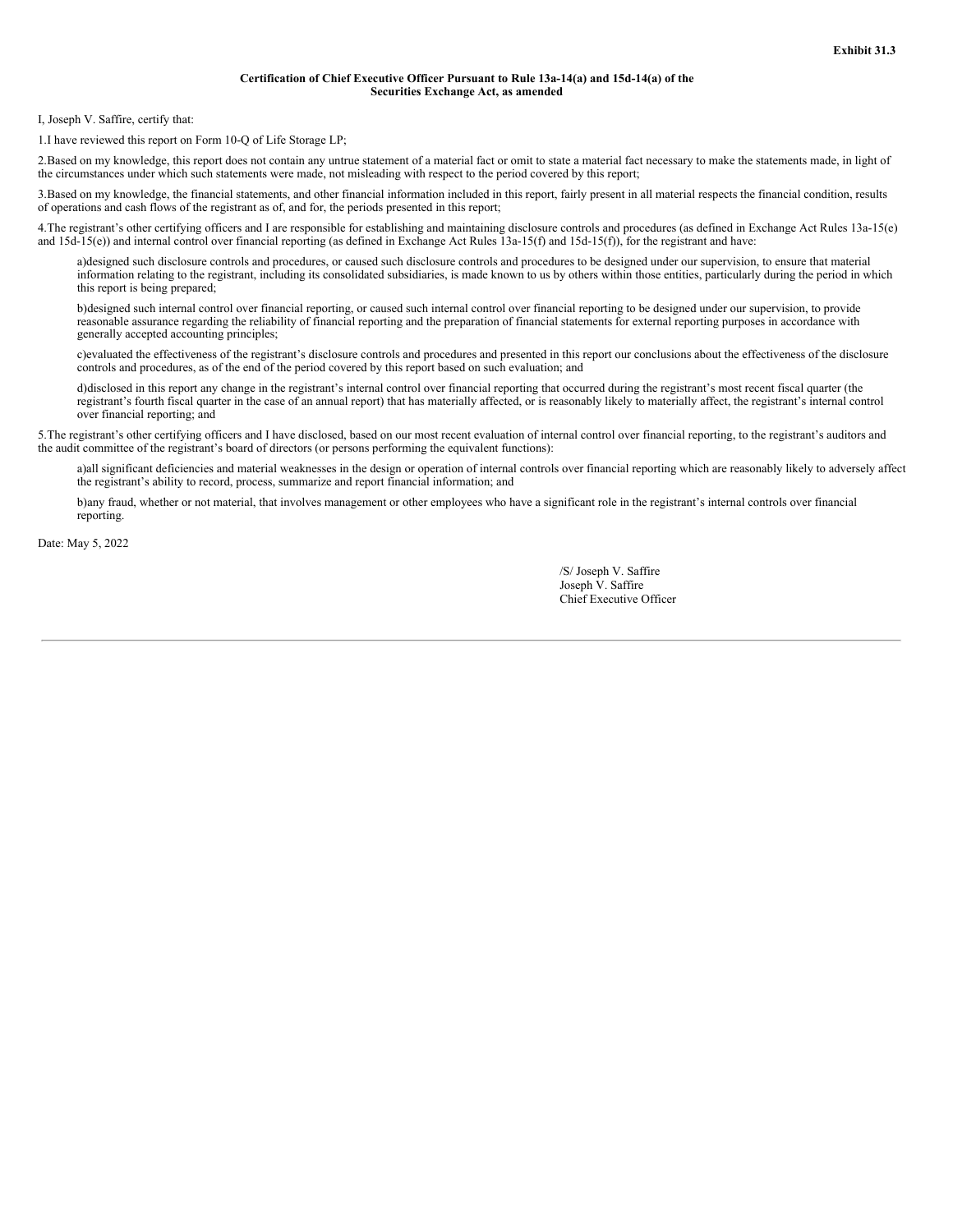### **Certification of Chief Executive Officer Pursuant to Rule 13a-14(a) and 15d-14(a) of the Securities Exchange Act, as amended**

<span id="page-42-0"></span>I, Joseph V. Saffire, certify that:

1.I have reviewed this report on Form 10-Q of Life Storage LP;

2.Based on my knowledge, this report does not contain any untrue statement of a material fact or omit to state a material fact necessary to make the statements made, in light of the circumstances under which such statements were made, not misleading with respect to the period covered by this report;

3.Based on my knowledge, the financial statements, and other financial information included in this report, fairly present in all material respects the financial condition, results of operations and cash flows of the registrant as of, and for, the periods presented in this report;

4.The registrant's other certifying officers and I are responsible for establishing and maintaining disclosure controls and procedures (as defined in Exchange Act Rules 13a-15(e) and 15d-15(e)) and internal control over financial reporting (as defined in Exchange Act Rules 13a-15(f) and 15d-15(f)), for the registrant and have:

a)designed such disclosure controls and procedures, or caused such disclosure controls and procedures to be designed under our supervision, to ensure that material information relating to the registrant, including its consolidated subsidiaries, is made known to us by others within those entities, particularly during the period in which this report is being prepared;

b)designed such internal control over financial reporting, or caused such internal control over financial reporting to be designed under our supervision, to provide reasonable assurance regarding the reliability of financial reporting and the preparation of financial statements for external reporting purposes in accordance with generally accepted accounting principles;

c)evaluated the effectiveness of the registrant's disclosure controls and procedures and presented in this report our conclusions about the effectiveness of the disclosure controls and procedures, as of the end of the period covered by this report based on such evaluation; and

d)disclosed in this report any change in the registrant's internal control over financial reporting that occurred during the registrant's most recent fiscal quarter (the registrant's fourth fiscal quarter in the case of an annual report) that has materially affected, or is reasonably likely to materially affect, the registrant's internal control over financial reporting; and

5.The registrant's other certifying officers and I have disclosed, based on our most recent evaluation of internal control over financial reporting, to the registrant's auditors and the audit committee of the registrant's board of directors (or persons performing the equivalent functions):

a)all significant deficiencies and material weaknesses in the design or operation of internal controls over financial reporting which are reasonably likely to adversely affect the registrant's ability to record, process, summarize and report financial information; and

b)any fraud, whether or not material, that involves management or other employees who have a significant role in the registrant's internal controls over financial reporting.

Date: May 5, 2022

/S/ Joseph V. Saffire Joseph V. Saffire Chief Executive Officer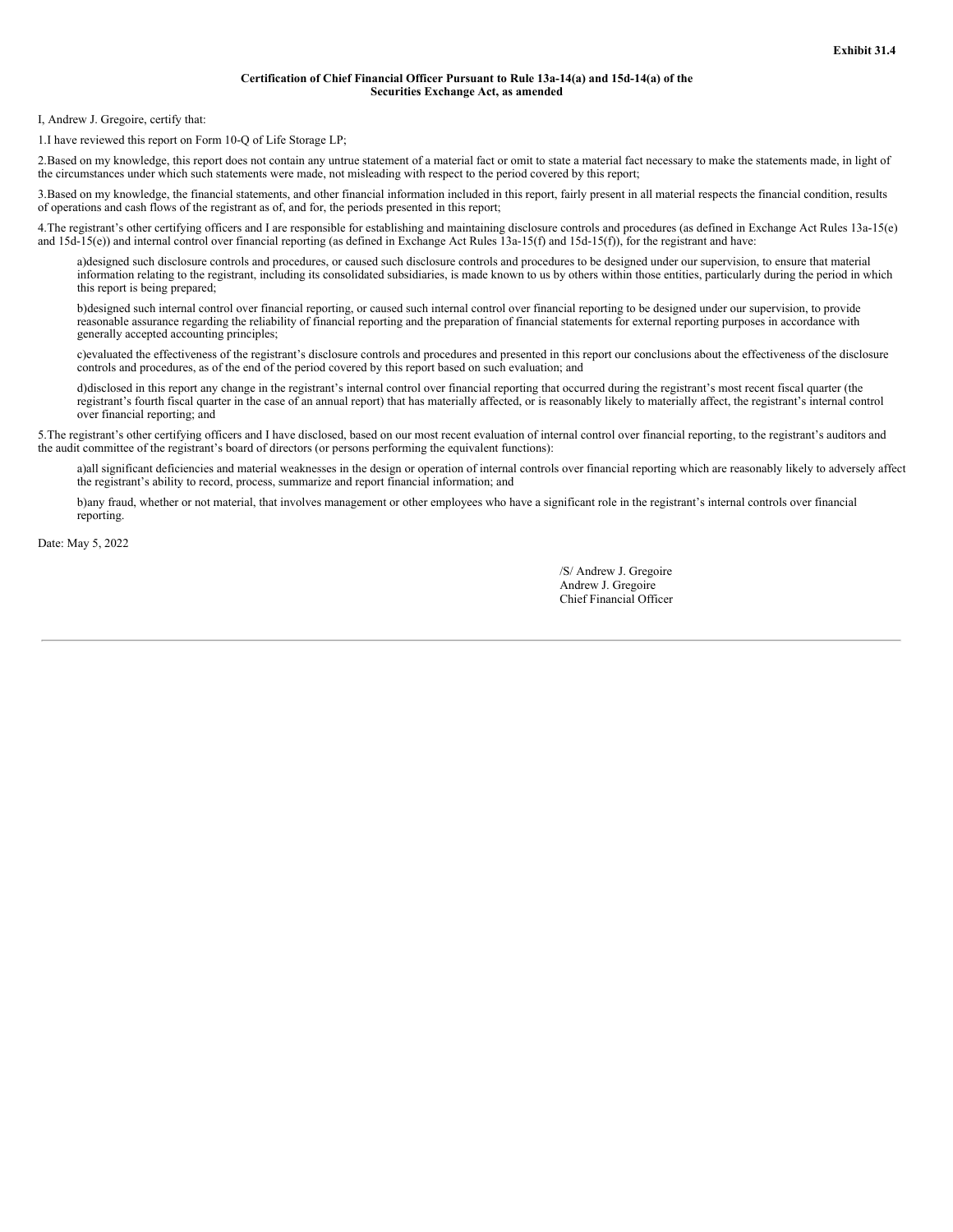### **Certification of Chief Financial Officer Pursuant to Rule 13a-14(a) and 15d-14(a) of the Securities Exchange Act, as amended**

<span id="page-44-0"></span>I, Andrew J. Gregoire, certify that:

1.I have reviewed this report on Form 10-Q of Life Storage LP;

2.Based on my knowledge, this report does not contain any untrue statement of a material fact or omit to state a material fact necessary to make the statements made, in light of the circumstances under which such statements were made, not misleading with respect to the period covered by this report;

3.Based on my knowledge, the financial statements, and other financial information included in this report, fairly present in all material respects the financial condition, results of operations and cash flows of the registrant as of, and for, the periods presented in this report;

4.The registrant's other certifying officers and I are responsible for establishing and maintaining disclosure controls and procedures (as defined in Exchange Act Rules 13a-15(e) and 15d-15(e)) and internal control over financial reporting (as defined in Exchange Act Rules 13a-15(f) and 15d-15(f)), for the registrant and have:

a)designed such disclosure controls and procedures, or caused such disclosure controls and procedures to be designed under our supervision, to ensure that material information relating to the registrant, including its consolidated subsidiaries, is made known to us by others within those entities, particularly during the period in which this report is being prepared;

b)designed such internal control over financial reporting, or caused such internal control over financial reporting to be designed under our supervision, to provide reasonable assurance regarding the reliability of financial reporting and the preparation of financial statements for external reporting purposes in accordance with generally accepted accounting principles;

c)evaluated the effectiveness of the registrant's disclosure controls and procedures and presented in this report our conclusions about the effectiveness of the disclosure controls and procedures, as of the end of the period covered by this report based on such evaluation; and

d)disclosed in this report any change in the registrant's internal control over financial reporting that occurred during the registrant's most recent fiscal quarter (the registrant's fourth fiscal quarter in the case of an annual report) that has materially affected, or is reasonably likely to materially affect, the registrant's internal control over financial reporting; and

5.The registrant's other certifying officers and I have disclosed, based on our most recent evaluation of internal control over financial reporting, to the registrant's auditors and the audit committee of the registrant's board of directors (or persons performing the equivalent functions):

a)all significant deficiencies and material weaknesses in the design or operation of internal controls over financial reporting which are reasonably likely to adversely affect the registrant's ability to record, process, summarize and report financial information; and

b)any fraud, whether or not material, that involves management or other employees who have a significant role in the registrant's internal controls over financial reporting.

Date: May 5, 2022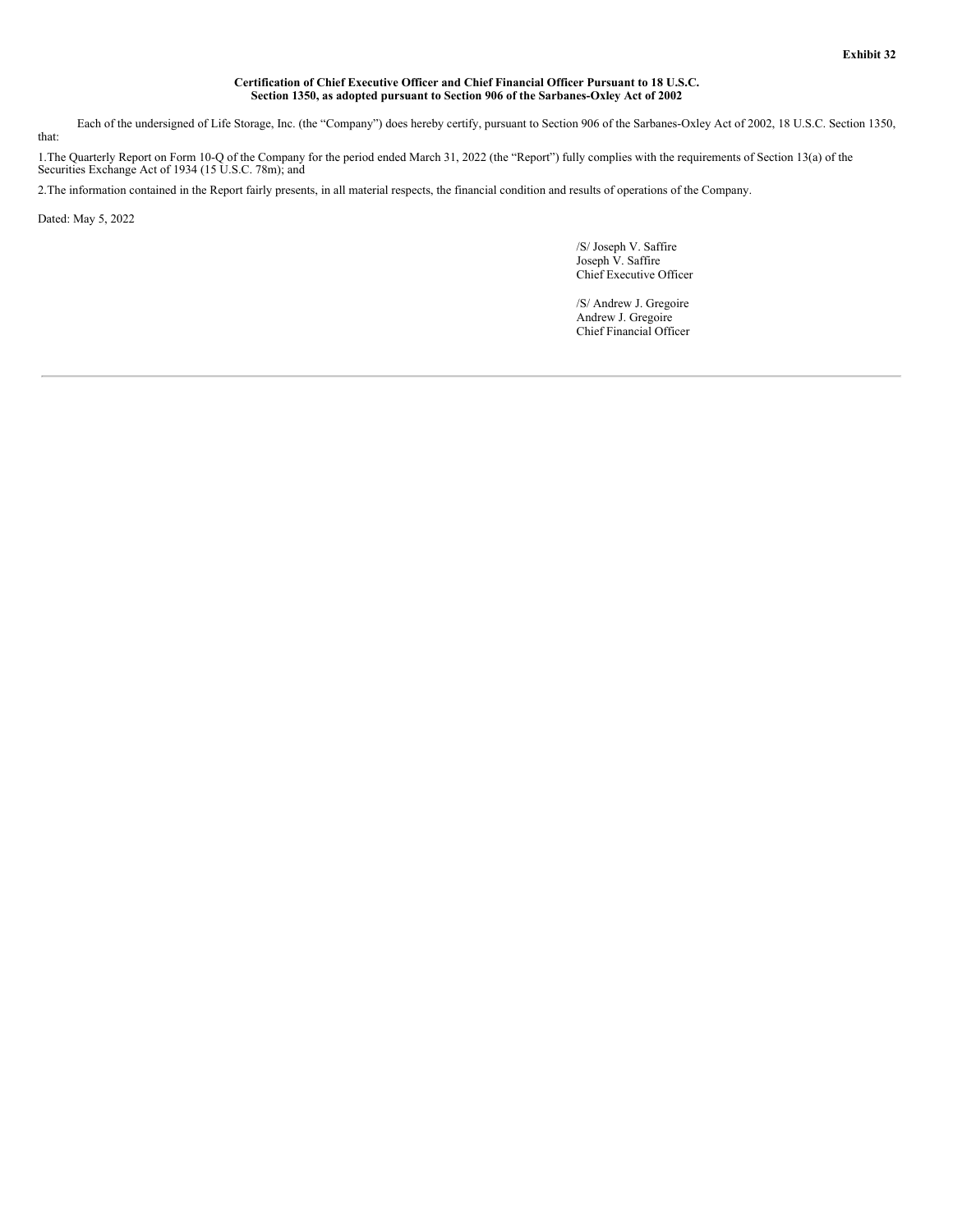#### **Certification of Chief Executive Officer and Chief Financial Officer Pursuant to 18 U.S.C. Section 1350, as adopted pursuant to Section 906 of the Sarbanes-Oxley Act of 2002**

<span id="page-46-0"></span>Each of the undersigned of Life Storage, Inc. (the "Company") does hereby certify, pursuant to Section 906 of the Sarbanes-Oxley Act of 2002, 18 U.S.C. Section 1350, that:

1.The Quarterly Report on Form 10-Q of the Company for the period ended March 31, 2022 (the "Report") fully complies with the requirements of Section 13(a) of the Securities Exchange Act of 1934 (15 U.S.C. 78m); and

2.The information contained in the Report fairly presents, in all material respects, the financial condition and results of operations of the Company.

Dated: May 5, 2022

/S/ Joseph V. Saffire Joseph V. Saffire Chief Executive Officer